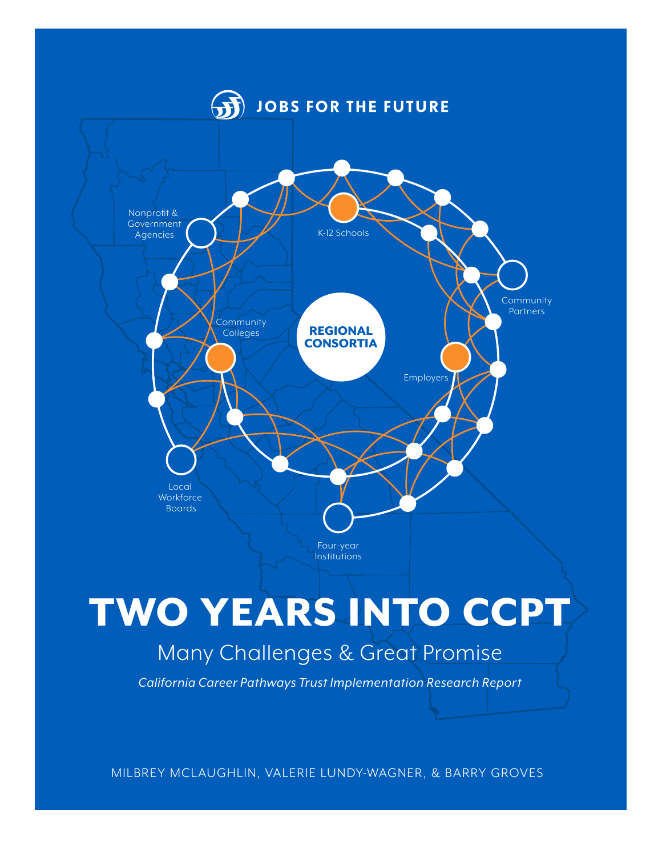

# TWO YEARS INTO CCPT Many Challenges & Great Promise

*California Career Pathways Trust Implementation Research Report*

MILBREY MCLAUGHLIN, VALERIE LUNDY-WAGNER, & BARRY GROVES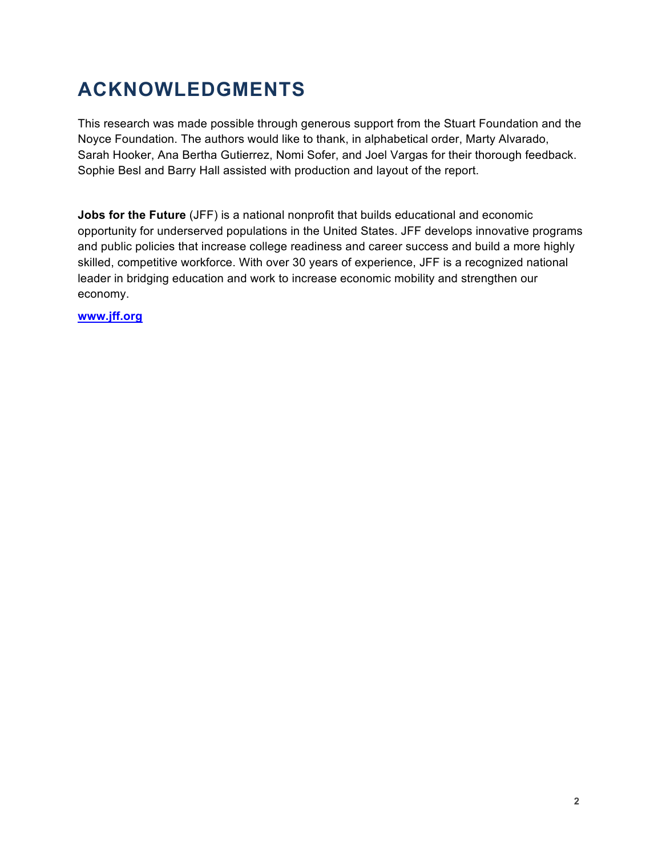# **ACKNOWLEDGMENTS**

This research was made possible through generous support from the Stuart Foundation and the Noyce Foundation. The authors would like to thank, in alphabetical order, Marty Alvarado, Sarah Hooker, Ana Bertha Gutierrez, Nomi Sofer, and Joel Vargas for their thorough feedback. Sophie Besl and Barry Hall assisted with production and layout of the report.

**Jobs for the Future** (JFF) is a national nonprofit that builds educational and economic opportunity for underserved populations in the United States. JFF develops innovative programs and public policies that increase college readiness and career success and build a more highly skilled, competitive workforce. With over 30 years of experience, JFF is a recognized national leader in bridging education and work to increase economic mobility and strengthen our economy.

**www.jff.org**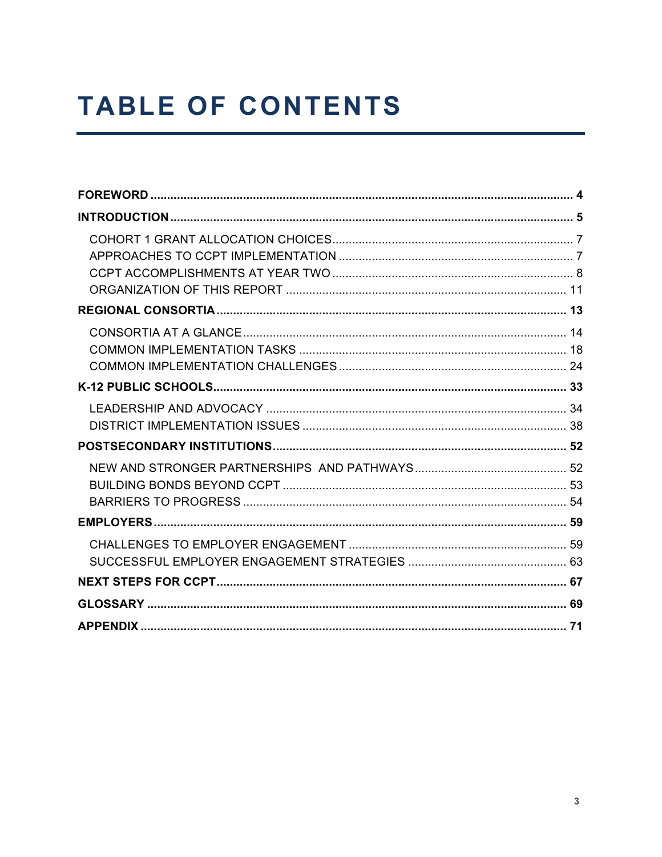# **TABLE OF CONTENTS**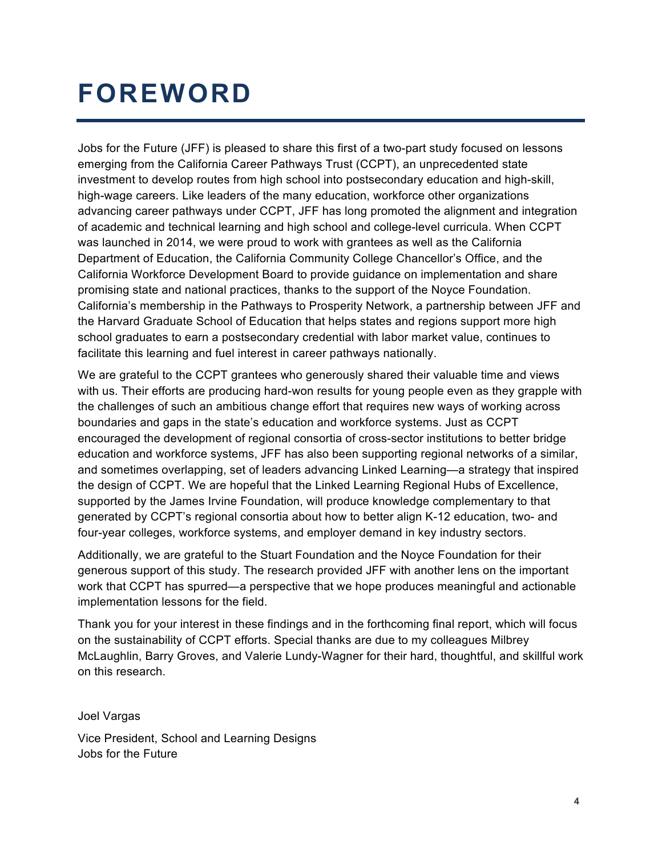# **FOREWORD**

Jobs for the Future (JFF) is pleased to share this first of a two-part study focused on lessons emerging from the California Career Pathways Trust (CCPT), an unprecedented state investment to develop routes from high school into postsecondary education and high-skill, high-wage careers. Like leaders of the many education, workforce other organizations advancing career pathways under CCPT, JFF has long promoted the alignment and integration of academic and technical learning and high school and college-level curricula. When CCPT was launched in 2014, we were proud to work with grantees as well as the California Department of Education, the California Community College Chancellor's Office, and the California Workforce Development Board to provide guidance on implementation and share promising state and national practices, thanks to the support of the Noyce Foundation. California's membership in the Pathways to Prosperity Network, a partnership between JFF and the Harvard Graduate School of Education that helps states and regions support more high school graduates to earn a postsecondary credential with labor market value, continues to facilitate this learning and fuel interest in career pathways nationally.

We are grateful to the CCPT grantees who generously shared their valuable time and views with us. Their efforts are producing hard-won results for young people even as they grapple with the challenges of such an ambitious change effort that requires new ways of working across boundaries and gaps in the state's education and workforce systems. Just as CCPT encouraged the development of regional consortia of cross-sector institutions to better bridge education and workforce systems, JFF has also been supporting regional networks of a similar, and sometimes overlapping, set of leaders advancing Linked Learning*—*a strategy that inspired the design of CCPT. We are hopeful that the Linked Learning Regional Hubs of Excellence, supported by the James Irvine Foundation, will produce knowledge complementary to that generated by CCPT's regional consortia about how to better align K-12 education, two- and four-year colleges, workforce systems, and employer demand in key industry sectors.

Additionally, we are grateful to the Stuart Foundation and the Noyce Foundation for their generous support of this study. The research provided JFF with another lens on the important work that CCPT has spurred—a perspective that we hope produces meaningful and actionable implementation lessons for the field.

Thank you for your interest in these findings and in the forthcoming final report, which will focus on the sustainability of CCPT efforts. Special thanks are due to my colleagues Milbrey McLaughlin, Barry Groves, and Valerie Lundy-Wagner for their hard, thoughtful, and skillful work on this research.

Joel Vargas

Vice President, School and Learning Designs Jobs for the Future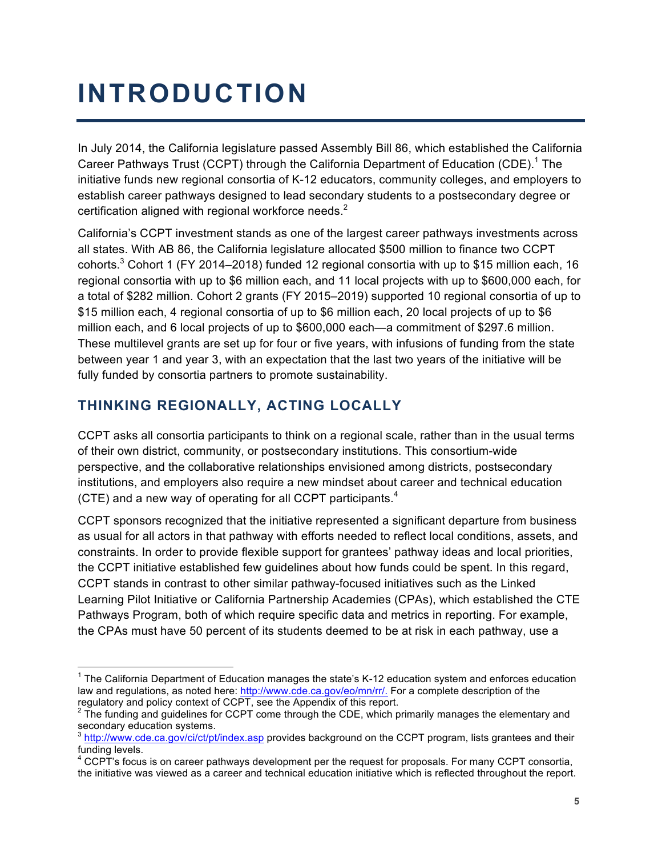# **INTRODUCTION**

In July 2014, the California legislature passed Assembly Bill 86, which established the California Career Pathways Trust (CCPT) through the California Department of Education (CDE).<sup>1</sup> The initiative funds new regional consortia of K-12 educators, community colleges, and employers to establish career pathways designed to lead secondary students to a postsecondary degree or certification aligned with regional workforce needs. $2$ 

California's CCPT investment stands as one of the largest career pathways investments across all states. With AB 86, the California legislature allocated \$500 million to finance two CCPT cohorts.<sup>3</sup> Cohort 1 (FY 2014–2018) funded 12 regional consortia with up to \$15 million each, 16 regional consortia with up to \$6 million each, and 11 local projects with up to \$600,000 each, for a total of \$282 million. Cohort 2 grants (FY 2015–2019) supported 10 regional consortia of up to \$15 million each, 4 regional consortia of up to \$6 million each, 20 local projects of up to \$6 million each, and 6 local projects of up to \$600,000 each—a commitment of \$297.6 million. These multilevel grants are set up for four or five years, with infusions of funding from the state between year 1 and year 3, with an expectation that the last two years of the initiative will be fully funded by consortia partners to promote sustainability.

## **THINKING REGIONALLY, ACTING LOCALLY**

CCPT asks all consortia participants to think on a regional scale, rather than in the usual terms of their own district, community, or postsecondary institutions. This consortium-wide perspective, and the collaborative relationships envisioned among districts, postsecondary institutions, and employers also require a new mindset about career and technical education (CTE) and a new way of operating for all CCPT participants.<sup>4</sup>

CCPT sponsors recognized that the initiative represented a significant departure from business as usual for all actors in that pathway with efforts needed to reflect local conditions, assets, and constraints. In order to provide flexible support for grantees' pathway ideas and local priorities, the CCPT initiative established few guidelines about how funds could be spent. In this regard, CCPT stands in contrast to other similar pathway-focused initiatives such as the Linked Learning Pilot Initiative or California Partnership Academies (CPAs), which established the CTE Pathways Program, both of which require specific data and metrics in reporting. For example, the CPAs must have 50 percent of its students deemed to be at risk in each pathway, use a

<sup>&</sup>lt;sup>1</sup> The California Department of Education manages the state's K-12 education system and enforces education law and regulations, as noted here: http://www.cde.ca.gov/eo/mn/rr/. For a complete description of the regulatory and policy context of CCPT, see the Appendix of this report.

 $2$  The funding and guidelines for CCPT come through the CDE, which primarily manages the elementary and secondary education systems.

 $^3$  http://www.cde.ca.gov/ci/ct/pt/index.asp provides background on the CCPT program, lists grantees and their funding levels.

<sup>&</sup>lt;sup>4</sup> CCPT's focus is on career pathways development per the request for proposals. For many CCPT consortia, the initiative was viewed as a career and technical education initiative which is reflected throughout the report.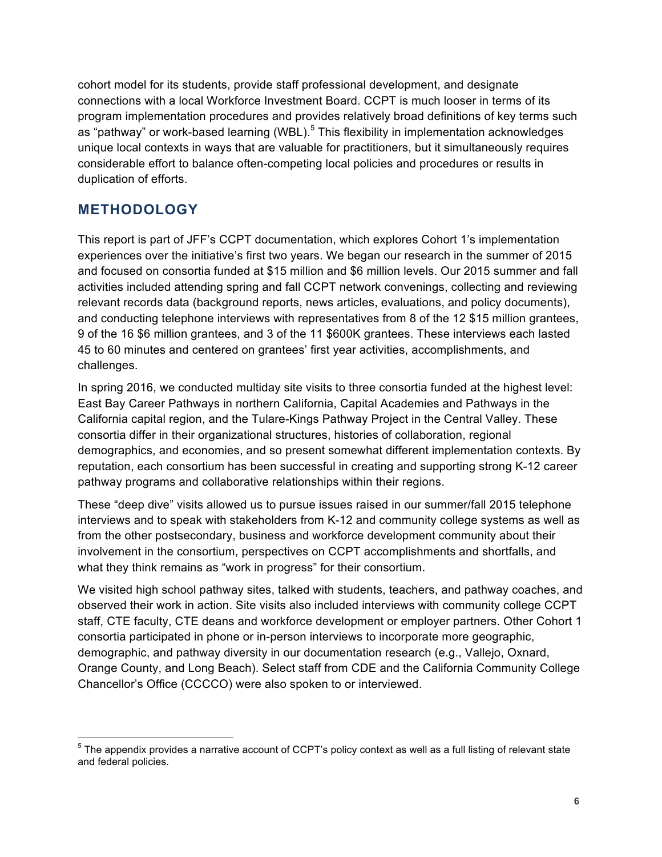cohort model for its students, provide staff professional development, and designate connections with a local Workforce Investment Board. CCPT is much looser in terms of its program implementation procedures and provides relatively broad definitions of key terms such as "pathway" or work-based learning (WBL).<sup>5</sup> This flexibility in implementation acknowledges unique local contexts in ways that are valuable for practitioners, but it simultaneously requires considerable effort to balance often-competing local policies and procedures or results in duplication of efforts.

### **METHODOLOGY**

This report is part of JFF's CCPT documentation, which explores Cohort 1's implementation experiences over the initiative's first two years. We began our research in the summer of 2015 and focused on consortia funded at \$15 million and \$6 million levels. Our 2015 summer and fall activities included attending spring and fall CCPT network convenings, collecting and reviewing relevant records data (background reports, news articles, evaluations, and policy documents), and conducting telephone interviews with representatives from 8 of the 12 \$15 million grantees, 9 of the 16 \$6 million grantees, and 3 of the 11 \$600K grantees. These interviews each lasted 45 to 60 minutes and centered on grantees' first year activities, accomplishments, and challenges.

In spring 2016, we conducted multiday site visits to three consortia funded at the highest level: East Bay Career Pathways in northern California, Capital Academies and Pathways in the California capital region, and the Tulare-Kings Pathway Project in the Central Valley. These consortia differ in their organizational structures, histories of collaboration, regional demographics, and economies, and so present somewhat different implementation contexts. By reputation, each consortium has been successful in creating and supporting strong K-12 career pathway programs and collaborative relationships within their regions.

These "deep dive" visits allowed us to pursue issues raised in our summer/fall 2015 telephone interviews and to speak with stakeholders from K-12 and community college systems as well as from the other postsecondary, business and workforce development community about their involvement in the consortium, perspectives on CCPT accomplishments and shortfalls, and what they think remains as "work in progress" for their consortium.

We visited high school pathway sites, talked with students, teachers, and pathway coaches, and observed their work in action. Site visits also included interviews with community college CCPT staff, CTE faculty, CTE deans and workforce development or employer partners. Other Cohort 1 consortia participated in phone or in-person interviews to incorporate more geographic, demographic, and pathway diversity in our documentation research (e.g., Vallejo, Oxnard, Orange County, and Long Beach). Select staff from CDE and the California Community College Chancellor's Office (CCCCO) were also spoken to or interviewed.

<sup>&</sup>lt;sup>5</sup> The appendix provides a narrative account of CCPT's policy context as well as a full listing of relevant state and federal policies.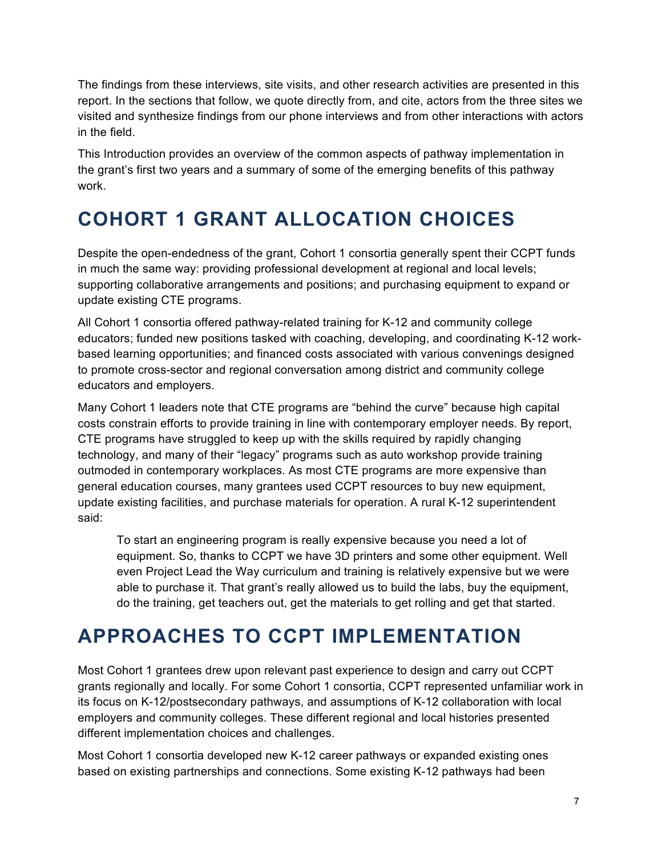The findings from these interviews, site visits, and other research activities are presented in this report. In the sections that follow, we quote directly from, and cite, actors from the three sites we visited and synthesize findings from our phone interviews and from other interactions with actors in the field.

This Introduction provides an overview of the common aspects of pathway implementation in the grant's first two years and a summary of some of the emerging benefits of this pathway work.

# **COHORT 1 GRANT ALLOCATION CHOICES**

Despite the open-endedness of the grant, Cohort 1 consortia generally spent their CCPT funds in much the same way: providing professional development at regional and local levels; supporting collaborative arrangements and positions; and purchasing equipment to expand or update existing CTE programs.

All Cohort 1 consortia offered pathway-related training for K-12 and community college educators; funded new positions tasked with coaching, developing, and coordinating K-12 workbased learning opportunities; and financed costs associated with various convenings designed to promote cross-sector and regional conversation among district and community college educators and employers.

Many Cohort 1 leaders note that CTE programs are "behind the curve" because high capital costs constrain efforts to provide training in line with contemporary employer needs. By report, CTE programs have struggled to keep up with the skills required by rapidly changing technology, and many of their "legacy" programs such as auto workshop provide training outmoded in contemporary workplaces. As most CTE programs are more expensive than general education courses, many grantees used CCPT resources to buy new equipment, update existing facilities, and purchase materials for operation. A rural K-12 superintendent said:

To start an engineering program is really expensive because you need a lot of equipment. So, thanks to CCPT we have 3D printers and some other equipment. Well even Project Lead the Way curriculum and training is relatively expensive but we were able to purchase it. That grant's really allowed us to build the labs, buy the equipment, do the training, get teachers out, get the materials to get rolling and get that started.

# **APPROACHES TO CCPT IMPLEMENTATION**

Most Cohort 1 grantees drew upon relevant past experience to design and carry out CCPT grants regionally and locally. For some Cohort 1 consortia, CCPT represented unfamiliar work in its focus on K-12/postsecondary pathways, and assumptions of K-12 collaboration with local employers and community colleges. These different regional and local histories presented different implementation choices and challenges.

Most Cohort 1 consortia developed new K-12 career pathways or expanded existing ones based on existing partnerships and connections. Some existing K-12 pathways had been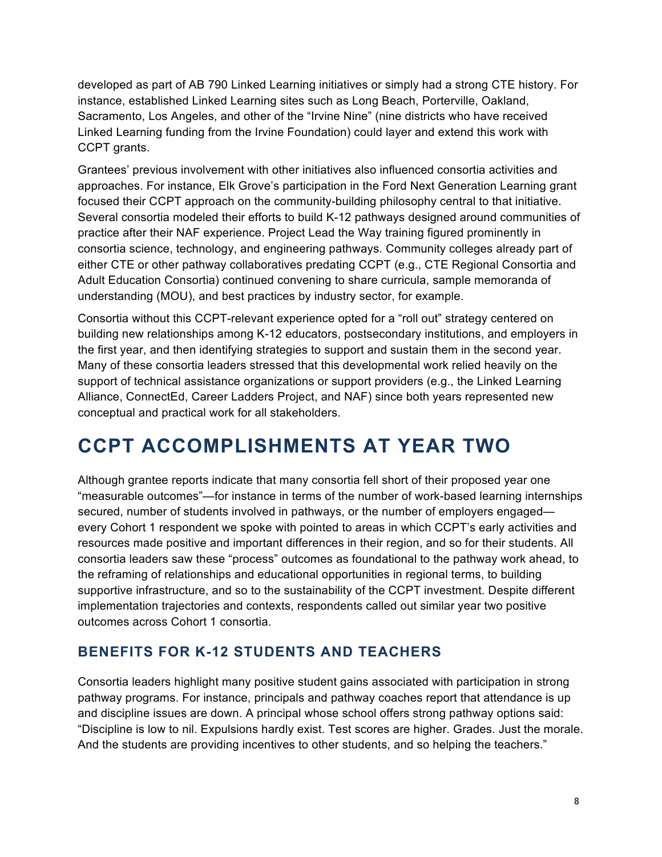developed as part of AB 790 Linked Learning initiatives or simply had a strong CTE history. For instance, established Linked Learning sites such as Long Beach, Porterville, Oakland, Sacramento, Los Angeles, and other of the "Irvine Nine" (nine districts who have received Linked Learning funding from the Irvine Foundation) could layer and extend this work with CCPT grants.

Grantees' previous involvement with other initiatives also influenced consortia activities and approaches. For instance, Elk Grove's participation in the Ford Next Generation Learning grant focused their CCPT approach on the community-building philosophy central to that initiative. Several consortia modeled their efforts to build K-12 pathways designed around communities of practice after their NAF experience. Project Lead the Way training figured prominently in consortia science, technology, and engineering pathways. Community colleges already part of either CTE or other pathway collaboratives predating CCPT (e.g., CTE Regional Consortia and Adult Education Consortia) continued convening to share curricula, sample memoranda of understanding (MOU), and best practices by industry sector, for example.

Consortia without this CCPT-relevant experience opted for a "roll out" strategy centered on building new relationships among K-12 educators, postsecondary institutions, and employers in the first year, and then identifying strategies to support and sustain them in the second year. Many of these consortia leaders stressed that this developmental work relied heavily on the support of technical assistance organizations or support providers (e.g., the Linked Learning Alliance, ConnectEd, Career Ladders Project, and NAF) since both years represented new conceptual and practical work for all stakeholders.

# **CCPT ACCOMPLISHMENTS AT YEAR TWO**

Although grantee reports indicate that many consortia fell short of their proposed year one "measurable outcomes"—for instance in terms of the number of work-based learning internships secured, number of students involved in pathways, or the number of employers engaged every Cohort 1 respondent we spoke with pointed to areas in which CCPT's early activities and resources made positive and important differences in their region, and so for their students. All consortia leaders saw these "process" outcomes as foundational to the pathway work ahead, to the reframing of relationships and educational opportunities in regional terms, to building supportive infrastructure, and so to the sustainability of the CCPT investment. Despite different implementation trajectories and contexts, respondents called out similar year two positive outcomes across Cohort 1 consortia.

### **BENEFITS FOR K-12 STUDENTS AND TEACHERS**

Consortia leaders highlight many positive student gains associated with participation in strong pathway programs. For instance, principals and pathway coaches report that attendance is up and discipline issues are down. A principal whose school offers strong pathway options said: "Discipline is low to nil. Expulsions hardly exist. Test scores are higher. Grades. Just the morale. And the students are providing incentives to other students, and so helping the teachers."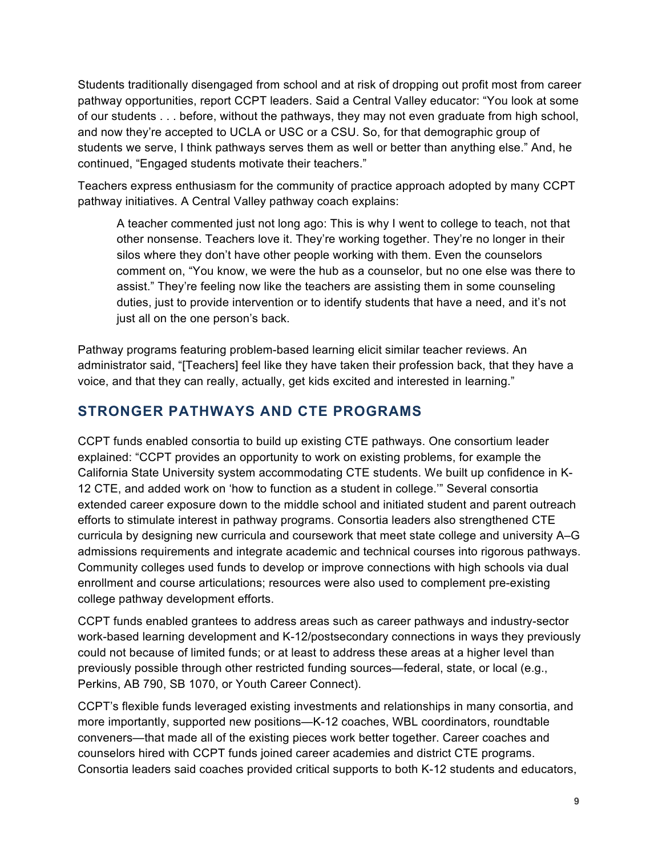Students traditionally disengaged from school and at risk of dropping out profit most from career pathway opportunities, report CCPT leaders. Said a Central Valley educator: "You look at some of our students . . . before, without the pathways, they may not even graduate from high school, and now they're accepted to UCLA or USC or a CSU. So, for that demographic group of students we serve, I think pathways serves them as well or better than anything else." And, he continued, "Engaged students motivate their teachers."

Teachers express enthusiasm for the community of practice approach adopted by many CCPT pathway initiatives. A Central Valley pathway coach explains:

A teacher commented just not long ago: This is why I went to college to teach, not that other nonsense. Teachers love it. They're working together. They're no longer in their silos where they don't have other people working with them. Even the counselors comment on, "You know, we were the hub as a counselor, but no one else was there to assist." They're feeling now like the teachers are assisting them in some counseling duties, just to provide intervention or to identify students that have a need, and it's not just all on the one person's back.

Pathway programs featuring problem-based learning elicit similar teacher reviews. An administrator said, "[Teachers] feel like they have taken their profession back, that they have a voice, and that they can really, actually, get kids excited and interested in learning."

#### **STRONGER PATHWAYS AND CTE PROGRAMS**

CCPT funds enabled consortia to build up existing CTE pathways. One consortium leader explained: "CCPT provides an opportunity to work on existing problems, for example the California State University system accommodating CTE students. We built up confidence in K-12 CTE, and added work on 'how to function as a student in college.'" Several consortia extended career exposure down to the middle school and initiated student and parent outreach efforts to stimulate interest in pathway programs. Consortia leaders also strengthened CTE curricula by designing new curricula and coursework that meet state college and university A–G admissions requirements and integrate academic and technical courses into rigorous pathways. Community colleges used funds to develop or improve connections with high schools via dual enrollment and course articulations; resources were also used to complement pre-existing college pathway development efforts.

CCPT funds enabled grantees to address areas such as career pathways and industry-sector work-based learning development and K-12/postsecondary connections in ways they previously could not because of limited funds; or at least to address these areas at a higher level than previously possible through other restricted funding sources—federal, state, or local (e.g., Perkins, AB 790, SB 1070, or Youth Career Connect).

CCPT's flexible funds leveraged existing investments and relationships in many consortia, and more importantly, supported new positions—K-12 coaches, WBL coordinators, roundtable conveners—that made all of the existing pieces work better together. Career coaches and counselors hired with CCPT funds joined career academies and district CTE programs. Consortia leaders said coaches provided critical supports to both K-12 students and educators,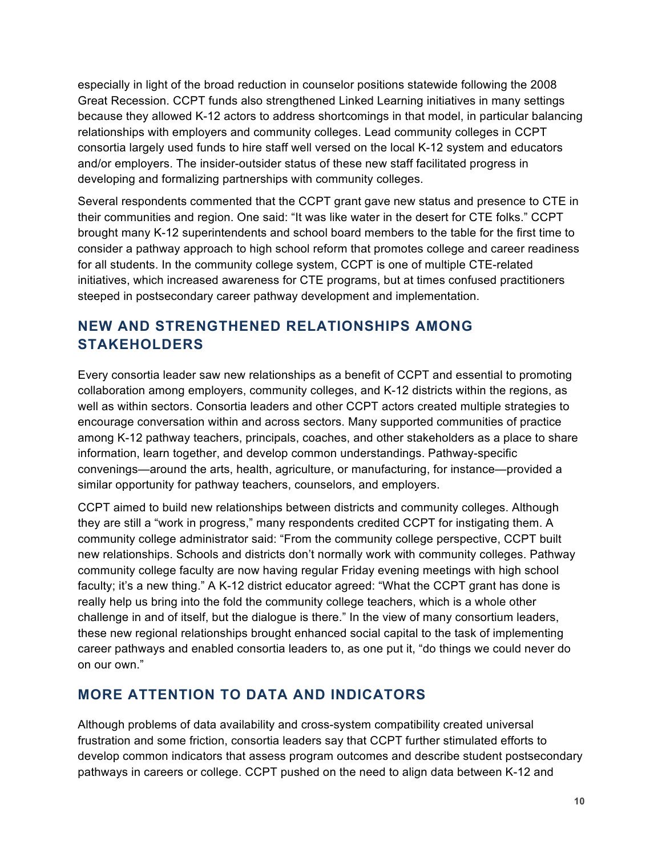especially in light of the broad reduction in counselor positions statewide following the 2008 Great Recession. CCPT funds also strengthened Linked Learning initiatives in many settings because they allowed K-12 actors to address shortcomings in that model, in particular balancing relationships with employers and community colleges. Lead community colleges in CCPT consortia largely used funds to hire staff well versed on the local K-12 system and educators and/or employers. The insider-outsider status of these new staff facilitated progress in developing and formalizing partnerships with community colleges.

Several respondents commented that the CCPT grant gave new status and presence to CTE in their communities and region. One said: "It was like water in the desert for CTE folks." CCPT brought many K-12 superintendents and school board members to the table for the first time to consider a pathway approach to high school reform that promotes college and career readiness for all students. In the community college system, CCPT is one of multiple CTE-related initiatives, which increased awareness for CTE programs, but at times confused practitioners steeped in postsecondary career pathway development and implementation.

## **NEW AND STRENGTHENED RELATIONSHIPS AMONG STAKEHOLDERS**

Every consortia leader saw new relationships as a benefit of CCPT and essential to promoting collaboration among employers, community colleges, and K-12 districts within the regions, as well as within sectors. Consortia leaders and other CCPT actors created multiple strategies to encourage conversation within and across sectors. Many supported communities of practice among K-12 pathway teachers, principals, coaches, and other stakeholders as a place to share information, learn together, and develop common understandings. Pathway-specific convenings—around the arts, health, agriculture, or manufacturing, for instance—provided a similar opportunity for pathway teachers, counselors, and employers.

CCPT aimed to build new relationships between districts and community colleges. Although they are still a "work in progress," many respondents credited CCPT for instigating them. A community college administrator said: "From the community college perspective, CCPT built new relationships. Schools and districts don't normally work with community colleges. Pathway community college faculty are now having regular Friday evening meetings with high school faculty; it's a new thing." A K-12 district educator agreed: "What the CCPT grant has done is really help us bring into the fold the community college teachers, which is a whole other challenge in and of itself, but the dialogue is there." In the view of many consortium leaders, these new regional relationships brought enhanced social capital to the task of implementing career pathways and enabled consortia leaders to, as one put it, "do things we could never do on our own."

### **MORE ATTENTION TO DATA AND INDICATORS**

Although problems of data availability and cross-system compatibility created universal frustration and some friction, consortia leaders say that CCPT further stimulated efforts to develop common indicators that assess program outcomes and describe student postsecondary pathways in careers or college. CCPT pushed on the need to align data between K-12 and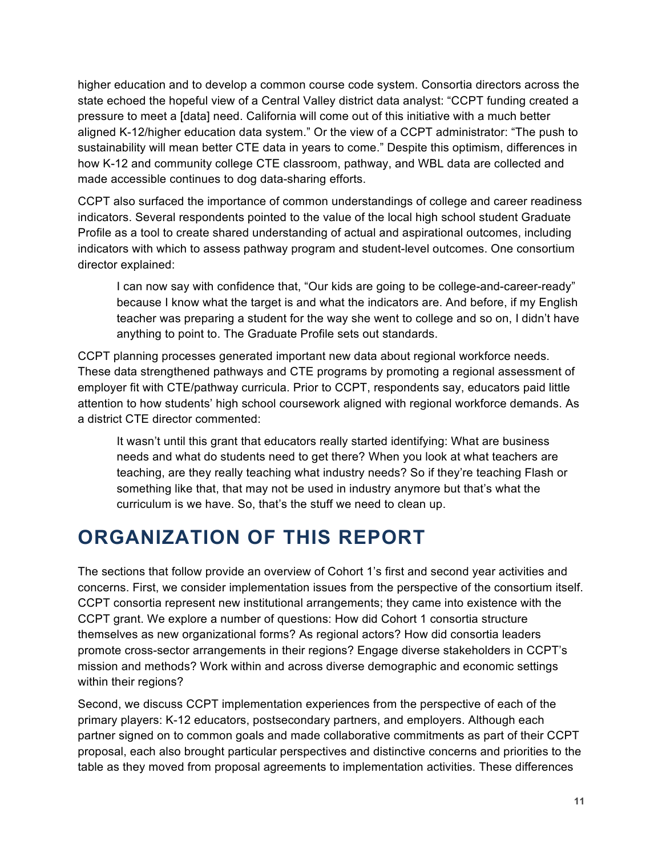higher education and to develop a common course code system. Consortia directors across the state echoed the hopeful view of a Central Valley district data analyst: "CCPT funding created a pressure to meet a [data] need. California will come out of this initiative with a much better aligned K-12/higher education data system." Or the view of a CCPT administrator: "The push to sustainability will mean better CTE data in years to come." Despite this optimism, differences in how K-12 and community college CTE classroom, pathway, and WBL data are collected and made accessible continues to dog data-sharing efforts.

CCPT also surfaced the importance of common understandings of college and career readiness indicators. Several respondents pointed to the value of the local high school student Graduate Profile as a tool to create shared understanding of actual and aspirational outcomes, including indicators with which to assess pathway program and student-level outcomes. One consortium director explained:

I can now say with confidence that, "Our kids are going to be college-and-career-ready" because I know what the target is and what the indicators are. And before, if my English teacher was preparing a student for the way she went to college and so on, I didn't have anything to point to. The Graduate Profile sets out standards.

CCPT planning processes generated important new data about regional workforce needs. These data strengthened pathways and CTE programs by promoting a regional assessment of employer fit with CTE/pathway curricula. Prior to CCPT, respondents say, educators paid little attention to how students' high school coursework aligned with regional workforce demands. As a district CTE director commented:

It wasn't until this grant that educators really started identifying: What are business needs and what do students need to get there? When you look at what teachers are teaching, are they really teaching what industry needs? So if they're teaching Flash or something like that, that may not be used in industry anymore but that's what the curriculum is we have. So, that's the stuff we need to clean up.

# **ORGANIZATION OF THIS REPORT**

The sections that follow provide an overview of Cohort 1's first and second year activities and concerns. First, we consider implementation issues from the perspective of the consortium itself. CCPT consortia represent new institutional arrangements; they came into existence with the CCPT grant. We explore a number of questions: How did Cohort 1 consortia structure themselves as new organizational forms? As regional actors? How did consortia leaders promote cross-sector arrangements in their regions? Engage diverse stakeholders in CCPT's mission and methods? Work within and across diverse demographic and economic settings within their regions?

Second, we discuss CCPT implementation experiences from the perspective of each of the primary players: K-12 educators, postsecondary partners, and employers. Although each partner signed on to common goals and made collaborative commitments as part of their CCPT proposal, each also brought particular perspectives and distinctive concerns and priorities to the table as they moved from proposal agreements to implementation activities. These differences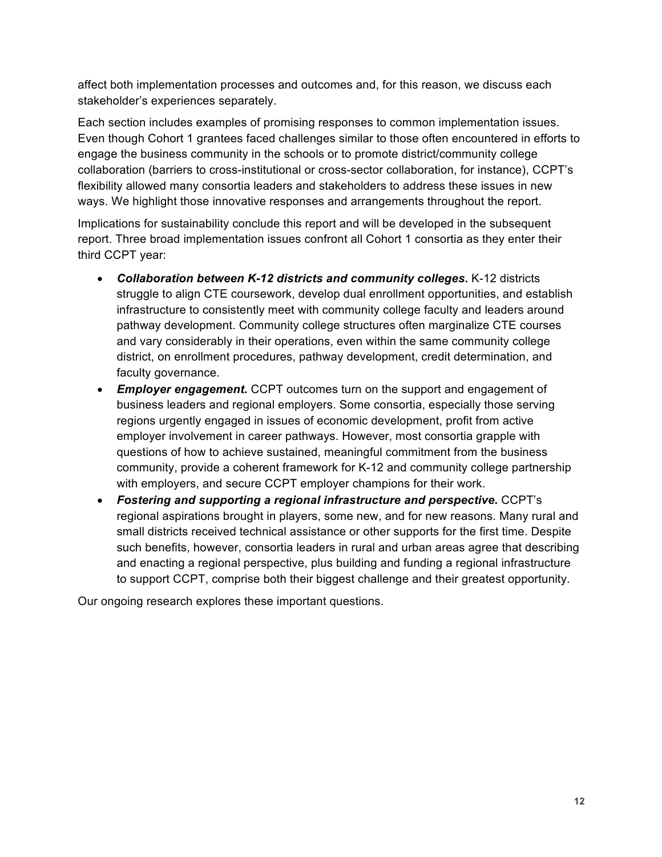affect both implementation processes and outcomes and, for this reason, we discuss each stakeholder's experiences separately.

Each section includes examples of promising responses to common implementation issues. Even though Cohort 1 grantees faced challenges similar to those often encountered in efforts to engage the business community in the schools or to promote district/community college collaboration (barriers to cross-institutional or cross-sector collaboration, for instance), CCPT's flexibility allowed many consortia leaders and stakeholders to address these issues in new ways. We highlight those innovative responses and arrangements throughout the report.

Implications for sustainability conclude this report and will be developed in the subsequent report. Three broad implementation issues confront all Cohort 1 consortia as they enter their third CCPT year:

- *Collaboration between K-12 districts and community colleges***.** K-12 districts struggle to align CTE coursework, develop dual enrollment opportunities, and establish infrastructure to consistently meet with community college faculty and leaders around pathway development. Community college structures often marginalize CTE courses and vary considerably in their operations, even within the same community college district, on enrollment procedures, pathway development, credit determination, and faculty governance.
- *Employer engagement***.** CCPT outcomes turn on the support and engagement of business leaders and regional employers. Some consortia, especially those serving regions urgently engaged in issues of economic development, profit from active employer involvement in career pathways. However, most consortia grapple with questions of how to achieve sustained, meaningful commitment from the business community, provide a coherent framework for K-12 and community college partnership with employers, and secure CCPT employer champions for their work.
- *Fostering and supporting a regional infrastructure and perspective***.** CCPT's regional aspirations brought in players, some new, and for new reasons. Many rural and small districts received technical assistance or other supports for the first time. Despite such benefits, however, consortia leaders in rural and urban areas agree that describing and enacting a regional perspective, plus building and funding a regional infrastructure to support CCPT, comprise both their biggest challenge and their greatest opportunity.

Our ongoing research explores these important questions.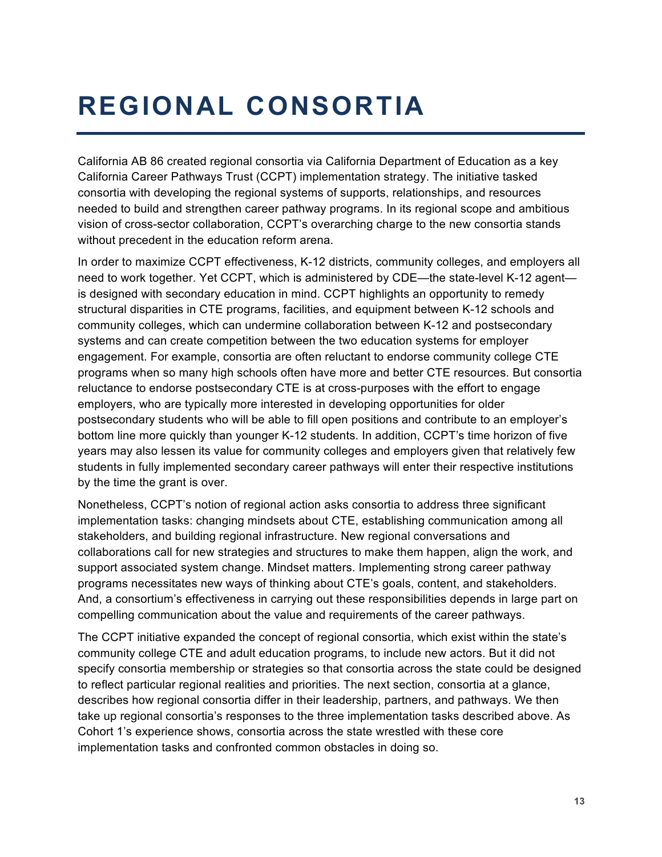# **REGIONAL CONSORTIA**

California AB 86 created regional consortia via California Department of Education as a key California Career Pathways Trust (CCPT) implementation strategy. The initiative tasked consortia with developing the regional systems of supports, relationships, and resources needed to build and strengthen career pathway programs. In its regional scope and ambitious vision of cross-sector collaboration, CCPT's overarching charge to the new consortia stands without precedent in the education reform arena.

In order to maximize CCPT effectiveness, K-12 districts, community colleges, and employers all need to work together. Yet CCPT, which is administered by CDE—the state-level K-12 agent is designed with secondary education in mind. CCPT highlights an opportunity to remedy structural disparities in CTE programs, facilities, and equipment between K-12 schools and community colleges, which can undermine collaboration between K-12 and postsecondary systems and can create competition between the two education systems for employer engagement. For example, consortia are often reluctant to endorse community college CTE programs when so many high schools often have more and better CTE resources. But consortia reluctance to endorse postsecondary CTE is at cross-purposes with the effort to engage employers, who are typically more interested in developing opportunities for older postsecondary students who will be able to fill open positions and contribute to an employer's bottom line more quickly than younger K-12 students. In addition, CCPT's time horizon of five years may also lessen its value for community colleges and employers given that relatively few students in fully implemented secondary career pathways will enter their respective institutions by the time the grant is over.

Nonetheless, CCPT's notion of regional action asks consortia to address three significant implementation tasks: changing mindsets about CTE, establishing communication among all stakeholders, and building regional infrastructure. New regional conversations and collaborations call for new strategies and structures to make them happen, align the work, and support associated system change. Mindset matters. Implementing strong career pathway programs necessitates new ways of thinking about CTE's goals, content, and stakeholders. And, a consortium's effectiveness in carrying out these responsibilities depends in large part on compelling communication about the value and requirements of the career pathways.

The CCPT initiative expanded the concept of regional consortia, which exist within the state's community college CTE and adult education programs, to include new actors. But it did not specify consortia membership or strategies so that consortia across the state could be designed to reflect particular regional realities and priorities. The next section, consortia at a glance, describes how regional consortia differ in their leadership, partners, and pathways. We then take up regional consortia's responses to the three implementation tasks described above. As Cohort 1's experience shows, consortia across the state wrestled with these core implementation tasks and confronted common obstacles in doing so.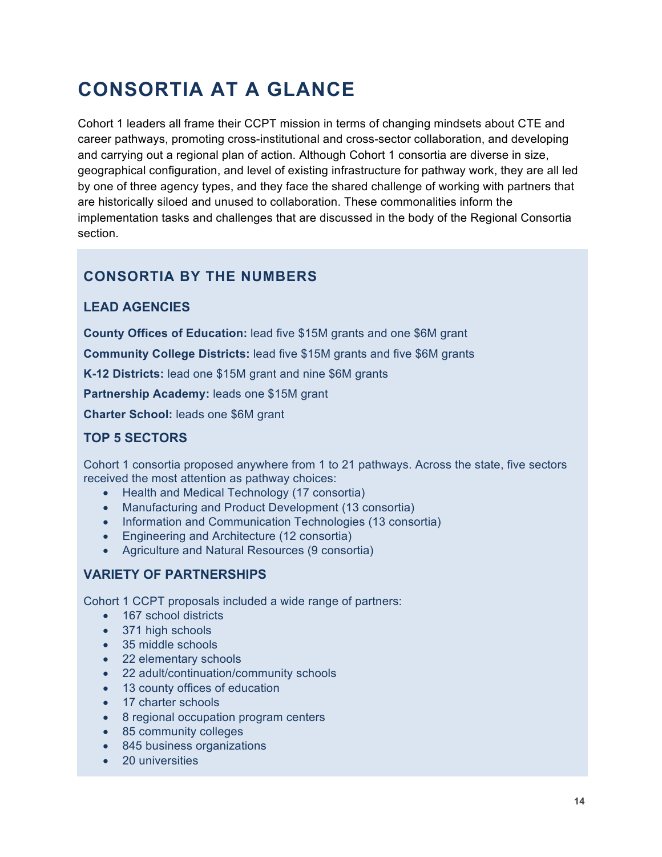# **CONSORTIA AT A GLANCE**

Cohort 1 leaders all frame their CCPT mission in terms of changing mindsets about CTE and career pathways, promoting cross-institutional and cross-sector collaboration, and developing and carrying out a regional plan of action. Although Cohort 1 consortia are diverse in size, geographical configuration, and level of existing infrastructure for pathway work, they are all led by one of three agency types, and they face the shared challenge of working with partners that are historically siloed and unused to collaboration. These commonalities inform the implementation tasks and challenges that are discussed in the body of the Regional Consortia section.

### **CONSORTIA BY THE NUMBERS**

#### **LEAD AGENCIES**

**County Offices of Education:** lead five \$15M grants and one \$6M grant

**Community College Districts:** lead five \$15M grants and five \$6M grants

**K-12 Districts:** lead one \$15M grant and nine \$6M grants

**Partnership Academy:** leads one \$15M grant

**Charter School:** leads one \$6M grant

#### **TOP 5 SECTORS**

Cohort 1 consortia proposed anywhere from 1 to 21 pathways. Across the state, five sectors received the most attention as pathway choices:

- Health and Medical Technology (17 consortia)
- Manufacturing and Product Development (13 consortia)
- Information and Communication Technologies (13 consortia)
- Engineering and Architecture (12 consortia)
- Agriculture and Natural Resources (9 consortia)

#### **VARIETY OF PARTNERSHIPS**

Cohort 1 CCPT proposals included a wide range of partners:

- 167 school districts
- 371 high schools
- 35 middle schools
- 22 elementary schools
- 22 adult/continuation/community schools
- 13 county offices of education
- 17 charter schools
- 8 regional occupation program centers
- 85 community colleges
- 845 business organizations
- 20 universities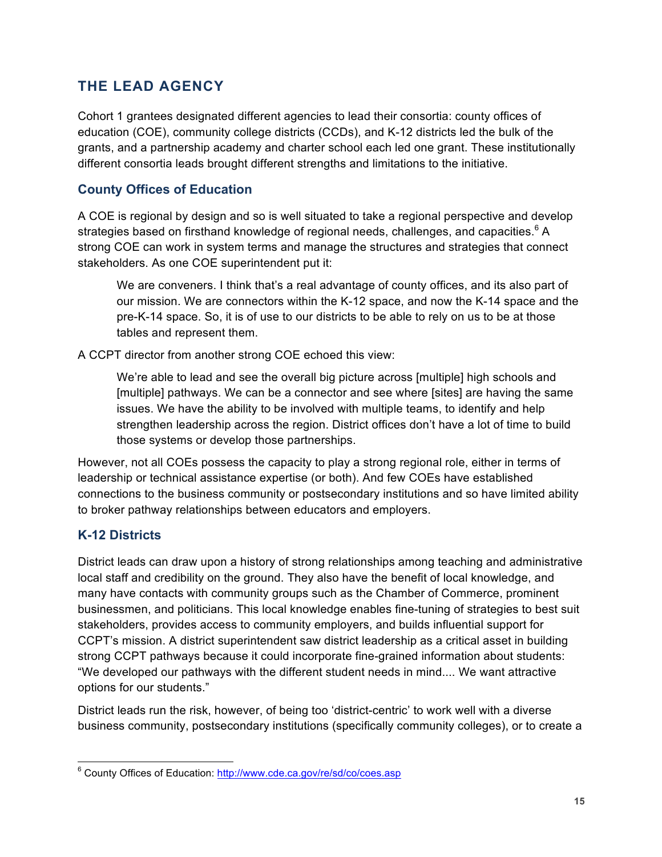### **THE LEAD AGENCY**

Cohort 1 grantees designated different agencies to lead their consortia: county offices of education (COE), community college districts (CCDs), and K-12 districts led the bulk of the grants, and a partnership academy and charter school each led one grant. These institutionally different consortia leads brought different strengths and limitations to the initiative.

#### **County Offices of Education**

A COE is regional by design and so is well situated to take a regional perspective and develop strategies based on firsthand knowledge of regional needs, challenges, and capacities.<sup>6</sup> A strong COE can work in system terms and manage the structures and strategies that connect stakeholders. As one COE superintendent put it:

We are conveners. I think that's a real advantage of county offices, and its also part of our mission. We are connectors within the K-12 space, and now the K-14 space and the pre-K-14 space. So, it is of use to our districts to be able to rely on us to be at those tables and represent them.

A CCPT director from another strong COE echoed this view:

We're able to lead and see the overall big picture across [multiple] high schools and [multiple] pathways. We can be a connector and see where [sites] are having the same issues. We have the ability to be involved with multiple teams, to identify and help strengthen leadership across the region. District offices don't have a lot of time to build those systems or develop those partnerships.

However, not all COEs possess the capacity to play a strong regional role, either in terms of leadership or technical assistance expertise (or both). And few COEs have established connections to the business community or postsecondary institutions and so have limited ability to broker pathway relationships between educators and employers.

#### **K-12 Districts**

District leads can draw upon a history of strong relationships among teaching and administrative local staff and credibility on the ground. They also have the benefit of local knowledge, and many have contacts with community groups such as the Chamber of Commerce, prominent businessmen, and politicians. This local knowledge enables fine-tuning of strategies to best suit stakeholders, provides access to community employers, and builds influential support for CCPT's mission. A district superintendent saw district leadership as a critical asset in building strong CCPT pathways because it could incorporate fine-grained information about students: "We developed our pathways with the different student needs in mind.... We want attractive options for our students."

District leads run the risk, however, of being too 'district-centric' to work well with a diverse business community, postsecondary institutions (specifically community colleges), or to create a

 <sup>6</sup> County Offices of Education: http://www.cde.ca.gov/re/sd/co/coes.asp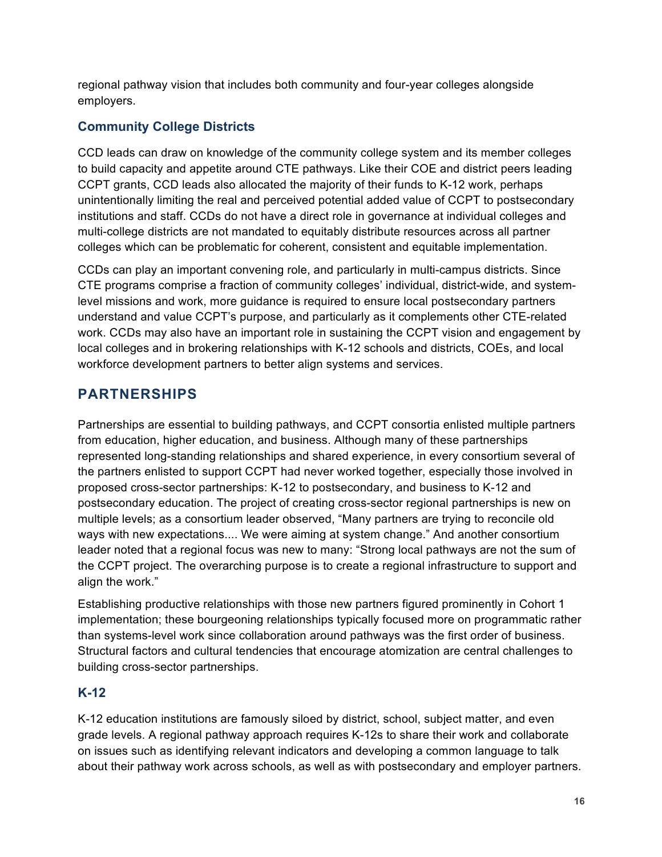regional pathway vision that includes both community and four-year colleges alongside employers.

#### **Community College Districts**

CCD leads can draw on knowledge of the community college system and its member colleges to build capacity and appetite around CTE pathways. Like their COE and district peers leading CCPT grants, CCD leads also allocated the majority of their funds to K-12 work, perhaps unintentionally limiting the real and perceived potential added value of CCPT to postsecondary institutions and staff. CCDs do not have a direct role in governance at individual colleges and multi-college districts are not mandated to equitably distribute resources across all partner colleges which can be problematic for coherent, consistent and equitable implementation.

CCDs can play an important convening role, and particularly in multi-campus districts. Since CTE programs comprise a fraction of community colleges' individual, district-wide, and systemlevel missions and work, more guidance is required to ensure local postsecondary partners understand and value CCPT's purpose, and particularly as it complements other CTE-related work. CCDs may also have an important role in sustaining the CCPT vision and engagement by local colleges and in brokering relationships with K-12 schools and districts, COEs, and local workforce development partners to better align systems and services.

## **PARTNERSHIPS**

Partnerships are essential to building pathways, and CCPT consortia enlisted multiple partners from education, higher education, and business. Although many of these partnerships represented long-standing relationships and shared experience, in every consortium several of the partners enlisted to support CCPT had never worked together, especially those involved in proposed cross-sector partnerships: K-12 to postsecondary, and business to K-12 and postsecondary education. The project of creating cross-sector regional partnerships is new on multiple levels; as a consortium leader observed, "Many partners are trying to reconcile old ways with new expectations.... We were aiming at system change." And another consortium leader noted that a regional focus was new to many: "Strong local pathways are not the sum of the CCPT project. The overarching purpose is to create a regional infrastructure to support and align the work."

Establishing productive relationships with those new partners figured prominently in Cohort 1 implementation; these bourgeoning relationships typically focused more on programmatic rather than systems-level work since collaboration around pathways was the first order of business. Structural factors and cultural tendencies that encourage atomization are central challenges to building cross-sector partnerships.

#### **K-12**

K-12 education institutions are famously siloed by district, school, subject matter, and even grade levels. A regional pathway approach requires K-12s to share their work and collaborate on issues such as identifying relevant indicators and developing a common language to talk about their pathway work across schools, as well as with postsecondary and employer partners.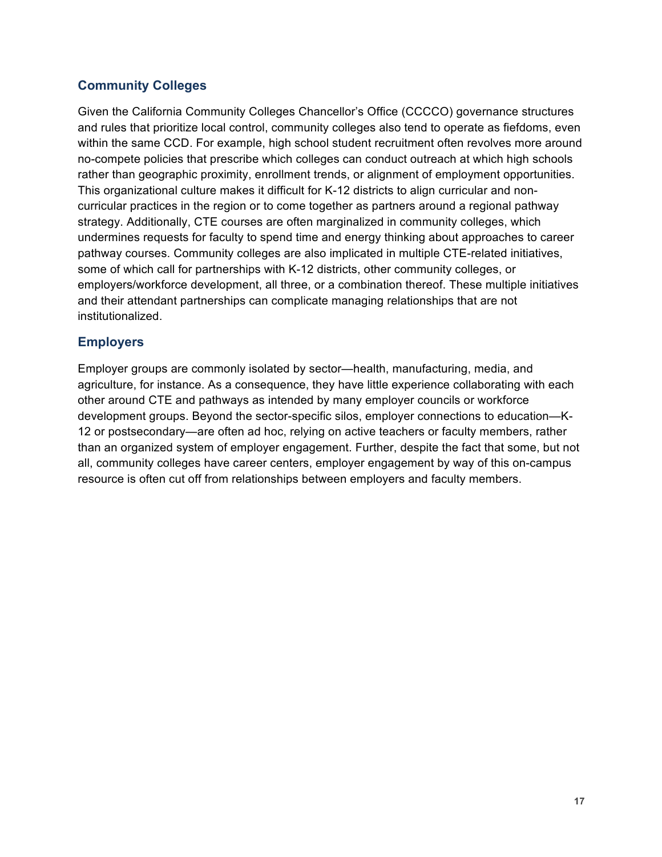#### **Community Colleges**

Given the California Community Colleges Chancellor's Office (CCCCO) governance structures and rules that prioritize local control, community colleges also tend to operate as fiefdoms, even within the same CCD. For example, high school student recruitment often revolves more around no-compete policies that prescribe which colleges can conduct outreach at which high schools rather than geographic proximity, enrollment trends, or alignment of employment opportunities. This organizational culture makes it difficult for K-12 districts to align curricular and noncurricular practices in the region or to come together as partners around a regional pathway strategy. Additionally, CTE courses are often marginalized in community colleges, which undermines requests for faculty to spend time and energy thinking about approaches to career pathway courses. Community colleges are also implicated in multiple CTE-related initiatives, some of which call for partnerships with K-12 districts, other community colleges, or employers/workforce development, all three, or a combination thereof. These multiple initiatives and their attendant partnerships can complicate managing relationships that are not institutionalized.

#### **Employers**

Employer groups are commonly isolated by sector—health, manufacturing, media, and agriculture, for instance. As a consequence, they have little experience collaborating with each other around CTE and pathways as intended by many employer councils or workforce development groups. Beyond the sector-specific silos, employer connections to education—K-12 or postsecondary—are often ad hoc, relying on active teachers or faculty members, rather than an organized system of employer engagement. Further, despite the fact that some, but not all, community colleges have career centers, employer engagement by way of this on-campus resource is often cut off from relationships between employers and faculty members.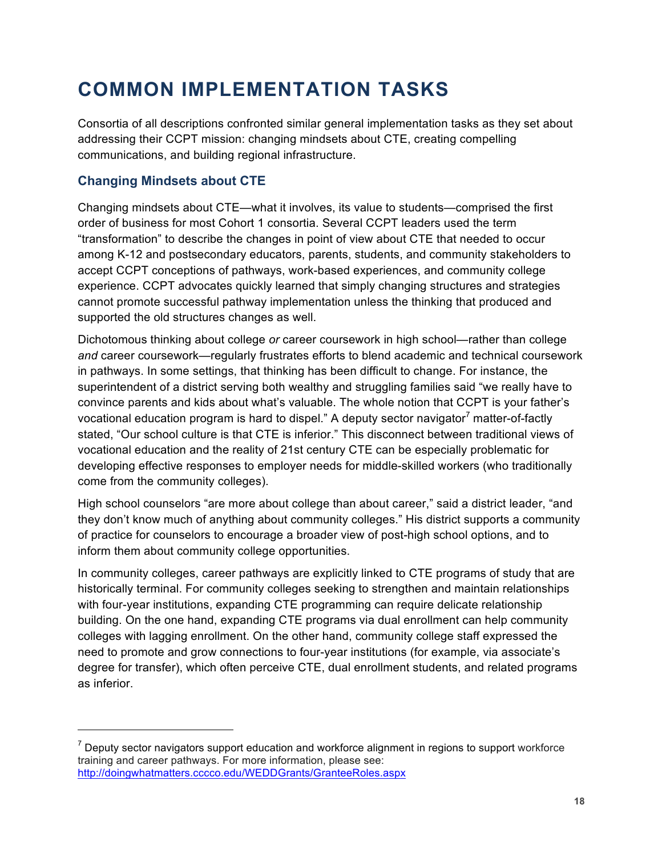# **COMMON IMPLEMENTATION TASKS**

Consortia of all descriptions confronted similar general implementation tasks as they set about addressing their CCPT mission: changing mindsets about CTE, creating compelling communications, and building regional infrastructure.

#### **Changing Mindsets about CTE**

 $\overline{a}$ 

Changing mindsets about CTE—what it involves, its value to students—comprised the first order of business for most Cohort 1 consortia. Several CCPT leaders used the term "transformation" to describe the changes in point of view about CTE that needed to occur among K-12 and postsecondary educators, parents, students, and community stakeholders to accept CCPT conceptions of pathways, work-based experiences, and community college experience. CCPT advocates quickly learned that simply changing structures and strategies cannot promote successful pathway implementation unless the thinking that produced and supported the old structures changes as well.

Dichotomous thinking about college *or* career coursework in high school—rather than college *and* career coursework—regularly frustrates efforts to blend academic and technical coursework in pathways. In some settings, that thinking has been difficult to change. For instance, the superintendent of a district serving both wealthy and struggling families said "we really have to convince parents and kids about what's valuable. The whole notion that CCPT is your father's vocational education program is hard to dispel." A deputy sector navigator<sup>7</sup> matter-of-factly stated, "Our school culture is that CTE is inferior." This disconnect between traditional views of vocational education and the reality of 21st century CTE can be especially problematic for developing effective responses to employer needs for middle-skilled workers (who traditionally come from the community colleges).

High school counselors "are more about college than about career," said a district leader, "and they don't know much of anything about community colleges." His district supports a community of practice for counselors to encourage a broader view of post-high school options, and to inform them about community college opportunities.

In community colleges, career pathways are explicitly linked to CTE programs of study that are historically terminal. For community colleges seeking to strengthen and maintain relationships with four-year institutions, expanding CTE programming can require delicate relationship building. On the one hand, expanding CTE programs via dual enrollment can help community colleges with lagging enrollment. On the other hand, community college staff expressed the need to promote and grow connections to four-year institutions (for example, via associate's degree for transfer), which often perceive CTE, dual enrollment students, and related programs as inferior.

 $7$  Deputy sector navigators support education and workforce alignment in regions to support workforce training and career pathways. For more information, please see: http://doingwhatmatters.cccco.edu/WEDDGrants/GranteeRoles.aspx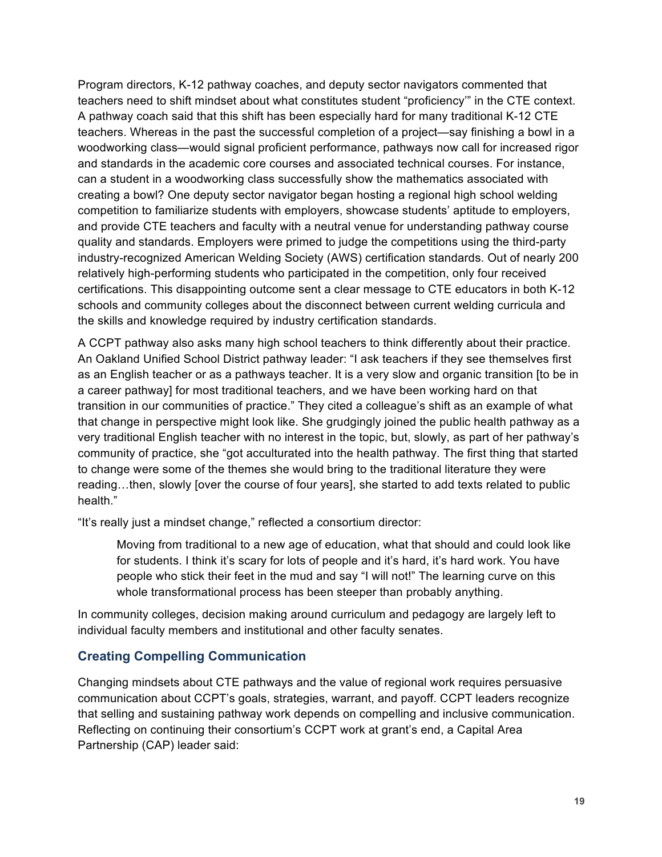Program directors, K-12 pathway coaches, and deputy sector navigators commented that teachers need to shift mindset about what constitutes student "proficiency'" in the CTE context. A pathway coach said that this shift has been especially hard for many traditional K-12 CTE teachers. Whereas in the past the successful completion of a project—say finishing a bowl in a woodworking class—would signal proficient performance, pathways now call for increased rigor and standards in the academic core courses and associated technical courses. For instance, can a student in a woodworking class successfully show the mathematics associated with creating a bowl? One deputy sector navigator began hosting a regional high school welding competition to familiarize students with employers, showcase students' aptitude to employers, and provide CTE teachers and faculty with a neutral venue for understanding pathway course quality and standards. Employers were primed to judge the competitions using the third-party industry-recognized American Welding Society (AWS) certification standards. Out of nearly 200 relatively high-performing students who participated in the competition, only four received certifications. This disappointing outcome sent a clear message to CTE educators in both K-12 schools and community colleges about the disconnect between current welding curricula and the skills and knowledge required by industry certification standards.

A CCPT pathway also asks many high school teachers to think differently about their practice. An Oakland Unified School District pathway leader: "I ask teachers if they see themselves first as an English teacher or as a pathways teacher. It is a very slow and organic transition [to be in a career pathway] for most traditional teachers, and we have been working hard on that transition in our communities of practice." They cited a colleague's shift as an example of what that change in perspective might look like. She grudgingly joined the public health pathway as a very traditional English teacher with no interest in the topic, but, slowly, as part of her pathway's community of practice, she "got acculturated into the health pathway. The first thing that started to change were some of the themes she would bring to the traditional literature they were reading…then, slowly [over the course of four years], she started to add texts related to public health."

"It's really just a mindset change," reflected a consortium director:

Moving from traditional to a new age of education, what that should and could look like for students. I think it's scary for lots of people and it's hard, it's hard work. You have people who stick their feet in the mud and say "I will not!" The learning curve on this whole transformational process has been steeper than probably anything.

In community colleges, decision making around curriculum and pedagogy are largely left to individual faculty members and institutional and other faculty senates.

#### **Creating Compelling Communication**

Changing mindsets about CTE pathways and the value of regional work requires persuasive communication about CCPT's goals, strategies, warrant, and payoff. CCPT leaders recognize that selling and sustaining pathway work depends on compelling and inclusive communication. Reflecting on continuing their consortium's CCPT work at grant's end, a Capital Area Partnership (CAP) leader said: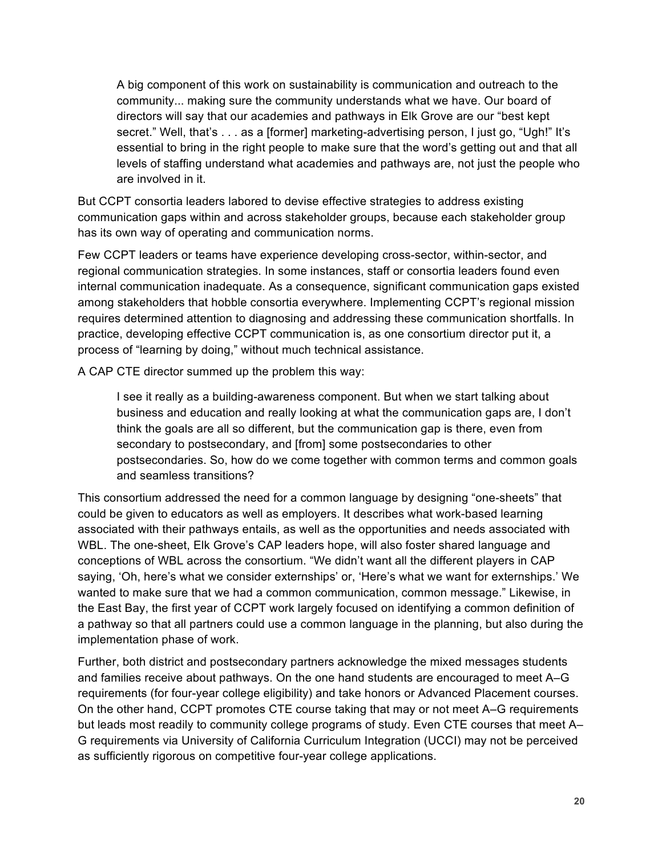A big component of this work on sustainability is communication and outreach to the community... making sure the community understands what we have. Our board of directors will say that our academies and pathways in Elk Grove are our "best kept secret." Well, that's . . . as a [former] marketing-advertising person, I just go, "Ugh!" It's essential to bring in the right people to make sure that the word's getting out and that all levels of staffing understand what academies and pathways are, not just the people who are involved in it.

But CCPT consortia leaders labored to devise effective strategies to address existing communication gaps within and across stakeholder groups, because each stakeholder group has its own way of operating and communication norms.

Few CCPT leaders or teams have experience developing cross-sector, within-sector, and regional communication strategies. In some instances, staff or consortia leaders found even internal communication inadequate. As a consequence, significant communication gaps existed among stakeholders that hobble consortia everywhere. Implementing CCPT's regional mission requires determined attention to diagnosing and addressing these communication shortfalls. In practice, developing effective CCPT communication is, as one consortium director put it, a process of "learning by doing," without much technical assistance.

A CAP CTE director summed up the problem this way:

I see it really as a building-awareness component. But when we start talking about business and education and really looking at what the communication gaps are, I don't think the goals are all so different, but the communication gap is there, even from secondary to postsecondary, and [from] some postsecondaries to other postsecondaries. So, how do we come together with common terms and common goals and seamless transitions?

This consortium addressed the need for a common language by designing "one-sheets" that could be given to educators as well as employers. It describes what work-based learning associated with their pathways entails, as well as the opportunities and needs associated with WBL. The one-sheet, Elk Grove's CAP leaders hope, will also foster shared language and conceptions of WBL across the consortium. "We didn't want all the different players in CAP saying, 'Oh, here's what we consider externships' or, 'Here's what we want for externships.' We wanted to make sure that we had a common communication, common message." Likewise, in the East Bay, the first year of CCPT work largely focused on identifying a common definition of a pathway so that all partners could use a common language in the planning, but also during the implementation phase of work.

Further, both district and postsecondary partners acknowledge the mixed messages students and families receive about pathways. On the one hand students are encouraged to meet A–G requirements (for four-year college eligibility) and take honors or Advanced Placement courses. On the other hand, CCPT promotes CTE course taking that may or not meet A–G requirements but leads most readily to community college programs of study. Even CTE courses that meet A– G requirements via University of California Curriculum Integration (UCCI) may not be perceived as sufficiently rigorous on competitive four-year college applications.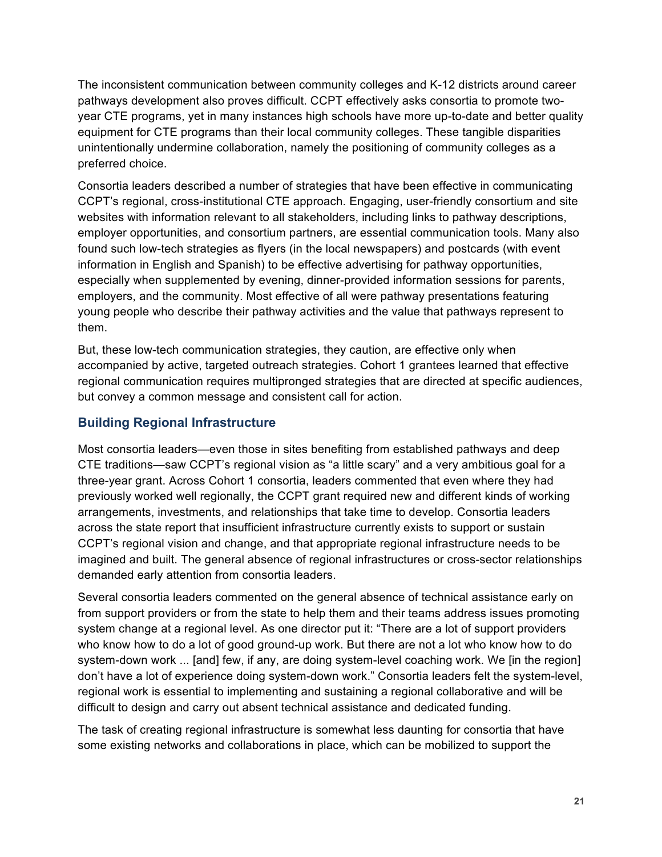The inconsistent communication between community colleges and K-12 districts around career pathways development also proves difficult. CCPT effectively asks consortia to promote twoyear CTE programs, yet in many instances high schools have more up-to-date and better quality equipment for CTE programs than their local community colleges. These tangible disparities unintentionally undermine collaboration, namely the positioning of community colleges as a preferred choice.

Consortia leaders described a number of strategies that have been effective in communicating CCPT's regional, cross-institutional CTE approach. Engaging, user-friendly consortium and site websites with information relevant to all stakeholders, including links to pathway descriptions, employer opportunities, and consortium partners, are essential communication tools. Many also found such low-tech strategies as flyers (in the local newspapers) and postcards (with event information in English and Spanish) to be effective advertising for pathway opportunities, especially when supplemented by evening, dinner-provided information sessions for parents, employers, and the community. Most effective of all were pathway presentations featuring young people who describe their pathway activities and the value that pathways represent to them.

But, these low-tech communication strategies, they caution, are effective only when accompanied by active, targeted outreach strategies. Cohort 1 grantees learned that effective regional communication requires multipronged strategies that are directed at specific audiences, but convey a common message and consistent call for action.

#### **Building Regional Infrastructure**

Most consortia leaders—even those in sites benefiting from established pathways and deep CTE traditions—saw CCPT's regional vision as "a little scary" and a very ambitious goal for a three-year grant. Across Cohort 1 consortia, leaders commented that even where they had previously worked well regionally, the CCPT grant required new and different kinds of working arrangements, investments, and relationships that take time to develop. Consortia leaders across the state report that insufficient infrastructure currently exists to support or sustain CCPT's regional vision and change, and that appropriate regional infrastructure needs to be imagined and built. The general absence of regional infrastructures or cross-sector relationships demanded early attention from consortia leaders.

Several consortia leaders commented on the general absence of technical assistance early on from support providers or from the state to help them and their teams address issues promoting system change at a regional level. As one director put it: "There are a lot of support providers who know how to do a lot of good ground-up work. But there are not a lot who know how to do system-down work ... [and] few, if any, are doing system-level coaching work. We [in the region] don't have a lot of experience doing system-down work." Consortia leaders felt the system-level, regional work is essential to implementing and sustaining a regional collaborative and will be difficult to design and carry out absent technical assistance and dedicated funding.

The task of creating regional infrastructure is somewhat less daunting for consortia that have some existing networks and collaborations in place, which can be mobilized to support the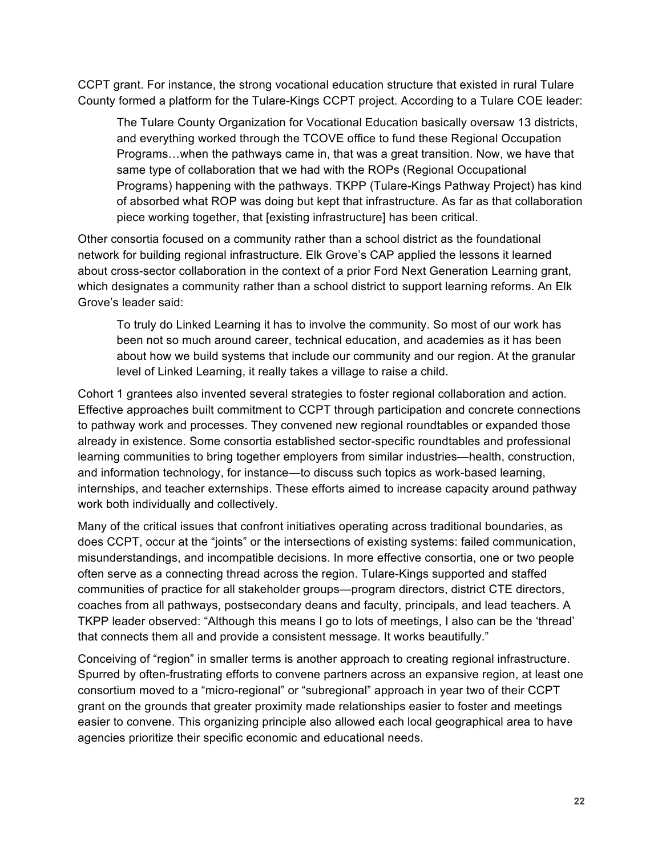CCPT grant. For instance, the strong vocational education structure that existed in rural Tulare County formed a platform for the Tulare-Kings CCPT project. According to a Tulare COE leader:

The Tulare County Organization for Vocational Education basically oversaw 13 districts, and everything worked through the TCOVE office to fund these Regional Occupation Programs…when the pathways came in, that was a great transition. Now, we have that same type of collaboration that we had with the ROPs (Regional Occupational Programs) happening with the pathways. TKPP (Tulare-Kings Pathway Project) has kind of absorbed what ROP was doing but kept that infrastructure. As far as that collaboration piece working together, that [existing infrastructure] has been critical.

Other consortia focused on a community rather than a school district as the foundational network for building regional infrastructure. Elk Grove's CAP applied the lessons it learned about cross-sector collaboration in the context of a prior Ford Next Generation Learning grant, which designates a community rather than a school district to support learning reforms. An Elk Grove's leader said:

To truly do Linked Learning it has to involve the community. So most of our work has been not so much around career, technical education, and academies as it has been about how we build systems that include our community and our region. At the granular level of Linked Learning, it really takes a village to raise a child.

Cohort 1 grantees also invented several strategies to foster regional collaboration and action. Effective approaches built commitment to CCPT through participation and concrete connections to pathway work and processes. They convened new regional roundtables or expanded those already in existence. Some consortia established sector-specific roundtables and professional learning communities to bring together employers from similar industries—health, construction, and information technology, for instance—to discuss such topics as work-based learning, internships, and teacher externships. These efforts aimed to increase capacity around pathway work both individually and collectively.

Many of the critical issues that confront initiatives operating across traditional boundaries, as does CCPT, occur at the "joints" or the intersections of existing systems: failed communication, misunderstandings, and incompatible decisions. In more effective consortia, one or two people often serve as a connecting thread across the region. Tulare-Kings supported and staffed communities of practice for all stakeholder groups—program directors, district CTE directors, coaches from all pathways, postsecondary deans and faculty, principals, and lead teachers. A TKPP leader observed: "Although this means I go to lots of meetings, I also can be the 'thread' that connects them all and provide a consistent message. It works beautifully."

Conceiving of "region" in smaller terms is another approach to creating regional infrastructure. Spurred by often-frustrating efforts to convene partners across an expansive region, at least one consortium moved to a "micro-regional" or "subregional" approach in year two of their CCPT grant on the grounds that greater proximity made relationships easier to foster and meetings easier to convene. This organizing principle also allowed each local geographical area to have agencies prioritize their specific economic and educational needs.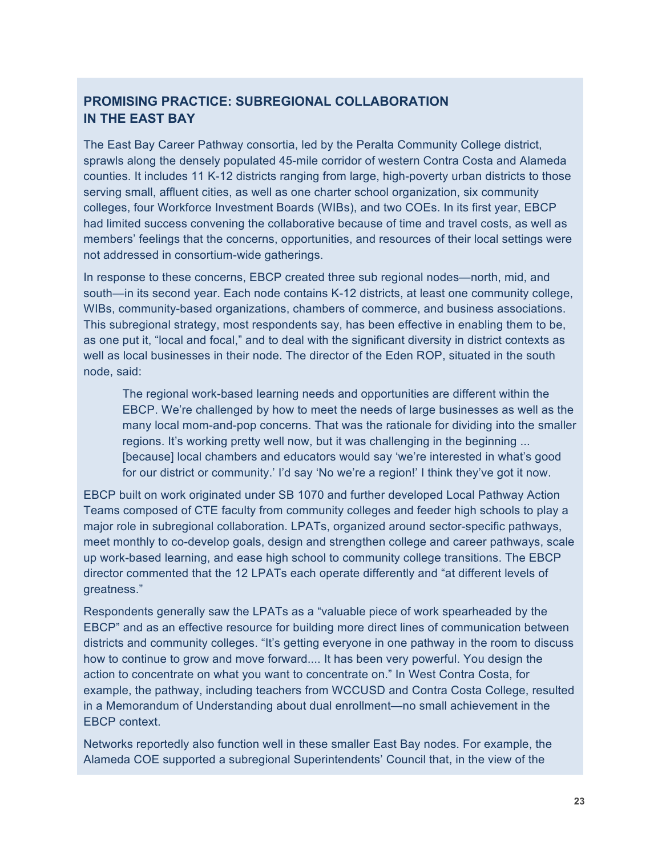#### **PROMISING PRACTICE: SUBREGIONAL COLLABORATION IN THE EAST BAY**

The East Bay Career Pathway consortia, led by the Peralta Community College district, sprawls along the densely populated 45-mile corridor of western Contra Costa and Alameda counties. It includes 11 K-12 districts ranging from large, high-poverty urban districts to those serving small, affluent cities, as well as one charter school organization, six community colleges, four Workforce Investment Boards (WIBs), and two COEs. In its first year, EBCP had limited success convening the collaborative because of time and travel costs, as well as members' feelings that the concerns, opportunities, and resources of their local settings were not addressed in consortium-wide gatherings.

In response to these concerns, EBCP created three sub regional nodes—north, mid, and south—in its second year. Each node contains K-12 districts, at least one community college, WIBs, community-based organizations, chambers of commerce, and business associations. This subregional strategy, most respondents say, has been effective in enabling them to be, as one put it, "local and focal," and to deal with the significant diversity in district contexts as well as local businesses in their node. The director of the Eden ROP, situated in the south node, said:

The regional work-based learning needs and opportunities are different within the EBCP. We're challenged by how to meet the needs of large businesses as well as the many local mom-and-pop concerns. That was the rationale for dividing into the smaller regions. It's working pretty well now, but it was challenging in the beginning ... [because] local chambers and educators would say 'we're interested in what's good for our district or community.' I'd say 'No we're a region!' I think they've got it now.

EBCP built on work originated under SB 1070 and further developed Local Pathway Action Teams composed of CTE faculty from community colleges and feeder high schools to play a major role in subregional collaboration. LPATs, organized around sector-specific pathways, meet monthly to co-develop goals, design and strengthen college and career pathways, scale up work-based learning, and ease high school to community college transitions. The EBCP director commented that the 12 LPATs each operate differently and "at different levels of greatness."

Respondents generally saw the LPATs as a "valuable piece of work spearheaded by the EBCP" and as an effective resource for building more direct lines of communication between districts and community colleges. "It's getting everyone in one pathway in the room to discuss how to continue to grow and move forward.... It has been very powerful. You design the action to concentrate on what you want to concentrate on." In West Contra Costa, for example, the pathway, including teachers from WCCUSD and Contra Costa College, resulted in a Memorandum of Understanding about dual enrollment—no small achievement in the EBCP context.

Networks reportedly also function well in these smaller East Bay nodes. For example, the Alameda COE supported a subregional Superintendents' Council that, in the view of the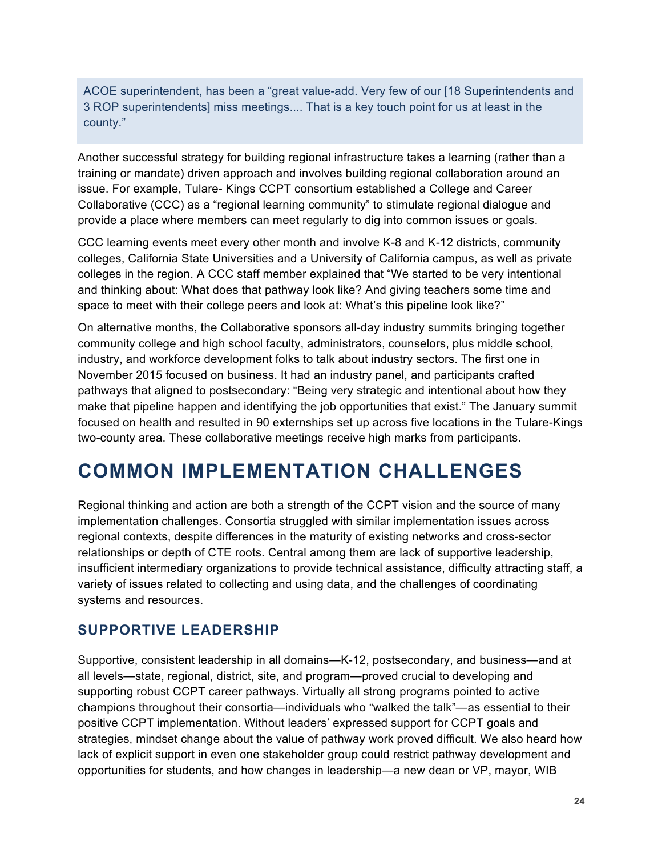ACOE superintendent, has been a "great value-add. Very few of our [18 Superintendents and 3 ROP superintendents] miss meetings.... That is a key touch point for us at least in the county."

Another successful strategy for building regional infrastructure takes a learning (rather than a training or mandate) driven approach and involves building regional collaboration around an issue. For example, Tulare- Kings CCPT consortium established a College and Career Collaborative (CCC) as a "regional learning community" to stimulate regional dialogue and provide a place where members can meet regularly to dig into common issues or goals.

CCC learning events meet every other month and involve K-8 and K-12 districts, community colleges, California State Universities and a University of California campus, as well as private colleges in the region. A CCC staff member explained that "We started to be very intentional and thinking about: What does that pathway look like? And giving teachers some time and space to meet with their college peers and look at: What's this pipeline look like?"

On alternative months, the Collaborative sponsors all-day industry summits bringing together community college and high school faculty, administrators, counselors, plus middle school, industry, and workforce development folks to talk about industry sectors. The first one in November 2015 focused on business. It had an industry panel, and participants crafted pathways that aligned to postsecondary: "Being very strategic and intentional about how they make that pipeline happen and identifying the job opportunities that exist." The January summit focused on health and resulted in 90 externships set up across five locations in the Tulare-Kings two-county area. These collaborative meetings receive high marks from participants.

# **COMMON IMPLEMENTATION CHALLENGES**

Regional thinking and action are both a strength of the CCPT vision and the source of many implementation challenges. Consortia struggled with similar implementation issues across regional contexts, despite differences in the maturity of existing networks and cross-sector relationships or depth of CTE roots. Central among them are lack of supportive leadership, insufficient intermediary organizations to provide technical assistance, difficulty attracting staff, a variety of issues related to collecting and using data, and the challenges of coordinating systems and resources.

#### **SUPPORTIVE LEADERSHIP**

Supportive, consistent leadership in all domains—K-12, postsecondary, and business—and at all levels—state, regional, district, site, and program—proved crucial to developing and supporting robust CCPT career pathways. Virtually all strong programs pointed to active champions throughout their consortia—individuals who "walked the talk"—as essential to their positive CCPT implementation. Without leaders' expressed support for CCPT goals and strategies, mindset change about the value of pathway work proved difficult. We also heard how lack of explicit support in even one stakeholder group could restrict pathway development and opportunities for students, and how changes in leadership—a new dean or VP, mayor, WIB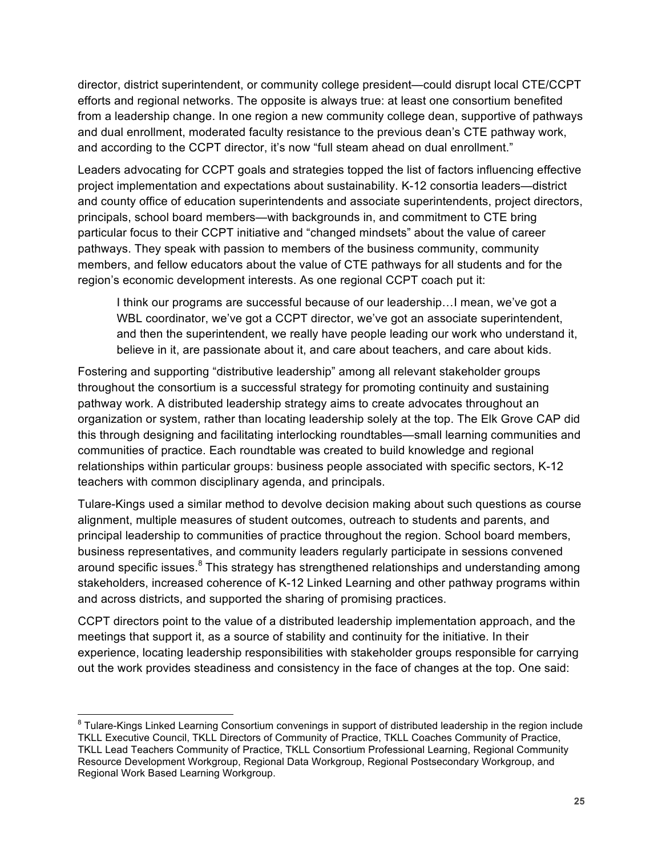director, district superintendent, or community college president—could disrupt local CTE/CCPT efforts and regional networks. The opposite is always true: at least one consortium benefited from a leadership change. In one region a new community college dean, supportive of pathways and dual enrollment, moderated faculty resistance to the previous dean's CTE pathway work, and according to the CCPT director, it's now "full steam ahead on dual enrollment."

Leaders advocating for CCPT goals and strategies topped the list of factors influencing effective project implementation and expectations about sustainability. K-12 consortia leaders—district and county office of education superintendents and associate superintendents, project directors, principals, school board members—with backgrounds in, and commitment to CTE bring particular focus to their CCPT initiative and "changed mindsets" about the value of career pathways. They speak with passion to members of the business community, community members, and fellow educators about the value of CTE pathways for all students and for the region's economic development interests. As one regional CCPT coach put it:

I think our programs are successful because of our leadership…I mean, we've got a WBL coordinator, we've got a CCPT director, we've got an associate superintendent, and then the superintendent, we really have people leading our work who understand it, believe in it, are passionate about it, and care about teachers, and care about kids.

Fostering and supporting "distributive leadership" among all relevant stakeholder groups throughout the consortium is a successful strategy for promoting continuity and sustaining pathway work. A distributed leadership strategy aims to create advocates throughout an organization or system, rather than locating leadership solely at the top. The Elk Grove CAP did this through designing and facilitating interlocking roundtables—small learning communities and communities of practice. Each roundtable was created to build knowledge and regional relationships within particular groups: business people associated with specific sectors, K-12 teachers with common disciplinary agenda, and principals.

Tulare-Kings used a similar method to devolve decision making about such questions as course alignment, multiple measures of student outcomes, outreach to students and parents, and principal leadership to communities of practice throughout the region. School board members, business representatives, and community leaders regularly participate in sessions convened around specific issues.<sup>8</sup> This strategy has strengthened relationships and understanding among stakeholders, increased coherence of K-12 Linked Learning and other pathway programs within and across districts, and supported the sharing of promising practices.

CCPT directors point to the value of a distributed leadership implementation approach, and the meetings that support it, as a source of stability and continuity for the initiative. In their experience, locating leadership responsibilities with stakeholder groups responsible for carrying out the work provides steadiness and consistency in the face of changes at the top. One said:

<sup>&</sup>lt;sup>8</sup> Tulare-Kings Linked Learning Consortium convenings in support of distributed leadership in the region include TKLL Executive Council, TKLL Directors of Community of Practice, TKLL Coaches Community of Practice, TKLL Lead Teachers Community of Practice, TKLL Consortium Professional Learning, Regional Community Resource Development Workgroup, Regional Data Workgroup, Regional Postsecondary Workgroup, and Regional Work Based Learning Workgroup.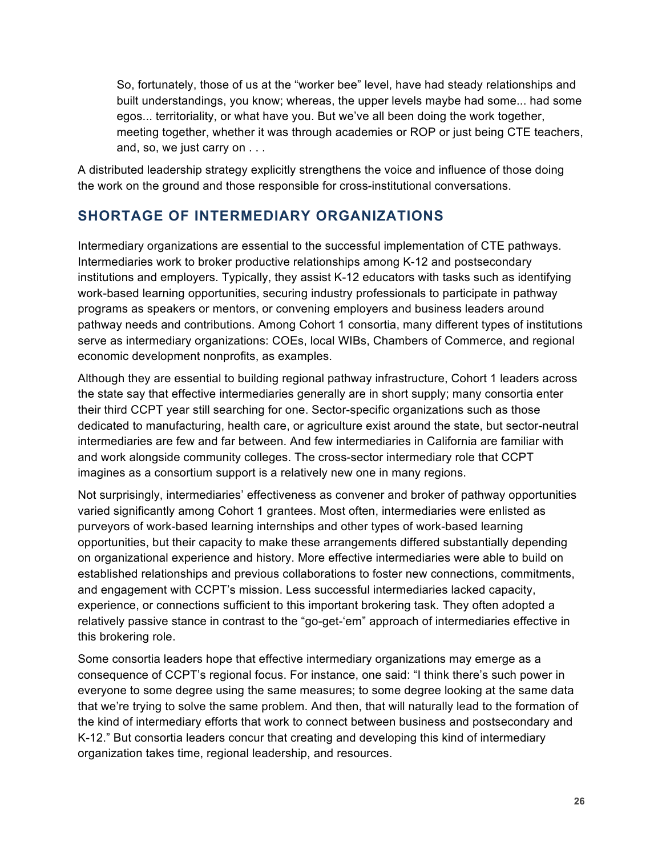So, fortunately, those of us at the "worker bee" level, have had steady relationships and built understandings, you know; whereas, the upper levels maybe had some... had some egos... territoriality, or what have you. But we've all been doing the work together, meeting together, whether it was through academies or ROP or just being CTE teachers, and, so, we just carry on . . .

A distributed leadership strategy explicitly strengthens the voice and influence of those doing the work on the ground and those responsible for cross-institutional conversations.

### **SHORTAGE OF INTERMEDIARY ORGANIZATIONS**

Intermediary organizations are essential to the successful implementation of CTE pathways. Intermediaries work to broker productive relationships among K-12 and postsecondary institutions and employers. Typically, they assist K-12 educators with tasks such as identifying work-based learning opportunities, securing industry professionals to participate in pathway programs as speakers or mentors, or convening employers and business leaders around pathway needs and contributions. Among Cohort 1 consortia, many different types of institutions serve as intermediary organizations: COEs, local WIBs, Chambers of Commerce, and regional economic development nonprofits, as examples.

Although they are essential to building regional pathway infrastructure, Cohort 1 leaders across the state say that effective intermediaries generally are in short supply; many consortia enter their third CCPT year still searching for one. Sector-specific organizations such as those dedicated to manufacturing, health care, or agriculture exist around the state, but sector-neutral intermediaries are few and far between. And few intermediaries in California are familiar with and work alongside community colleges. The cross-sector intermediary role that CCPT imagines as a consortium support is a relatively new one in many regions.

Not surprisingly, intermediaries' effectiveness as convener and broker of pathway opportunities varied significantly among Cohort 1 grantees. Most often, intermediaries were enlisted as purveyors of work-based learning internships and other types of work-based learning opportunities, but their capacity to make these arrangements differed substantially depending on organizational experience and history. More effective intermediaries were able to build on established relationships and previous collaborations to foster new connections, commitments, and engagement with CCPT's mission. Less successful intermediaries lacked capacity, experience, or connections sufficient to this important brokering task. They often adopted a relatively passive stance in contrast to the "go-get-'em" approach of intermediaries effective in this brokering role.

Some consortia leaders hope that effective intermediary organizations may emerge as a consequence of CCPT's regional focus. For instance, one said: "I think there's such power in everyone to some degree using the same measures; to some degree looking at the same data that we're trying to solve the same problem. And then, that will naturally lead to the formation of the kind of intermediary efforts that work to connect between business and postsecondary and K-12." But consortia leaders concur that creating and developing this kind of intermediary organization takes time, regional leadership, and resources.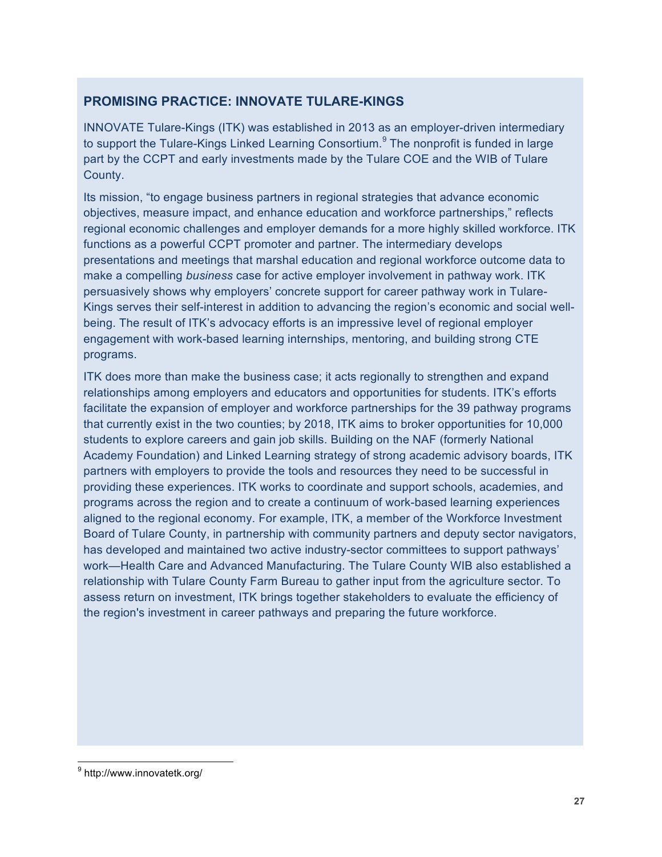#### **PROMISING PRACTICE: INNOVATE TULARE-KINGS**

INNOVATE Tulare-Kings (ITK) was established in 2013 as an employer-driven intermediary to support the Tulare-Kings Linked Learning Consortium. $9$  The nonprofit is funded in large part by the CCPT and early investments made by the Tulare COE and the WIB of Tulare County.

Its mission, "to engage business partners in regional strategies that advance economic objectives, measure impact, and enhance education and workforce partnerships," reflects regional economic challenges and employer demands for a more highly skilled workforce. ITK functions as a powerful CCPT promoter and partner. The intermediary develops presentations and meetings that marshal education and regional workforce outcome data to make a compelling *business* case for active employer involvement in pathway work. ITK persuasively shows why employers' concrete support for career pathway work in Tulare-Kings serves their self-interest in addition to advancing the region's economic and social wellbeing. The result of ITK's advocacy efforts is an impressive level of regional employer engagement with work-based learning internships, mentoring, and building strong CTE programs.

ITK does more than make the business case; it acts regionally to strengthen and expand relationships among employers and educators and opportunities for students. ITK's efforts facilitate the expansion of employer and workforce partnerships for the 39 pathway programs that currently exist in the two counties; by 2018, ITK aims to broker opportunities for 10,000 students to explore careers and gain job skills. Building on the NAF (formerly National Academy Foundation) and Linked Learning strategy of strong academic advisory boards, ITK partners with employers to provide the tools and resources they need to be successful in providing these experiences. ITK works to coordinate and support schools, academies, and programs across the region and to create a continuum of work-based learning experiences aligned to the regional economy. For example, ITK, a member of the Workforce Investment Board of Tulare County, in partnership with community partners and deputy sector navigators, has developed and maintained two active industry-sector committees to support pathways' work—Health Care and Advanced Manufacturing. The Tulare County WIB also established a relationship with Tulare County Farm Bureau to gather input from the agriculture sector. To assess return on investment, ITK brings together stakeholders to evaluate the efficiency of the region's investment in career pathways and preparing the future workforce.

<sup>&</sup>lt;sup>9</sup> http://www.innovatetk.org/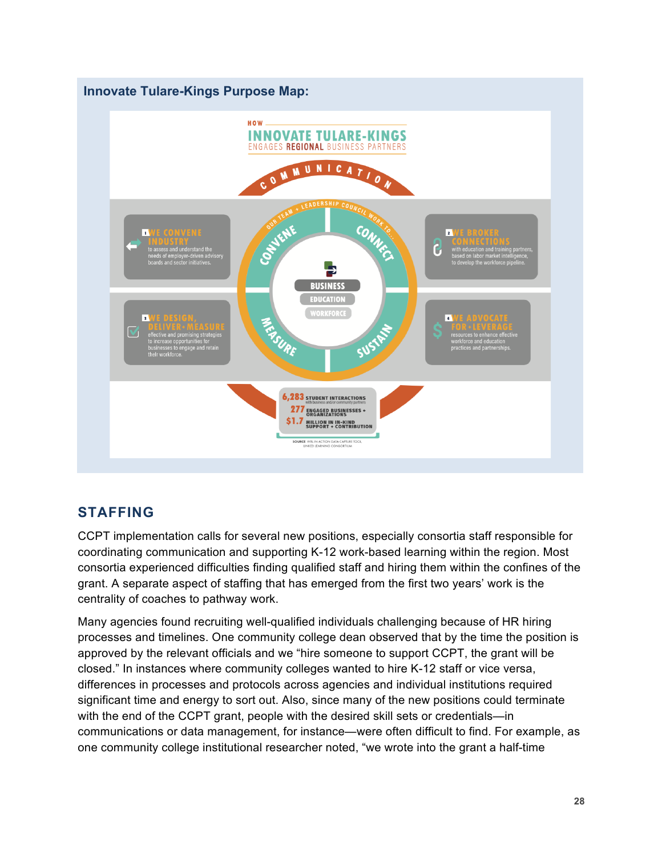

### **STAFFING**

CCPT implementation calls for several new positions, especially consortia staff responsible for coordinating communication and supporting K-12 work-based learning within the region. Most consortia experienced difficulties finding qualified staff and hiring them within the confines of the grant. A separate aspect of staffing that has emerged from the first two years' work is the centrality of coaches to pathway work.

Many agencies found recruiting well-qualified individuals challenging because of HR hiring processes and timelines. One community college dean observed that by the time the position is approved by the relevant officials and we "hire someone to support CCPT, the grant will be closed." In instances where community colleges wanted to hire K-12 staff or vice versa, differences in processes and protocols across agencies and individual institutions required significant time and energy to sort out. Also, since many of the new positions could terminate with the end of the CCPT grant, people with the desired skill sets or credentials—in communications or data management, for instance—were often difficult to find. For example, as one community college institutional researcher noted, "we wrote into the grant a half-time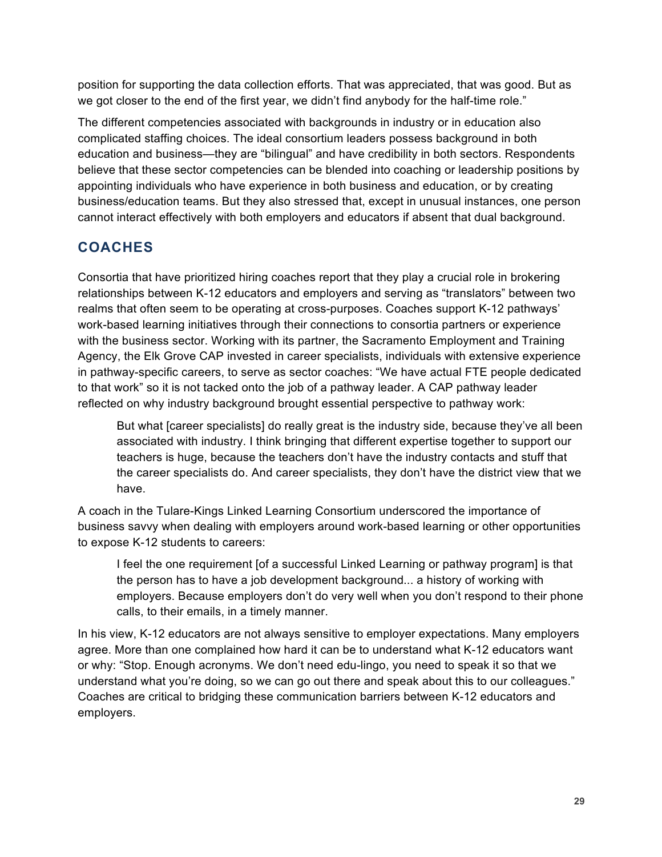position for supporting the data collection efforts. That was appreciated, that was good. But as we got closer to the end of the first year, we didn't find anybody for the half-time role."

The different competencies associated with backgrounds in industry or in education also complicated staffing choices. The ideal consortium leaders possess background in both education and business—they are "bilingual" and have credibility in both sectors. Respondents believe that these sector competencies can be blended into coaching or leadership positions by appointing individuals who have experience in both business and education, or by creating business/education teams. But they also stressed that, except in unusual instances, one person cannot interact effectively with both employers and educators if absent that dual background.

## **COACHES**

Consortia that have prioritized hiring coaches report that they play a crucial role in brokering relationships between K-12 educators and employers and serving as "translators" between two realms that often seem to be operating at cross-purposes. Coaches support K-12 pathways' work-based learning initiatives through their connections to consortia partners or experience with the business sector. Working with its partner, the Sacramento Employment and Training Agency, the Elk Grove CAP invested in career specialists, individuals with extensive experience in pathway-specific careers, to serve as sector coaches: "We have actual FTE people dedicated to that work" so it is not tacked onto the job of a pathway leader. A CAP pathway leader reflected on why industry background brought essential perspective to pathway work:

But what [career specialists] do really great is the industry side, because they've all been associated with industry. I think bringing that different expertise together to support our teachers is huge, because the teachers don't have the industry contacts and stuff that the career specialists do. And career specialists, they don't have the district view that we have.

A coach in the Tulare-Kings Linked Learning Consortium underscored the importance of business savvy when dealing with employers around work-based learning or other opportunities to expose K-12 students to careers:

I feel the one requirement [of a successful Linked Learning or pathway program] is that the person has to have a job development background... a history of working with employers. Because employers don't do very well when you don't respond to their phone calls, to their emails, in a timely manner.

In his view, K-12 educators are not always sensitive to employer expectations. Many employers agree. More than one complained how hard it can be to understand what K-12 educators want or why: "Stop. Enough acronyms. We don't need edu-lingo, you need to speak it so that we understand what you're doing, so we can go out there and speak about this to our colleagues." Coaches are critical to bridging these communication barriers between K-12 educators and employers.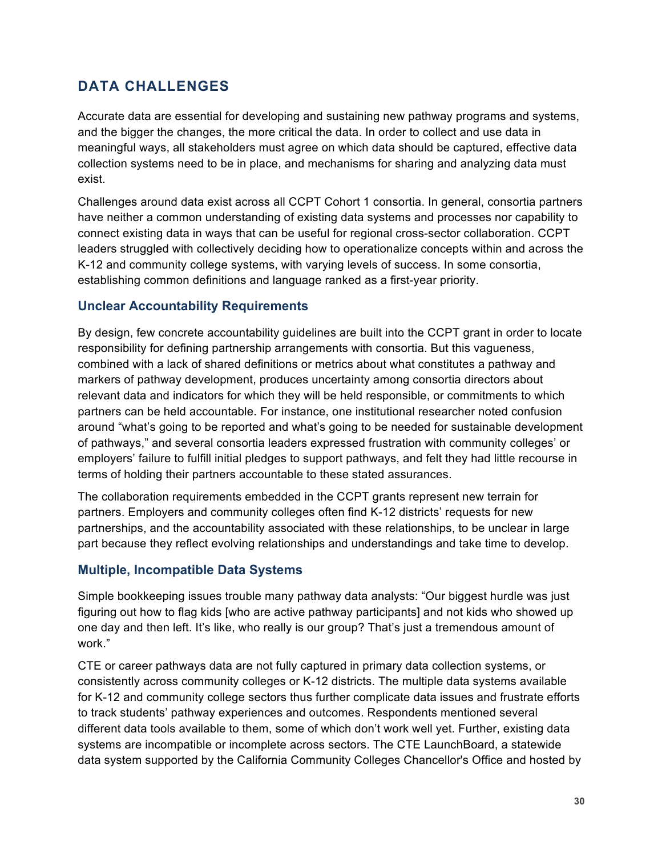### **DATA CHALLENGES**

Accurate data are essential for developing and sustaining new pathway programs and systems, and the bigger the changes, the more critical the data. In order to collect and use data in meaningful ways, all stakeholders must agree on which data should be captured, effective data collection systems need to be in place, and mechanisms for sharing and analyzing data must exist.

Challenges around data exist across all CCPT Cohort 1 consortia. In general, consortia partners have neither a common understanding of existing data systems and processes nor capability to connect existing data in ways that can be useful for regional cross-sector collaboration. CCPT leaders struggled with collectively deciding how to operationalize concepts within and across the K-12 and community college systems, with varying levels of success. In some consortia, establishing common definitions and language ranked as a first-year priority.

#### **Unclear Accountability Requirements**

By design, few concrete accountability guidelines are built into the CCPT grant in order to locate responsibility for defining partnership arrangements with consortia. But this vagueness, combined with a lack of shared definitions or metrics about what constitutes a pathway and markers of pathway development, produces uncertainty among consortia directors about relevant data and indicators for which they will be held responsible, or commitments to which partners can be held accountable. For instance, one institutional researcher noted confusion around "what's going to be reported and what's going to be needed for sustainable development of pathways," and several consortia leaders expressed frustration with community colleges' or employers' failure to fulfill initial pledges to support pathways, and felt they had little recourse in terms of holding their partners accountable to these stated assurances.

The collaboration requirements embedded in the CCPT grants represent new terrain for partners. Employers and community colleges often find K-12 districts' requests for new partnerships, and the accountability associated with these relationships, to be unclear in large part because they reflect evolving relationships and understandings and take time to develop.

#### **Multiple, Incompatible Data Systems**

Simple bookkeeping issues trouble many pathway data analysts: "Our biggest hurdle was just figuring out how to flag kids [who are active pathway participants] and not kids who showed up one day and then left. It's like, who really is our group? That's just a tremendous amount of work."

CTE or career pathways data are not fully captured in primary data collection systems, or consistently across community colleges or K-12 districts. The multiple data systems available for K-12 and community college sectors thus further complicate data issues and frustrate efforts to track students' pathway experiences and outcomes. Respondents mentioned several different data tools available to them, some of which don't work well yet. Further, existing data systems are incompatible or incomplete across sectors. The CTE LaunchBoard, a statewide data system supported by the California Community Colleges Chancellor's Office and hosted by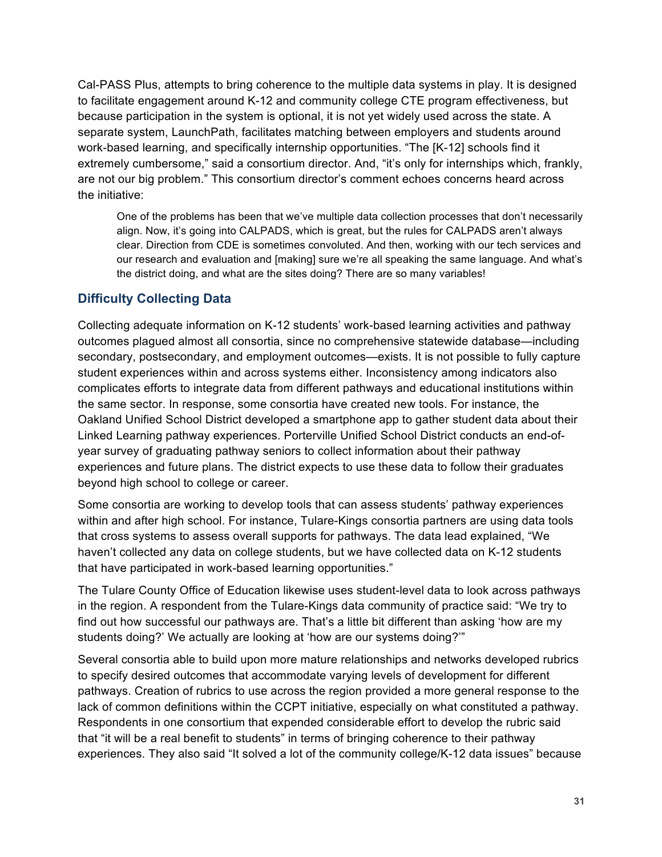Cal-PASS Plus, attempts to bring coherence to the multiple data systems in play. It is designed to facilitate engagement around K-12 and community college CTE program effectiveness, but because participation in the system is optional, it is not yet widely used across the state. A separate system, LaunchPath, facilitates matching between employers and students around work-based learning, and specifically internship opportunities. "The [K-12] schools find it extremely cumbersome," said a consortium director. And, "it's only for internships which, frankly, are not our big problem." This consortium director's comment echoes concerns heard across the initiative:

One of the problems has been that we've multiple data collection processes that don't necessarily align. Now, it's going into CALPADS, which is great, but the rules for CALPADS aren't always clear. Direction from CDE is sometimes convoluted. And then, working with our tech services and our research and evaluation and [making] sure we're all speaking the same language. And what's the district doing, and what are the sites doing? There are so many variables!

#### **Difficulty Collecting Data**

Collecting adequate information on K-12 students' work-based learning activities and pathway outcomes plagued almost all consortia, since no comprehensive statewide database—including secondary, postsecondary, and employment outcomes—exists. It is not possible to fully capture student experiences within and across systems either. Inconsistency among indicators also complicates efforts to integrate data from different pathways and educational institutions within the same sector. In response, some consortia have created new tools. For instance, the Oakland Unified School District developed a smartphone app to gather student data about their Linked Learning pathway experiences. Porterville Unified School District conducts an end-ofyear survey of graduating pathway seniors to collect information about their pathway experiences and future plans. The district expects to use these data to follow their graduates beyond high school to college or career.

Some consortia are working to develop tools that can assess students' pathway experiences within and after high school. For instance, Tulare-Kings consortia partners are using data tools that cross systems to assess overall supports for pathways. The data lead explained, "We haven't collected any data on college students, but we have collected data on K-12 students that have participated in work-based learning opportunities."

The Tulare County Office of Education likewise uses student-level data to look across pathways in the region. A respondent from the Tulare-Kings data community of practice said: "We try to find out how successful our pathways are. That's a little bit different than asking 'how are my students doing?' We actually are looking at 'how are our systems doing?'"

Several consortia able to build upon more mature relationships and networks developed rubrics to specify desired outcomes that accommodate varying levels of development for different pathways. Creation of rubrics to use across the region provided a more general response to the lack of common definitions within the CCPT initiative, especially on what constituted a pathway. Respondents in one consortium that expended considerable effort to develop the rubric said that "it will be a real benefit to students" in terms of bringing coherence to their pathway experiences. They also said "It solved a lot of the community college/K-12 data issues" because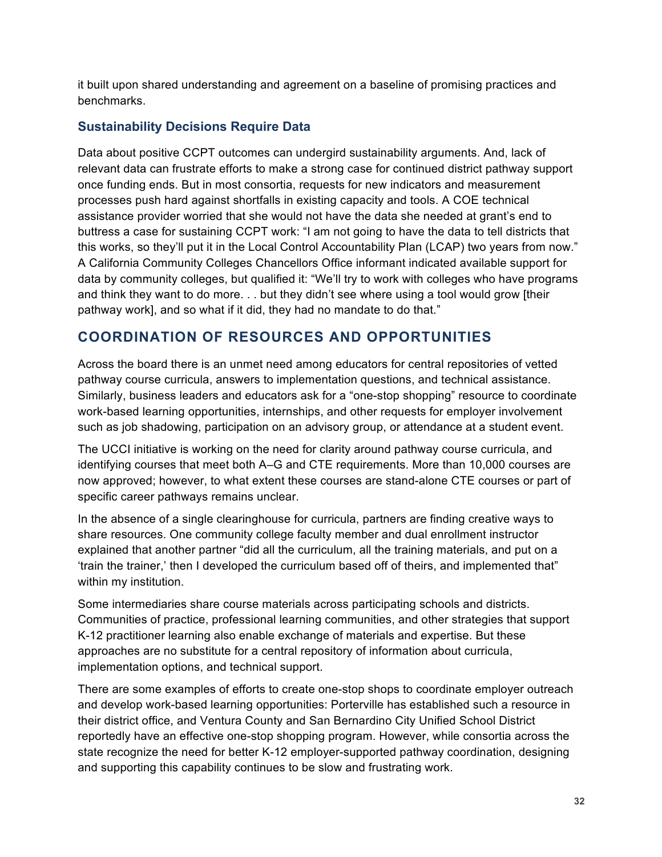it built upon shared understanding and agreement on a baseline of promising practices and benchmarks.

#### **Sustainability Decisions Require Data**

Data about positive CCPT outcomes can undergird sustainability arguments. And, lack of relevant data can frustrate efforts to make a strong case for continued district pathway support once funding ends. But in most consortia, requests for new indicators and measurement processes push hard against shortfalls in existing capacity and tools. A COE technical assistance provider worried that she would not have the data she needed at grant's end to buttress a case for sustaining CCPT work: "I am not going to have the data to tell districts that this works, so they'll put it in the Local Control Accountability Plan (LCAP) two years from now." A California Community Colleges Chancellors Office informant indicated available support for data by community colleges, but qualified it: "We'll try to work with colleges who have programs and think they want to do more. . . but they didn't see where using a tool would grow [their pathway work], and so what if it did, they had no mandate to do that."

### **COORDINATION OF RESOURCES AND OPPORTUNITIES**

Across the board there is an unmet need among educators for central repositories of vetted pathway course curricula, answers to implementation questions, and technical assistance. Similarly, business leaders and educators ask for a "one-stop shopping" resource to coordinate work-based learning opportunities, internships, and other requests for employer involvement such as job shadowing, participation on an advisory group, or attendance at a student event.

The UCCI initiative is working on the need for clarity around pathway course curricula, and identifying courses that meet both A–G and CTE requirements. More than 10,000 courses are now approved; however, to what extent these courses are stand-alone CTE courses or part of specific career pathways remains unclear.

In the absence of a single clearinghouse for curricula, partners are finding creative ways to share resources. One community college faculty member and dual enrollment instructor explained that another partner "did all the curriculum, all the training materials, and put on a 'train the trainer,' then I developed the curriculum based off of theirs, and implemented that" within my institution.

Some intermediaries share course materials across participating schools and districts. Communities of practice, professional learning communities, and other strategies that support K-12 practitioner learning also enable exchange of materials and expertise. But these approaches are no substitute for a central repository of information about curricula, implementation options, and technical support.

There are some examples of efforts to create one-stop shops to coordinate employer outreach and develop work-based learning opportunities: Porterville has established such a resource in their district office, and Ventura County and San Bernardino City Unified School District reportedly have an effective one-stop shopping program. However, while consortia across the state recognize the need for better K-12 employer-supported pathway coordination, designing and supporting this capability continues to be slow and frustrating work.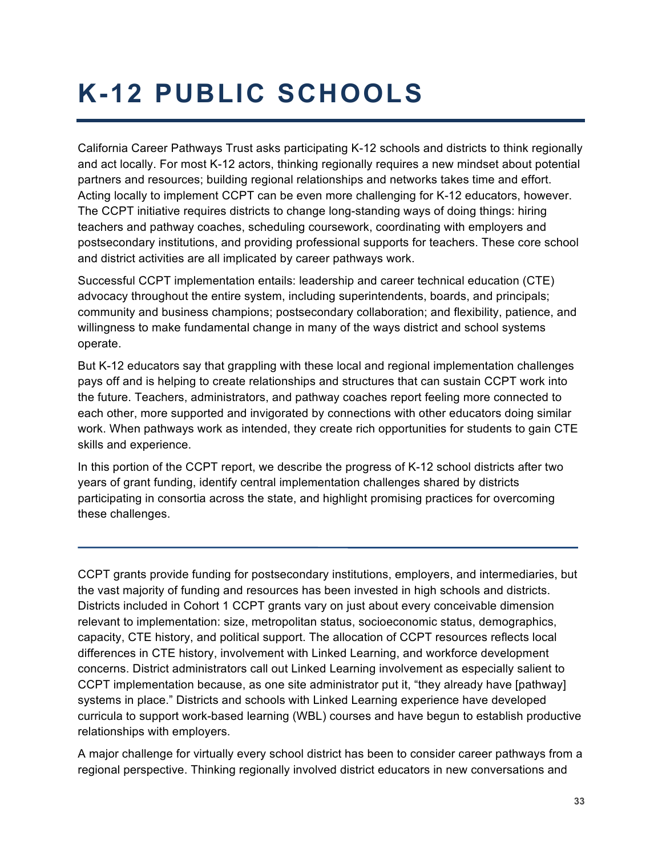# **K-12 PUBLIC SCHOOLS**

California Career Pathways Trust asks participating K-12 schools and districts to think regionally and act locally. For most K-12 actors, thinking regionally requires a new mindset about potential partners and resources; building regional relationships and networks takes time and effort. Acting locally to implement CCPT can be even more challenging for K-12 educators, however. The CCPT initiative requires districts to change long-standing ways of doing things: hiring teachers and pathway coaches, scheduling coursework, coordinating with employers and postsecondary institutions, and providing professional supports for teachers. These core school and district activities are all implicated by career pathways work.

Successful CCPT implementation entails: leadership and career technical education (CTE) advocacy throughout the entire system, including superintendents, boards, and principals; community and business champions; postsecondary collaboration; and flexibility, patience, and willingness to make fundamental change in many of the ways district and school systems operate.

But K-12 educators say that grappling with these local and regional implementation challenges pays off and is helping to create relationships and structures that can sustain CCPT work into the future. Teachers, administrators, and pathway coaches report feeling more connected to each other, more supported and invigorated by connections with other educators doing similar work. When pathways work as intended, they create rich opportunities for students to gain CTE skills and experience.

In this portion of the CCPT report, we describe the progress of K-12 school districts after two years of grant funding, identify central implementation challenges shared by districts participating in consortia across the state, and highlight promising practices for overcoming these challenges.

CCPT grants provide funding for postsecondary institutions, employers, and intermediaries, but the vast majority of funding and resources has been invested in high schools and districts. Districts included in Cohort 1 CCPT grants vary on just about every conceivable dimension relevant to implementation: size, metropolitan status, socioeconomic status, demographics, capacity, CTE history, and political support. The allocation of CCPT resources reflects local differences in CTE history, involvement with Linked Learning, and workforce development concerns. District administrators call out Linked Learning involvement as especially salient to CCPT implementation because, as one site administrator put it, "they already have [pathway] systems in place." Districts and schools with Linked Learning experience have developed curricula to support work-based learning (WBL) courses and have begun to establish productive relationships with employers.

A major challenge for virtually every school district has been to consider career pathways from a regional perspective. Thinking regionally involved district educators in new conversations and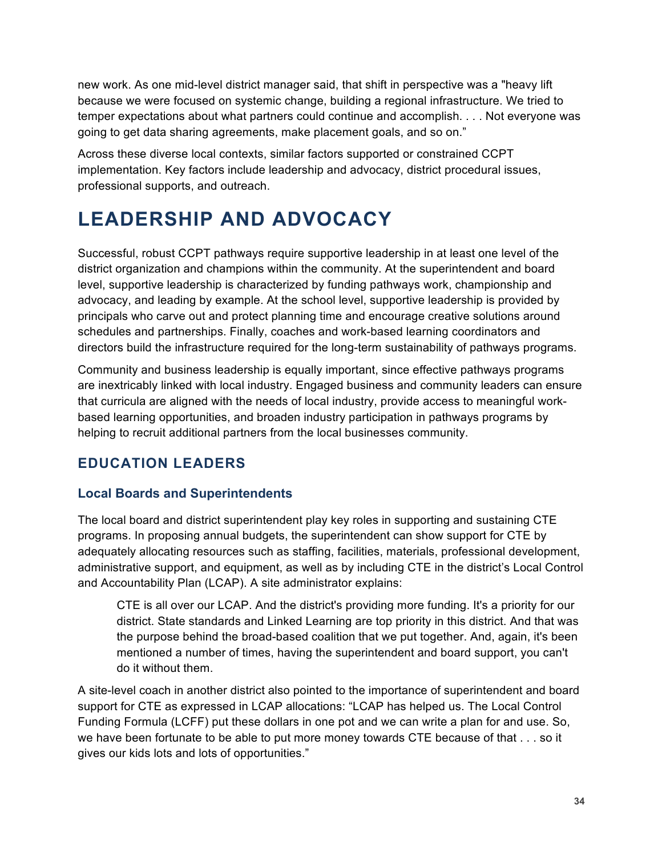new work. As one mid-level district manager said, that shift in perspective was a "heavy lift because we were focused on systemic change, building a regional infrastructure. We tried to temper expectations about what partners could continue and accomplish. . . . Not everyone was going to get data sharing agreements, make placement goals, and so on."

Across these diverse local contexts, similar factors supported or constrained CCPT implementation. Key factors include leadership and advocacy, district procedural issues, professional supports, and outreach.

# **LEADERSHIP AND ADVOCACY**

Successful, robust CCPT pathways require supportive leadership in at least one level of the district organization and champions within the community. At the superintendent and board level, supportive leadership is characterized by funding pathways work, championship and advocacy, and leading by example. At the school level, supportive leadership is provided by principals who carve out and protect planning time and encourage creative solutions around schedules and partnerships. Finally, coaches and work-based learning coordinators and directors build the infrastructure required for the long-term sustainability of pathways programs.

Community and business leadership is equally important, since effective pathways programs are inextricably linked with local industry. Engaged business and community leaders can ensure that curricula are aligned with the needs of local industry, provide access to meaningful workbased learning opportunities, and broaden industry participation in pathways programs by helping to recruit additional partners from the local businesses community.

## **EDUCATION LEADERS**

#### **Local Boards and Superintendents**

The local board and district superintendent play key roles in supporting and sustaining CTE programs. In proposing annual budgets, the superintendent can show support for CTE by adequately allocating resources such as staffing, facilities, materials, professional development, administrative support, and equipment, as well as by including CTE in the district's Local Control and Accountability Plan (LCAP). A site administrator explains:

CTE is all over our LCAP. And the district's providing more funding. It's a priority for our district. State standards and Linked Learning are top priority in this district. And that was the purpose behind the broad-based coalition that we put together. And, again, it's been mentioned a number of times, having the superintendent and board support, you can't do it without them.

A site-level coach in another district also pointed to the importance of superintendent and board support for CTE as expressed in LCAP allocations: "LCAP has helped us. The Local Control Funding Formula (LCFF) put these dollars in one pot and we can write a plan for and use. So, we have been fortunate to be able to put more money towards CTE because of that . . . so it gives our kids lots and lots of opportunities."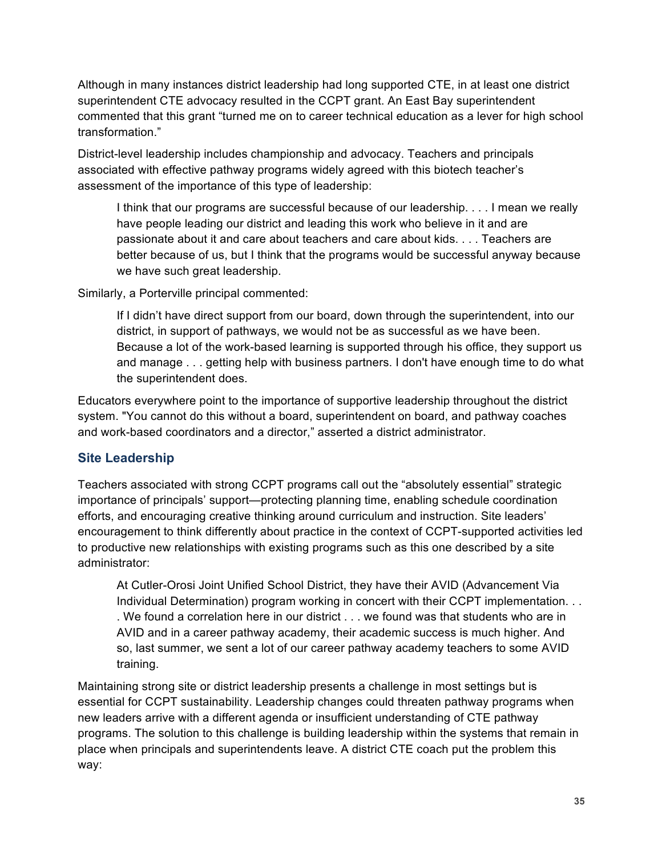Although in many instances district leadership had long supported CTE, in at least one district superintendent CTE advocacy resulted in the CCPT grant. An East Bay superintendent commented that this grant "turned me on to career technical education as a lever for high school transformation."

District-level leadership includes championship and advocacy. Teachers and principals associated with effective pathway programs widely agreed with this biotech teacher's assessment of the importance of this type of leadership:

I think that our programs are successful because of our leadership. . . . I mean we really have people leading our district and leading this work who believe in it and are passionate about it and care about teachers and care about kids. . . . Teachers are better because of us, but I think that the programs would be successful anyway because we have such great leadership.

Similarly, a Porterville principal commented:

If I didn't have direct support from our board, down through the superintendent, into our district, in support of pathways, we would not be as successful as we have been. Because a lot of the work-based learning is supported through his office, they support us and manage . . . getting help with business partners. I don't have enough time to do what the superintendent does.

Educators everywhere point to the importance of supportive leadership throughout the district system. "You cannot do this without a board, superintendent on board, and pathway coaches and work-based coordinators and a director," asserted a district administrator.

#### **Site Leadership**

Teachers associated with strong CCPT programs call out the "absolutely essential" strategic importance of principals' support—protecting planning time, enabling schedule coordination efforts, and encouraging creative thinking around curriculum and instruction. Site leaders' encouragement to think differently about practice in the context of CCPT-supported activities led to productive new relationships with existing programs such as this one described by a site administrator:

At Cutler-Orosi Joint Unified School District, they have their AVID (Advancement Via Individual Determination) program working in concert with their CCPT implementation. . . . We found a correlation here in our district . . . we found was that students who are in AVID and in a career pathway academy, their academic success is much higher. And so, last summer, we sent a lot of our career pathway academy teachers to some AVID training.

Maintaining strong site or district leadership presents a challenge in most settings but is essential for CCPT sustainability. Leadership changes could threaten pathway programs when new leaders arrive with a different agenda or insufficient understanding of CTE pathway programs. The solution to this challenge is building leadership within the systems that remain in place when principals and superintendents leave. A district CTE coach put the problem this way: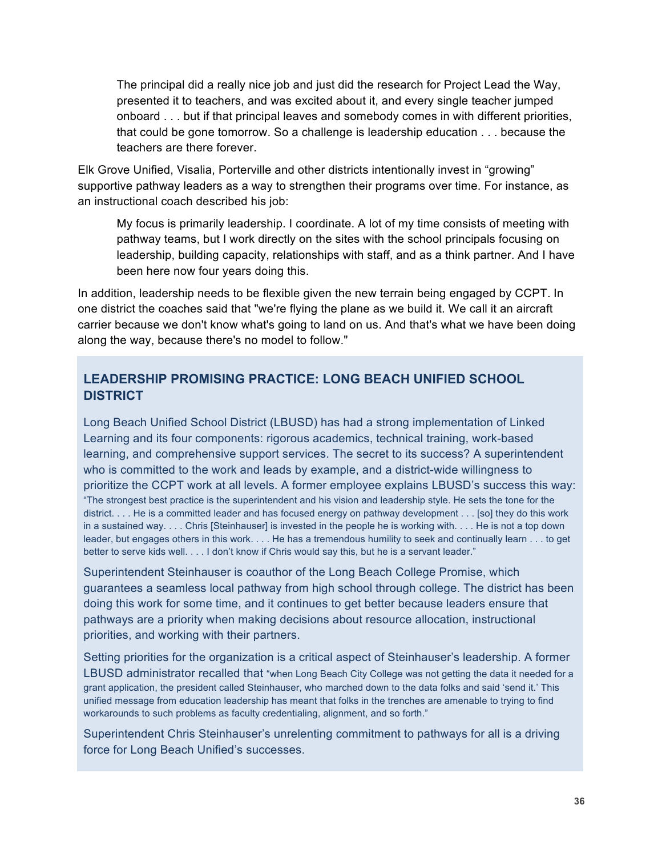The principal did a really nice job and just did the research for Project Lead the Way, presented it to teachers, and was excited about it, and every single teacher jumped onboard . . . but if that principal leaves and somebody comes in with different priorities, that could be gone tomorrow. So a challenge is leadership education . . . because the teachers are there forever.

Elk Grove Unified, Visalia, Porterville and other districts intentionally invest in "growing" supportive pathway leaders as a way to strengthen their programs over time. For instance, as an instructional coach described his job:

My focus is primarily leadership. I coordinate. A lot of my time consists of meeting with pathway teams, but I work directly on the sites with the school principals focusing on leadership, building capacity, relationships with staff, and as a think partner. And I have been here now four years doing this.

In addition, leadership needs to be flexible given the new terrain being engaged by CCPT. In one district the coaches said that "we're flying the plane as we build it. We call it an aircraft carrier because we don't know what's going to land on us. And that's what we have been doing along the way, because there's no model to follow."

#### **LEADERSHIP PROMISING PRACTICE: LONG BEACH UNIFIED SCHOOL DISTRICT**

Long Beach Unified School District (LBUSD) has had a strong implementation of Linked Learning and its four components: rigorous academics, technical training, work-based learning, and comprehensive support services. The secret to its success? A superintendent who is committed to the work and leads by example, and a district-wide willingness to prioritize the CCPT work at all levels. A former employee explains LBUSD's success this way: "The strongest best practice is the superintendent and his vision and leadership style. He sets the tone for the district. . . . He is a committed leader and has focused energy on pathway development . . . [so] they do this work in a sustained way. . . . Chris [Steinhauser] is invested in the people he is working with. . . . He is not a top down leader, but engages others in this work. . . . He has a tremendous humility to seek and continually learn . . . to get better to serve kids well. . . . I don't know if Chris would say this, but he is a servant leader."

Superintendent Steinhauser is coauthor of the Long Beach College Promise, which guarantees a seamless local pathway from high school through college. The district has been doing this work for some time, and it continues to get better because leaders ensure that pathways are a priority when making decisions about resource allocation, instructional priorities, and working with their partners.

Setting priorities for the organization is a critical aspect of Steinhauser's leadership. A former LBUSD administrator recalled that "when Long Beach City College was not getting the data it needed for a grant application, the president called Steinhauser, who marched down to the data folks and said 'send it.' This unified message from education leadership has meant that folks in the trenches are amenable to trying to find workarounds to such problems as faculty credentialing, alignment, and so forth."

Superintendent Chris Steinhauser's unrelenting commitment to pathways for all is a driving force for Long Beach Unified's successes.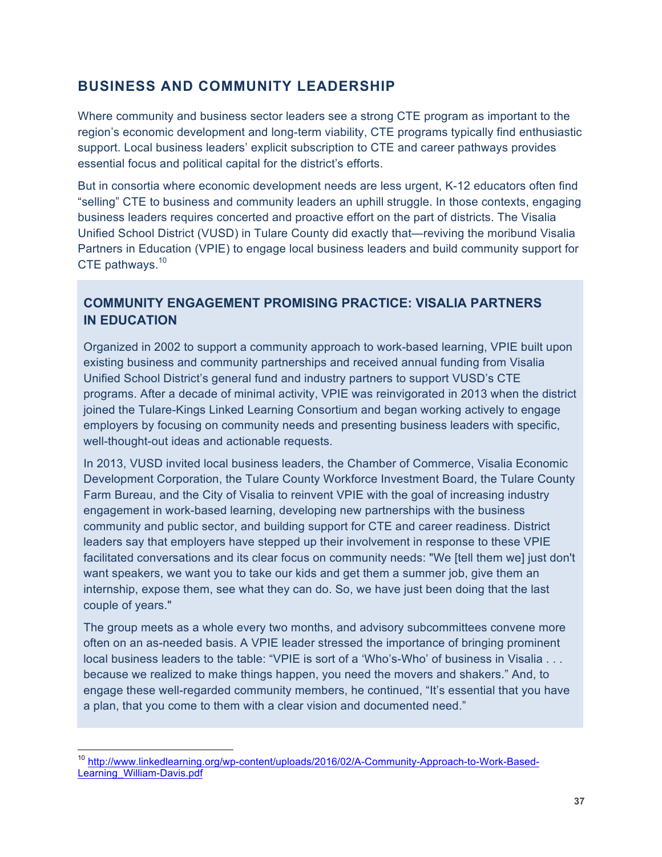### **BUSINESS AND COMMUNITY LEADERSHIP**

Where community and business sector leaders see a strong CTE program as important to the region's economic development and long-term viability, CTE programs typically find enthusiastic support. Local business leaders' explicit subscription to CTE and career pathways provides essential focus and political capital for the district's efforts.

But in consortia where economic development needs are less urgent, K-12 educators often find "selling" CTE to business and community leaders an uphill struggle. In those contexts, engaging business leaders requires concerted and proactive effort on the part of districts. The Visalia Unified School District (VUSD) in Tulare County did exactly that—reviving the moribund Visalia Partners in Education (VPIE) to engage local business leaders and build community support for CTE pathways.<sup>10</sup>

### **COMMUNITY ENGAGEMENT PROMISING PRACTICE: VISALIA PARTNERS IN EDUCATION**

Organized in 2002 to support a community approach to work-based learning, VPIE built upon existing business and community partnerships and received annual funding from Visalia Unified School District's general fund and industry partners to support VUSD's CTE programs. After a decade of minimal activity, VPIE was reinvigorated in 2013 when the district joined the Tulare-Kings Linked Learning Consortium and began working actively to engage employers by focusing on community needs and presenting business leaders with specific, well-thought-out ideas and actionable requests.

In 2013, VUSD invited local business leaders, the Chamber of Commerce, Visalia Economic Development Corporation, the Tulare County Workforce Investment Board, the Tulare County Farm Bureau, and the City of Visalia to reinvent VPIE with the goal of increasing industry engagement in work-based learning, developing new partnerships with the business community and public sector, and building support for CTE and career readiness. District leaders say that employers have stepped up their involvement in response to these VPIE facilitated conversations and its clear focus on community needs: "We [tell them we] just don't want speakers, we want you to take our kids and get them a summer job, give them an internship, expose them, see what they can do. So, we have just been doing that the last couple of years."

The group meets as a whole every two months, and advisory subcommittees convene more often on an as-needed basis. A VPIE leader stressed the importance of bringing prominent local business leaders to the table: "VPIE is sort of a 'Who's-Who' of business in Visalia . . . because we realized to make things happen, you need the movers and shakers." And, to engage these well-regarded community members, he continued, "It's essential that you have a plan, that you come to them with a clear vision and documented need."

<sup>&</sup>lt;sup>10</sup> http://www.linkedlearning.org/wp-content/uploads/2016/02/A-Community-Approach-to-Work-Based-Learning\_William-Davis.pdf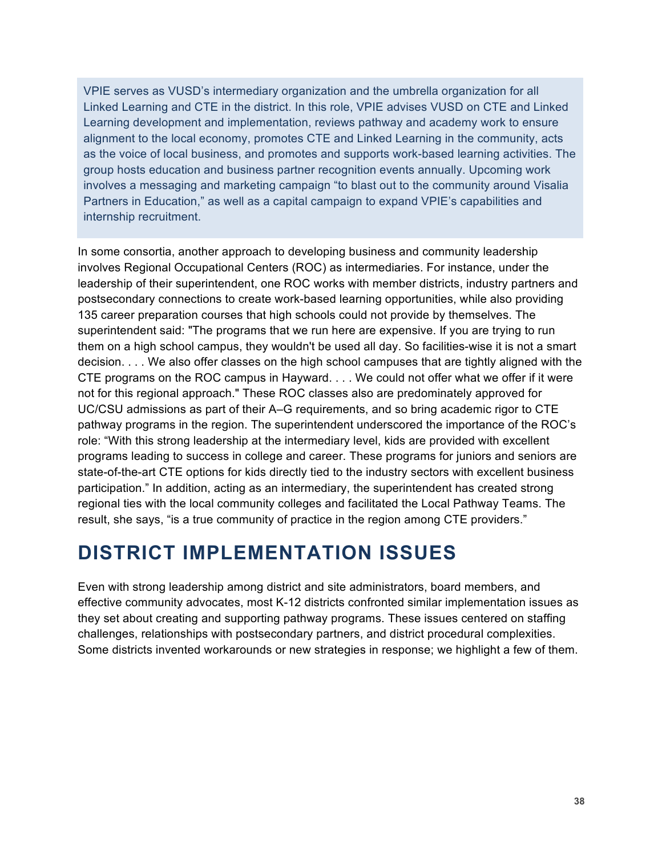VPIE serves as VUSD's intermediary organization and the umbrella organization for all Linked Learning and CTE in the district. In this role, VPIE advises VUSD on CTE and Linked Learning development and implementation, reviews pathway and academy work to ensure alignment to the local economy, promotes CTE and Linked Learning in the community, acts as the voice of local business, and promotes and supports work-based learning activities. The group hosts education and business partner recognition events annually. Upcoming work involves a messaging and marketing campaign "to blast out to the community around Visalia Partners in Education," as well as a capital campaign to expand VPIE's capabilities and internship recruitment.

In some consortia, another approach to developing business and community leadership involves Regional Occupational Centers (ROC) as intermediaries. For instance, under the leadership of their superintendent, one ROC works with member districts, industry partners and postsecondary connections to create work-based learning opportunities, while also providing 135 career preparation courses that high schools could not provide by themselves. The superintendent said: "The programs that we run here are expensive. If you are trying to run them on a high school campus, they wouldn't be used all day. So facilities-wise it is not a smart decision. . . . We also offer classes on the high school campuses that are tightly aligned with the CTE programs on the ROC campus in Hayward. . . . We could not offer what we offer if it were not for this regional approach." These ROC classes also are predominately approved for UC/CSU admissions as part of their A–G requirements, and so bring academic rigor to CTE pathway programs in the region. The superintendent underscored the importance of the ROC's role: "With this strong leadership at the intermediary level, kids are provided with excellent programs leading to success in college and career. These programs for juniors and seniors are state-of-the-art CTE options for kids directly tied to the industry sectors with excellent business participation." In addition, acting as an intermediary, the superintendent has created strong regional ties with the local community colleges and facilitated the Local Pathway Teams. The result, she says, "is a true community of practice in the region among CTE providers."

# **DISTRICT IMPLEMENTATION ISSUES**

Even with strong leadership among district and site administrators, board members, and effective community advocates, most K-12 districts confronted similar implementation issues as they set about creating and supporting pathway programs. These issues centered on staffing challenges, relationships with postsecondary partners, and district procedural complexities. Some districts invented workarounds or new strategies in response; we highlight a few of them.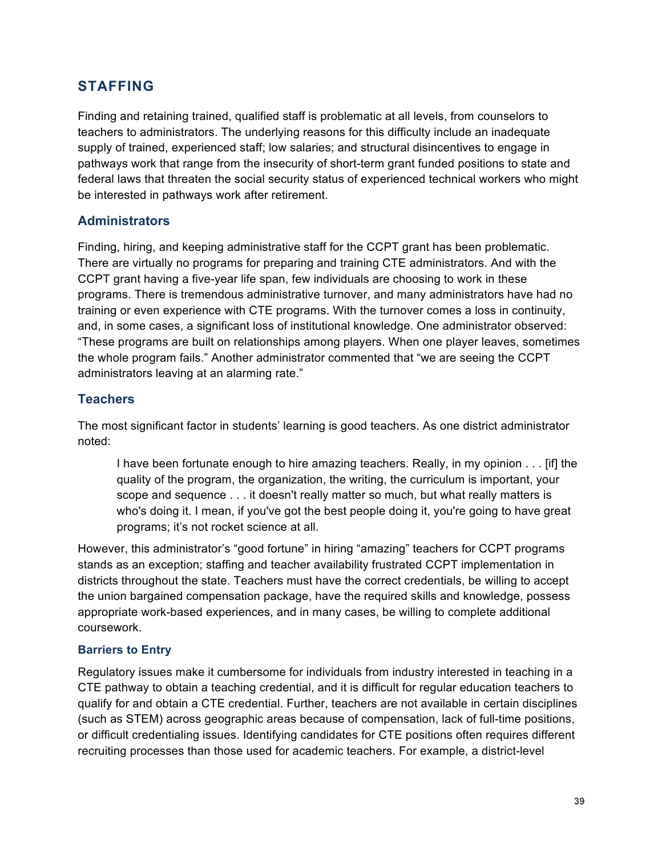## **STAFFING**

Finding and retaining trained, qualified staff is problematic at all levels, from counselors to teachers to administrators. The underlying reasons for this difficulty include an inadequate supply of trained, experienced staff; low salaries; and structural disincentives to engage in pathways work that range from the insecurity of short-term grant funded positions to state and federal laws that threaten the social security status of experienced technical workers who might be interested in pathways work after retirement.

### **Administrators**

Finding, hiring, and keeping administrative staff for the CCPT grant has been problematic. There are virtually no programs for preparing and training CTE administrators. And with the CCPT grant having a five-year life span, few individuals are choosing to work in these programs. There is tremendous administrative turnover, and many administrators have had no training or even experience with CTE programs. With the turnover comes a loss in continuity, and, in some cases, a significant loss of institutional knowledge. One administrator observed: "These programs are built on relationships among players. When one player leaves, sometimes the whole program fails." Another administrator commented that "we are seeing the CCPT administrators leaving at an alarming rate."

### **Teachers**

The most significant factor in students' learning is good teachers. As one district administrator noted:

I have been fortunate enough to hire amazing teachers. Really, in my opinion . . . [if] the quality of the program, the organization, the writing, the curriculum is important, your scope and sequence . . . it doesn't really matter so much, but what really matters is who's doing it. I mean, if you've got the best people doing it, you're going to have great programs; it's not rocket science at all.

However, this administrator's "good fortune" in hiring "amazing" teachers for CCPT programs stands as an exception; staffing and teacher availability frustrated CCPT implementation in districts throughout the state. Teachers must have the correct credentials, be willing to accept the union bargained compensation package, have the required skills and knowledge, possess appropriate work-based experiences, and in many cases, be willing to complete additional coursework.

### **Barriers to Entry**

Regulatory issues make it cumbersome for individuals from industry interested in teaching in a CTE pathway to obtain a teaching credential, and it is difficult for regular education teachers to qualify for and obtain a CTE credential. Further, teachers are not available in certain disciplines (such as STEM) across geographic areas because of compensation, lack of full-time positions, or difficult credentialing issues. Identifying candidates for CTE positions often requires different recruiting processes than those used for academic teachers. For example, a district-level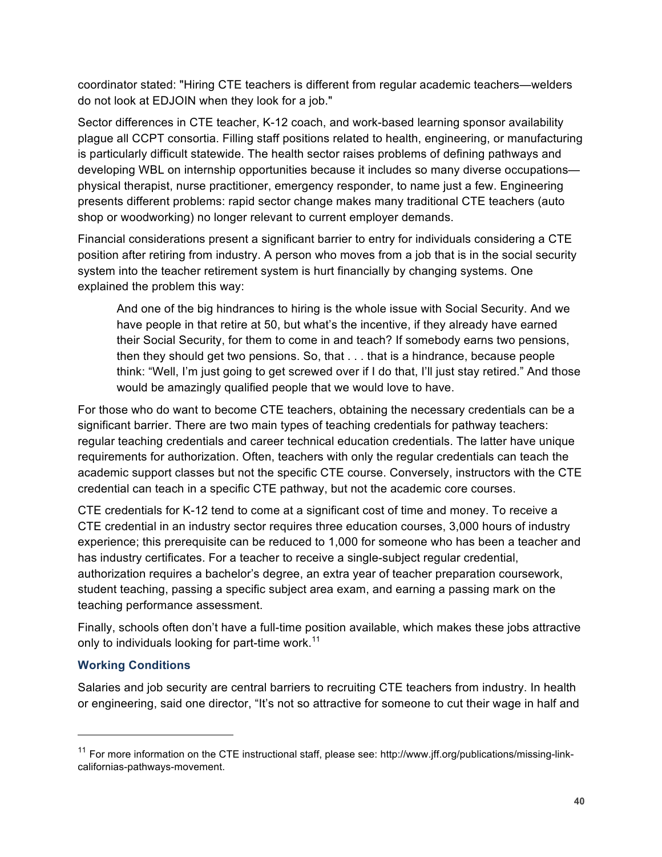coordinator stated: "Hiring CTE teachers is different from regular academic teachers—welders do not look at EDJOIN when they look for a job."

Sector differences in CTE teacher, K-12 coach, and work-based learning sponsor availability plague all CCPT consortia. Filling staff positions related to health, engineering, or manufacturing is particularly difficult statewide. The health sector raises problems of defining pathways and developing WBL on internship opportunities because it includes so many diverse occupations physical therapist, nurse practitioner, emergency responder, to name just a few. Engineering presents different problems: rapid sector change makes many traditional CTE teachers (auto shop or woodworking) no longer relevant to current employer demands.

Financial considerations present a significant barrier to entry for individuals considering a CTE position after retiring from industry. A person who moves from a job that is in the social security system into the teacher retirement system is hurt financially by changing systems. One explained the problem this way:

And one of the big hindrances to hiring is the whole issue with Social Security. And we have people in that retire at 50, but what's the incentive, if they already have earned their Social Security, for them to come in and teach? If somebody earns two pensions, then they should get two pensions. So, that . . . that is a hindrance, because people think: "Well, I'm just going to get screwed over if I do that, I'll just stay retired." And those would be amazingly qualified people that we would love to have.

For those who do want to become CTE teachers, obtaining the necessary credentials can be a significant barrier. There are two main types of teaching credentials for pathway teachers: regular teaching credentials and career technical education credentials. The latter have unique requirements for authorization. Often, teachers with only the regular credentials can teach the academic support classes but not the specific CTE course. Conversely, instructors with the CTE credential can teach in a specific CTE pathway, but not the academic core courses.

CTE credentials for K-12 tend to come at a significant cost of time and money. To receive a CTE credential in an industry sector requires three education courses, 3,000 hours of industry experience; this prerequisite can be reduced to 1,000 for someone who has been a teacher and has industry certificates. For a teacher to receive a single-subject regular credential, authorization requires a bachelor's degree, an extra year of teacher preparation coursework, student teaching, passing a specific subject area exam, and earning a passing mark on the teaching performance assessment.

Finally, schools often don't have a full-time position available, which makes these jobs attractive only to individuals looking for part-time work.<sup>11</sup>

### **Working Conditions**

Salaries and job security are central barriers to recruiting CTE teachers from industry. In health or engineering, said one director, "It's not so attractive for someone to cut their wage in half and

<sup>&</sup>lt;sup>11</sup> For more information on the CTE instructional staff, please see: http://www.jff.org/publications/missing-linkcalifornias-pathways-movement.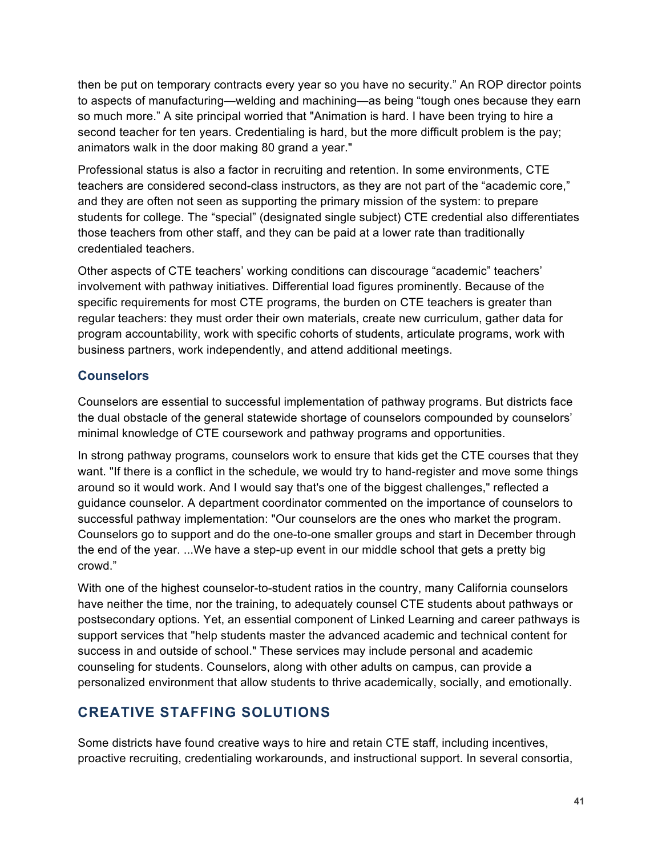then be put on temporary contracts every year so you have no security." An ROP director points to aspects of manufacturing—welding and machining—as being "tough ones because they earn so much more." A site principal worried that "Animation is hard. I have been trying to hire a second teacher for ten years. Credentialing is hard, but the more difficult problem is the pay; animators walk in the door making 80 grand a year."

Professional status is also a factor in recruiting and retention. In some environments, CTE teachers are considered second-class instructors, as they are not part of the "academic core," and they are often not seen as supporting the primary mission of the system: to prepare students for college. The "special" (designated single subject) CTE credential also differentiates those teachers from other staff, and they can be paid at a lower rate than traditionally credentialed teachers.

Other aspects of CTE teachers' working conditions can discourage "academic" teachers' involvement with pathway initiatives. Differential load figures prominently. Because of the specific requirements for most CTE programs, the burden on CTE teachers is greater than regular teachers: they must order their own materials, create new curriculum, gather data for program accountability, work with specific cohorts of students, articulate programs, work with business partners, work independently, and attend additional meetings.

### **Counselors**

Counselors are essential to successful implementation of pathway programs. But districts face the dual obstacle of the general statewide shortage of counselors compounded by counselors' minimal knowledge of CTE coursework and pathway programs and opportunities.

In strong pathway programs, counselors work to ensure that kids get the CTE courses that they want. "If there is a conflict in the schedule, we would try to hand-register and move some things around so it would work. And I would say that's one of the biggest challenges," reflected a guidance counselor. A department coordinator commented on the importance of counselors to successful pathway implementation: "Our counselors are the ones who market the program. Counselors go to support and do the one-to-one smaller groups and start in December through the end of the year. ...We have a step-up event in our middle school that gets a pretty big crowd."

With one of the highest counselor-to-student ratios in the country, many California counselors have neither the time, nor the training, to adequately counsel CTE students about pathways or postsecondary options. Yet, an essential component of Linked Learning and career pathways is support services that "help students master the advanced academic and technical content for success in and outside of school." These services may include personal and academic counseling for students. Counselors, along with other adults on campus, can provide a personalized environment that allow students to thrive academically, socially, and emotionally.

# **CREATIVE STAFFING SOLUTIONS**

Some districts have found creative ways to hire and retain CTE staff, including incentives, proactive recruiting, credentialing workarounds, and instructional support. In several consortia,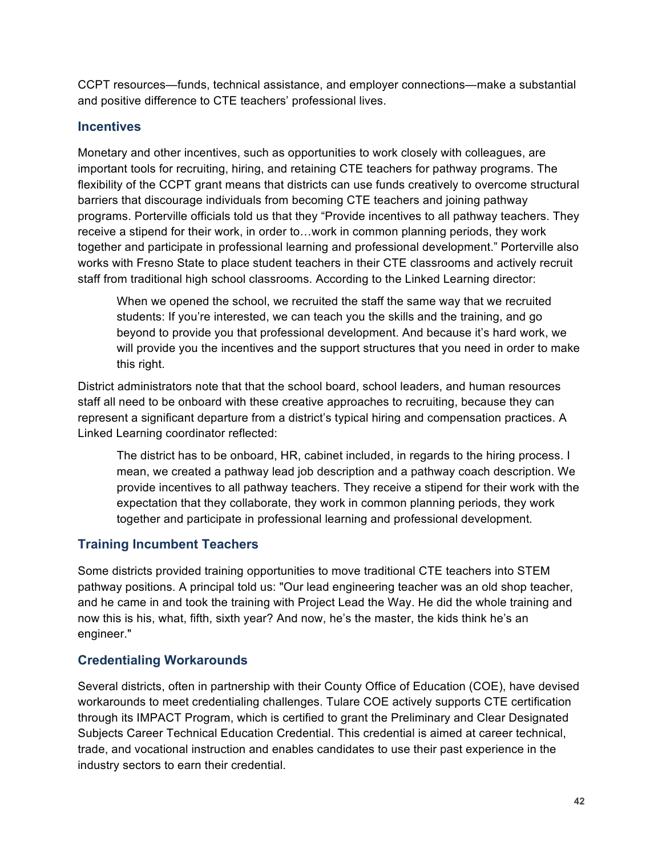CCPT resources—funds, technical assistance, and employer connections—make a substantial and positive difference to CTE teachers' professional lives.

### **Incentives**

Monetary and other incentives, such as opportunities to work closely with colleagues, are important tools for recruiting, hiring, and retaining CTE teachers for pathway programs. The flexibility of the CCPT grant means that districts can use funds creatively to overcome structural barriers that discourage individuals from becoming CTE teachers and joining pathway programs. Porterville officials told us that they "Provide incentives to all pathway teachers. They receive a stipend for their work, in order to…work in common planning periods, they work together and participate in professional learning and professional development." Porterville also works with Fresno State to place student teachers in their CTE classrooms and actively recruit staff from traditional high school classrooms. According to the Linked Learning director:

When we opened the school, we recruited the staff the same way that we recruited students: If you're interested, we can teach you the skills and the training, and go beyond to provide you that professional development. And because it's hard work, we will provide you the incentives and the support structures that you need in order to make this right.

District administrators note that that the school board, school leaders, and human resources staff all need to be onboard with these creative approaches to recruiting, because they can represent a significant departure from a district's typical hiring and compensation practices. A Linked Learning coordinator reflected:

The district has to be onboard, HR, cabinet included, in regards to the hiring process. I mean, we created a pathway lead job description and a pathway coach description. We provide incentives to all pathway teachers. They receive a stipend for their work with the expectation that they collaborate, they work in common planning periods, they work together and participate in professional learning and professional development.

## **Training Incumbent Teachers**

Some districts provided training opportunities to move traditional CTE teachers into STEM pathway positions. A principal told us: "Our lead engineering teacher was an old shop teacher, and he came in and took the training with Project Lead the Way. He did the whole training and now this is his, what, fifth, sixth year? And now, he's the master, the kids think he's an engineer."

## **Credentialing Workarounds**

Several districts, often in partnership with their County Office of Education (COE), have devised workarounds to meet credentialing challenges. Tulare COE actively supports CTE certification through its IMPACT Program, which is certified to grant the Preliminary and Clear Designated Subjects Career Technical Education Credential. This credential is aimed at career technical, trade, and vocational instruction and enables candidates to use their past experience in the industry sectors to earn their credential.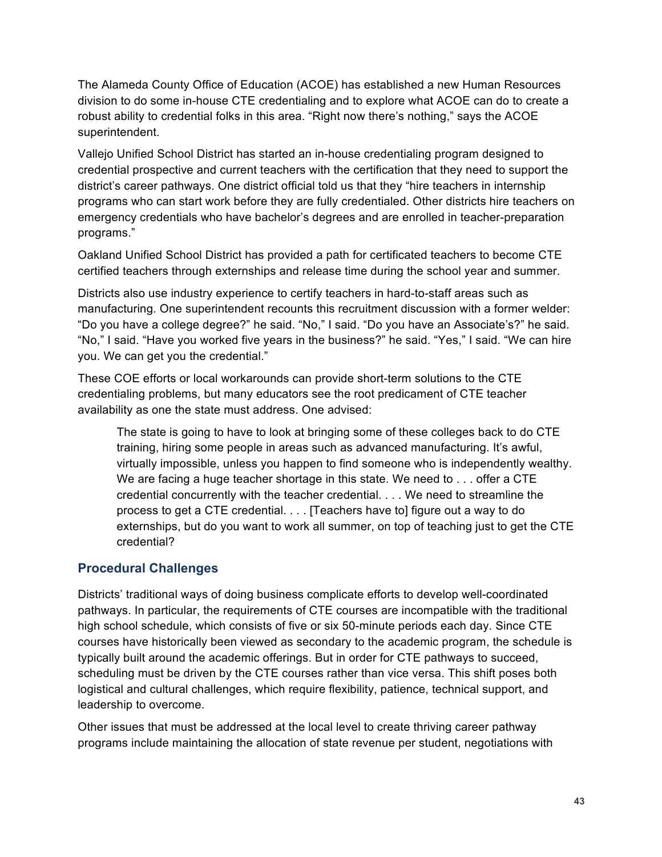The Alameda County Office of Education (ACOE) has established a new Human Resources division to do some in-house CTE credentialing and to explore what ACOE can do to create a robust ability to credential folks in this area. "Right now there's nothing," says the ACOE superintendent.

Vallejo Unified School District has started an in-house credentialing program designed to credential prospective and current teachers with the certification that they need to support the district's career pathways. One district official told us that they "hire teachers in internship programs who can start work before they are fully credentialed. Other districts hire teachers on emergency credentials who have bachelor's degrees and are enrolled in teacher-preparation programs."

Oakland Unified School District has provided a path for certificated teachers to become CTE certified teachers through externships and release time during the school year and summer.

Districts also use industry experience to certify teachers in hard-to-staff areas such as manufacturing. One superintendent recounts this recruitment discussion with a former welder: "Do you have a college degree?" he said. "No," I said. "Do you have an Associate's?" he said. "No," I said. "Have you worked five years in the business?" he said. "Yes," I said. "We can hire you. We can get you the credential."

These COE efforts or local workarounds can provide short-term solutions to the CTE credentialing problems, but many educators see the root predicament of CTE teacher availability as one the state must address. One advised:

The state is going to have to look at bringing some of these colleges back to do CTE training, hiring some people in areas such as advanced manufacturing. It's awful, virtually impossible, unless you happen to find someone who is independently wealthy. We are facing a huge teacher shortage in this state. We need to . . . offer a CTE credential concurrently with the teacher credential. . . . We need to streamline the process to get a CTE credential. . . . [Teachers have to] figure out a way to do externships, but do you want to work all summer, on top of teaching just to get the CTE credential?

### **Procedural Challenges**

Districts' traditional ways of doing business complicate efforts to develop well-coordinated pathways. In particular, the requirements of CTE courses are incompatible with the traditional high school schedule, which consists of five or six 50-minute periods each day. Since CTE courses have historically been viewed as secondary to the academic program, the schedule is typically built around the academic offerings. But in order for CTE pathways to succeed, scheduling must be driven by the CTE courses rather than vice versa. This shift poses both logistical and cultural challenges, which require flexibility, patience, technical support, and leadership to overcome.

Other issues that must be addressed at the local level to create thriving career pathway programs include maintaining the allocation of state revenue per student, negotiations with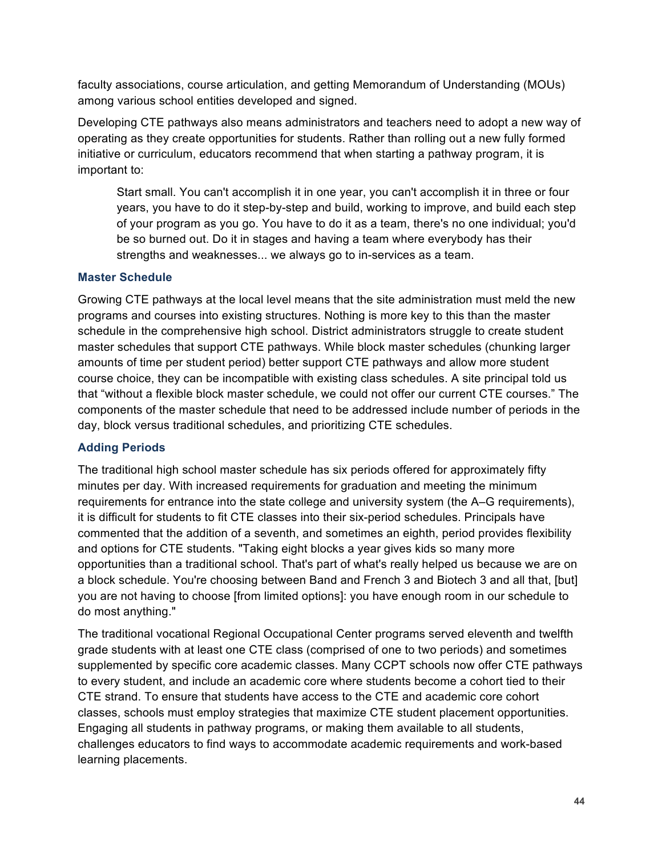faculty associations, course articulation, and getting Memorandum of Understanding (MOUs) among various school entities developed and signed.

Developing CTE pathways also means administrators and teachers need to adopt a new way of operating as they create opportunities for students. Rather than rolling out a new fully formed initiative or curriculum, educators recommend that when starting a pathway program, it is important to:

Start small. You can't accomplish it in one year, you can't accomplish it in three or four years, you have to do it step-by-step and build, working to improve, and build each step of your program as you go. You have to do it as a team, there's no one individual; you'd be so burned out. Do it in stages and having a team where everybody has their strengths and weaknesses... we always go to in-services as a team.

### **Master Schedule**

Growing CTE pathways at the local level means that the site administration must meld the new programs and courses into existing structures. Nothing is more key to this than the master schedule in the comprehensive high school. District administrators struggle to create student master schedules that support CTE pathways. While block master schedules (chunking larger amounts of time per student period) better support CTE pathways and allow more student course choice, they can be incompatible with existing class schedules. A site principal told us that "without a flexible block master schedule, we could not offer our current CTE courses." The components of the master schedule that need to be addressed include number of periods in the day, block versus traditional schedules, and prioritizing CTE schedules.

### **Adding Periods**

The traditional high school master schedule has six periods offered for approximately fifty minutes per day. With increased requirements for graduation and meeting the minimum requirements for entrance into the state college and university system (the A–G requirements), it is difficult for students to fit CTE classes into their six-period schedules. Principals have commented that the addition of a seventh, and sometimes an eighth, period provides flexibility and options for CTE students. "Taking eight blocks a year gives kids so many more opportunities than a traditional school. That's part of what's really helped us because we are on a block schedule. You're choosing between Band and French 3 and Biotech 3 and all that, [but] you are not having to choose [from limited options]: you have enough room in our schedule to do most anything."

The traditional vocational Regional Occupational Center programs served eleventh and twelfth grade students with at least one CTE class (comprised of one to two periods) and sometimes supplemented by specific core academic classes. Many CCPT schools now offer CTE pathways to every student, and include an academic core where students become a cohort tied to their CTE strand. To ensure that students have access to the CTE and academic core cohort classes, schools must employ strategies that maximize CTE student placement opportunities. Engaging all students in pathway programs, or making them available to all students, challenges educators to find ways to accommodate academic requirements and work-based learning placements.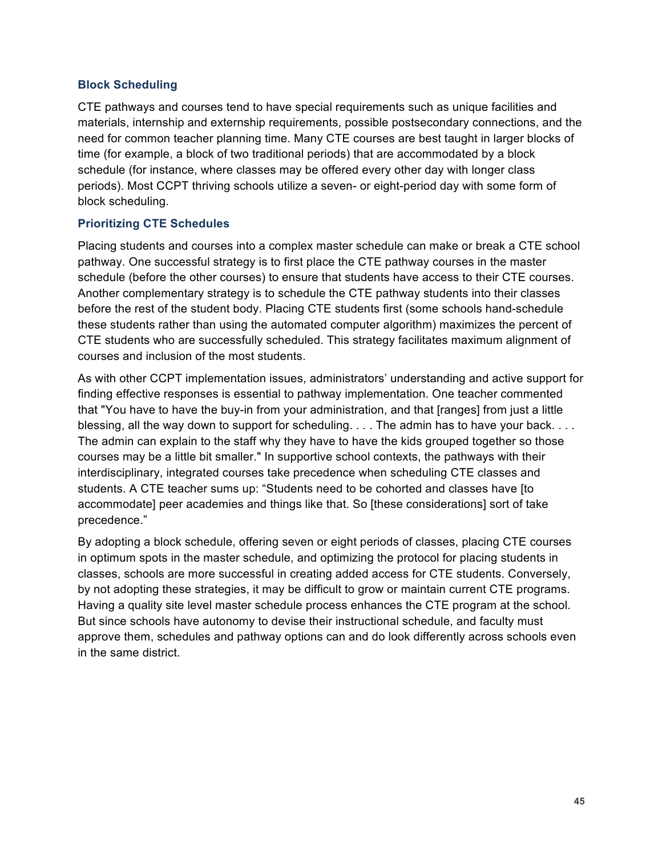#### **Block Scheduling**

CTE pathways and courses tend to have special requirements such as unique facilities and materials, internship and externship requirements, possible postsecondary connections, and the need for common teacher planning time. Many CTE courses are best taught in larger blocks of time (for example, a block of two traditional periods) that are accommodated by a block schedule (for instance, where classes may be offered every other day with longer class periods). Most CCPT thriving schools utilize a seven- or eight-period day with some form of block scheduling.

#### **Prioritizing CTE Schedules**

Placing students and courses into a complex master schedule can make or break a CTE school pathway. One successful strategy is to first place the CTE pathway courses in the master schedule (before the other courses) to ensure that students have access to their CTE courses. Another complementary strategy is to schedule the CTE pathway students into their classes before the rest of the student body. Placing CTE students first (some schools hand-schedule these students rather than using the automated computer algorithm) maximizes the percent of CTE students who are successfully scheduled. This strategy facilitates maximum alignment of courses and inclusion of the most students.

As with other CCPT implementation issues, administrators' understanding and active support for finding effective responses is essential to pathway implementation. One teacher commented that "You have to have the buy-in from your administration, and that [ranges] from just a little blessing, all the way down to support for scheduling. . . . The admin has to have your back. . . . The admin can explain to the staff why they have to have the kids grouped together so those courses may be a little bit smaller." In supportive school contexts, the pathways with their interdisciplinary, integrated courses take precedence when scheduling CTE classes and students. A CTE teacher sums up: "Students need to be cohorted and classes have [to accommodate] peer academies and things like that. So [these considerations] sort of take precedence."

By adopting a block schedule, offering seven or eight periods of classes, placing CTE courses in optimum spots in the master schedule, and optimizing the protocol for placing students in classes, schools are more successful in creating added access for CTE students. Conversely, by not adopting these strategies, it may be difficult to grow or maintain current CTE programs. Having a quality site level master schedule process enhances the CTE program at the school. But since schools have autonomy to devise their instructional schedule, and faculty must approve them, schedules and pathway options can and do look differently across schools even in the same district.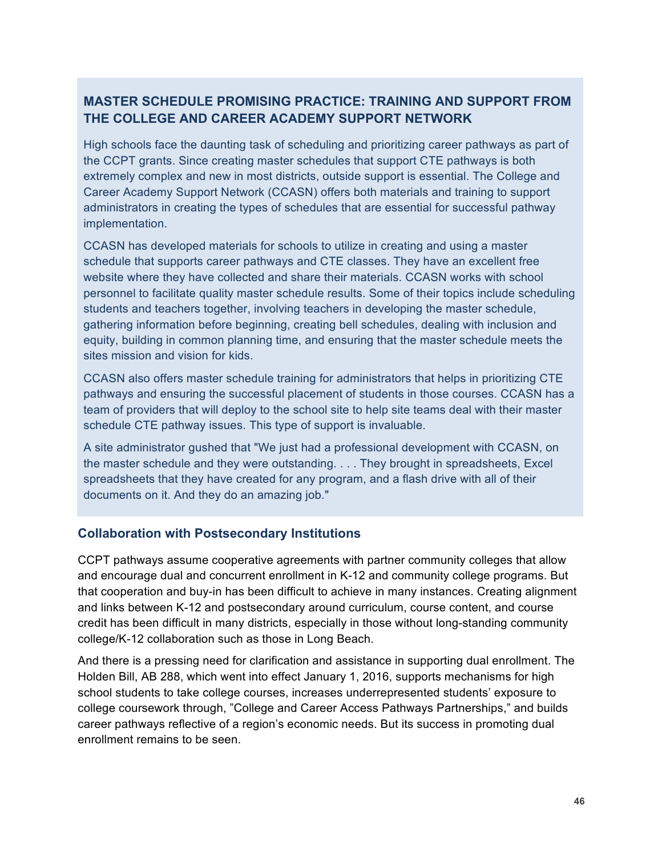### **MASTER SCHEDULE PROMISING PRACTICE: TRAINING AND SUPPORT FROM THE COLLEGE AND CAREER ACADEMY SUPPORT NETWORK**

High schools face the daunting task of scheduling and prioritizing career pathways as part of the CCPT grants. Since creating master schedules that support CTE pathways is both extremely complex and new in most districts, outside support is essential. The College and Career Academy Support Network (CCASN) offers both materials and training to support administrators in creating the types of schedules that are essential for successful pathway implementation.

CCASN has developed materials for schools to utilize in creating and using a master schedule that supports career pathways and CTE classes. They have an excellent free website where they have collected and share their materials. CCASN works with school personnel to facilitate quality master schedule results. Some of their topics include scheduling students and teachers together, involving teachers in developing the master schedule, gathering information before beginning, creating bell schedules, dealing with inclusion and equity, building in common planning time, and ensuring that the master schedule meets the sites mission and vision for kids.

CCASN also offers master schedule training for administrators that helps in prioritizing CTE pathways and ensuring the successful placement of students in those courses. CCASN has a team of providers that will deploy to the school site to help site teams deal with their master schedule CTE pathway issues. This type of support is invaluable.

A site administrator gushed that "We just had a professional development with CCASN, on the master schedule and they were outstanding. . . . They brought in spreadsheets, Excel spreadsheets that they have created for any program, and a flash drive with all of their documents on it. And they do an amazing job."

### **Collaboration with Postsecondary Institutions**

CCPT pathways assume cooperative agreements with partner community colleges that allow and encourage dual and concurrent enrollment in K-12 and community college programs. But that cooperation and buy-in has been difficult to achieve in many instances. Creating alignment and links between K-12 and postsecondary around curriculum, course content, and course credit has been difficult in many districts, especially in those without long-standing community college/K-12 collaboration such as those in Long Beach.

And there is a pressing need for clarification and assistance in supporting dual enrollment. The Holden Bill, AB 288, which went into effect January 1, 2016, supports mechanisms for high school students to take college courses, increases underrepresented students' exposure to college coursework through, "College and Career Access Pathways Partnerships," and builds career pathways reflective of a region's economic needs. But its success in promoting dual enrollment remains to be seen.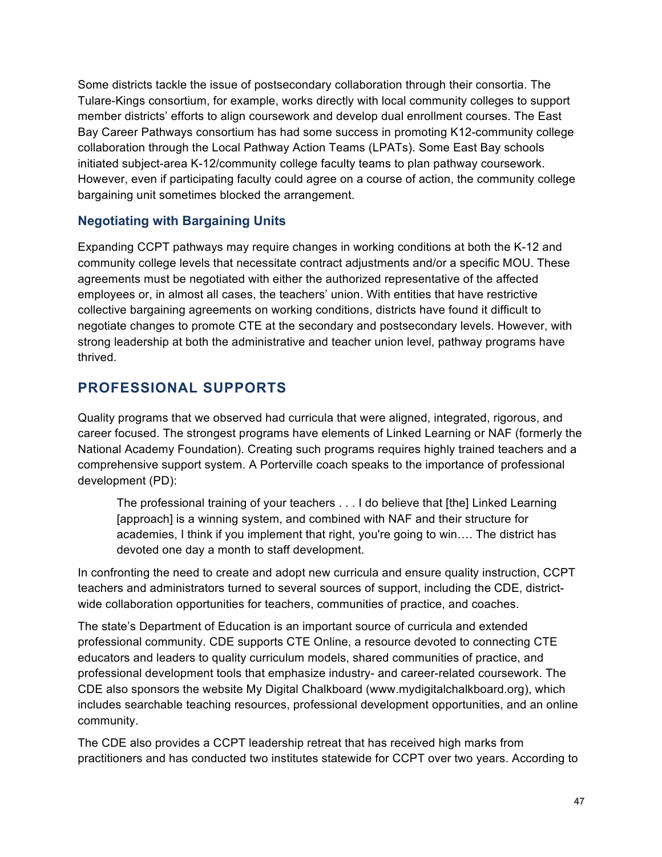Some districts tackle the issue of postsecondary collaboration through their consortia. The Tulare-Kings consortium, for example, works directly with local community colleges to support member districts' efforts to align coursework and develop dual enrollment courses. The East Bay Career Pathways consortium has had some success in promoting K12-community college collaboration through the Local Pathway Action Teams (LPATs). Some East Bay schools initiated subject-area K-12/community college faculty teams to plan pathway coursework. However, even if participating faculty could agree on a course of action, the community college bargaining unit sometimes blocked the arrangement.

### **Negotiating with Bargaining Units**

Expanding CCPT pathways may require changes in working conditions at both the K-12 and community college levels that necessitate contract adjustments and/or a specific MOU. These agreements must be negotiated with either the authorized representative of the affected employees or, in almost all cases, the teachers' union. With entities that have restrictive collective bargaining agreements on working conditions, districts have found it difficult to negotiate changes to promote CTE at the secondary and postsecondary levels. However, with strong leadership at both the administrative and teacher union level, pathway programs have thrived.

# **PROFESSIONAL SUPPORTS**

Quality programs that we observed had curricula that were aligned, integrated, rigorous, and career focused. The strongest programs have elements of Linked Learning or NAF (formerly the National Academy Foundation). Creating such programs requires highly trained teachers and a comprehensive support system. A Porterville coach speaks to the importance of professional development (PD):

The professional training of your teachers . . . I do believe that [the] Linked Learning [approach] is a winning system, and combined with NAF and their structure for academies, I think if you implement that right, you're going to win…. The district has devoted one day a month to staff development.

In confronting the need to create and adopt new curricula and ensure quality instruction, CCPT teachers and administrators turned to several sources of support, including the CDE, districtwide collaboration opportunities for teachers, communities of practice, and coaches.

The state's Department of Education is an important source of curricula and extended professional community. CDE supports CTE Online, a resource devoted to connecting CTE educators and leaders to quality curriculum models, shared communities of practice, and professional development tools that emphasize industry- and career-related coursework. The CDE also sponsors the website My Digital Chalkboard (www.mydigitalchalkboard.org), which includes searchable teaching resources, professional development opportunities, and an online community.

The CDE also provides a CCPT leadership retreat that has received high marks from practitioners and has conducted two institutes statewide for CCPT over two years. According to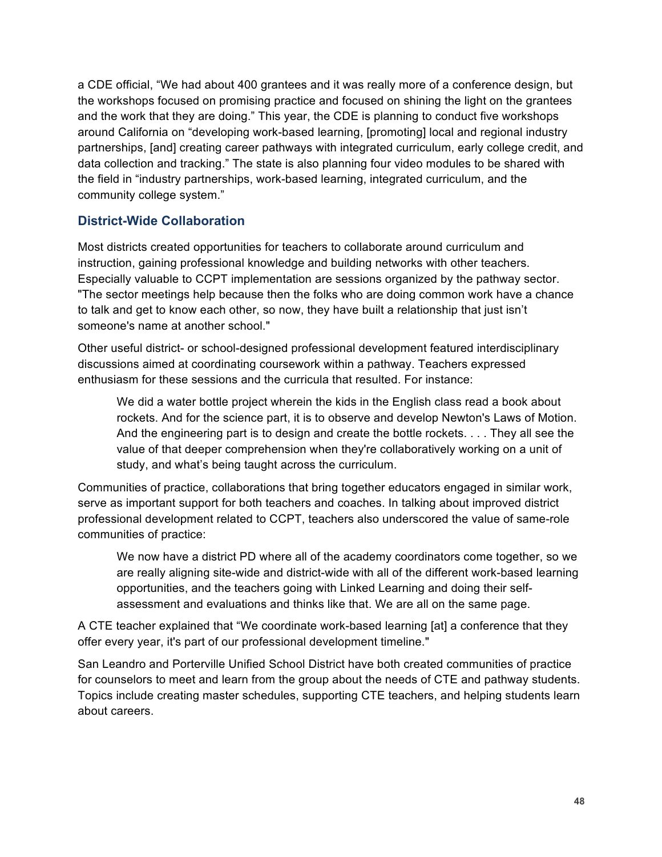a CDE official, "We had about 400 grantees and it was really more of a conference design, but the workshops focused on promising practice and focused on shining the light on the grantees and the work that they are doing." This year, the CDE is planning to conduct five workshops around California on "developing work-based learning, [promoting] local and regional industry partnerships, [and] creating career pathways with integrated curriculum, early college credit, and data collection and tracking." The state is also planning four video modules to be shared with the field in "industry partnerships, work-based learning, integrated curriculum, and the community college system."

### **District-Wide Collaboration**

Most districts created opportunities for teachers to collaborate around curriculum and instruction, gaining professional knowledge and building networks with other teachers. Especially valuable to CCPT implementation are sessions organized by the pathway sector. "The sector meetings help because then the folks who are doing common work have a chance to talk and get to know each other, so now, they have built a relationship that just isn't someone's name at another school."

Other useful district- or school-designed professional development featured interdisciplinary discussions aimed at coordinating coursework within a pathway. Teachers expressed enthusiasm for these sessions and the curricula that resulted. For instance:

We did a water bottle project wherein the kids in the English class read a book about rockets. And for the science part, it is to observe and develop Newton's Laws of Motion. And the engineering part is to design and create the bottle rockets. . . . They all see the value of that deeper comprehension when they're collaboratively working on a unit of study, and what's being taught across the curriculum.

Communities of practice, collaborations that bring together educators engaged in similar work, serve as important support for both teachers and coaches. In talking about improved district professional development related to CCPT, teachers also underscored the value of same-role communities of practice:

We now have a district PD where all of the academy coordinators come together, so we are really aligning site-wide and district-wide with all of the different work-based learning opportunities, and the teachers going with Linked Learning and doing their selfassessment and evaluations and thinks like that. We are all on the same page.

A CTE teacher explained that "We coordinate work-based learning [at] a conference that they offer every year, it's part of our professional development timeline."

San Leandro and Porterville Unified School District have both created communities of practice for counselors to meet and learn from the group about the needs of CTE and pathway students. Topics include creating master schedules, supporting CTE teachers, and helping students learn about careers.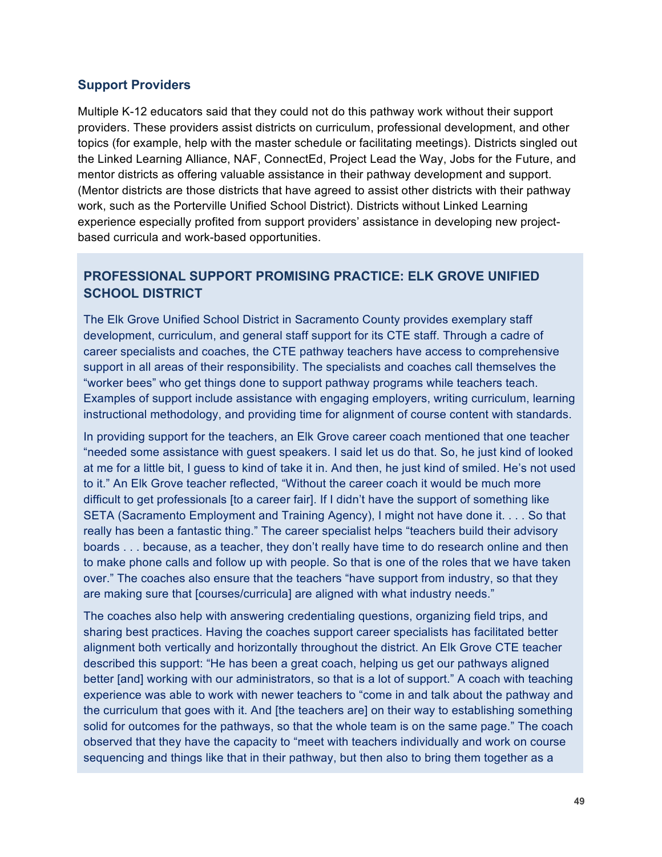### **Support Providers**

Multiple K-12 educators said that they could not do this pathway work without their support providers. These providers assist districts on curriculum, professional development, and other topics (for example, help with the master schedule or facilitating meetings). Districts singled out the Linked Learning Alliance, NAF, ConnectEd, Project Lead the Way, Jobs for the Future, and mentor districts as offering valuable assistance in their pathway development and support. (Mentor districts are those districts that have agreed to assist other districts with their pathway work, such as the Porterville Unified School District). Districts without Linked Learning experience especially profited from support providers' assistance in developing new projectbased curricula and work-based opportunities.

### **PROFESSIONAL SUPPORT PROMISING PRACTICE: ELK GROVE UNIFIED SCHOOL DISTRICT**

The Elk Grove Unified School District in Sacramento County provides exemplary staff development, curriculum, and general staff support for its CTE staff. Through a cadre of career specialists and coaches, the CTE pathway teachers have access to comprehensive support in all areas of their responsibility. The specialists and coaches call themselves the "worker bees" who get things done to support pathway programs while teachers teach. Examples of support include assistance with engaging employers, writing curriculum, learning instructional methodology, and providing time for alignment of course content with standards.

In providing support for the teachers, an Elk Grove career coach mentioned that one teacher "needed some assistance with guest speakers. I said let us do that. So, he just kind of looked at me for a little bit, I guess to kind of take it in. And then, he just kind of smiled. He's not used to it." An Elk Grove teacher reflected, "Without the career coach it would be much more difficult to get professionals [to a career fair]. If I didn't have the support of something like SETA (Sacramento Employment and Training Agency), I might not have done it. . . . So that really has been a fantastic thing." The career specialist helps "teachers build their advisory boards . . . because, as a teacher, they don't really have time to do research online and then to make phone calls and follow up with people. So that is one of the roles that we have taken over." The coaches also ensure that the teachers "have support from industry, so that they are making sure that [courses/curricula] are aligned with what industry needs."

The coaches also help with answering credentialing questions, organizing field trips, and sharing best practices. Having the coaches support career specialists has facilitated better alignment both vertically and horizontally throughout the district. An Elk Grove CTE teacher described this support: "He has been a great coach, helping us get our pathways aligned better [and] working with our administrators, so that is a lot of support." A coach with teaching experience was able to work with newer teachers to "come in and talk about the pathway and the curriculum that goes with it. And [the teachers are] on their way to establishing something solid for outcomes for the pathways, so that the whole team is on the same page." The coach observed that they have the capacity to "meet with teachers individually and work on course sequencing and things like that in their pathway, but then also to bring them together as a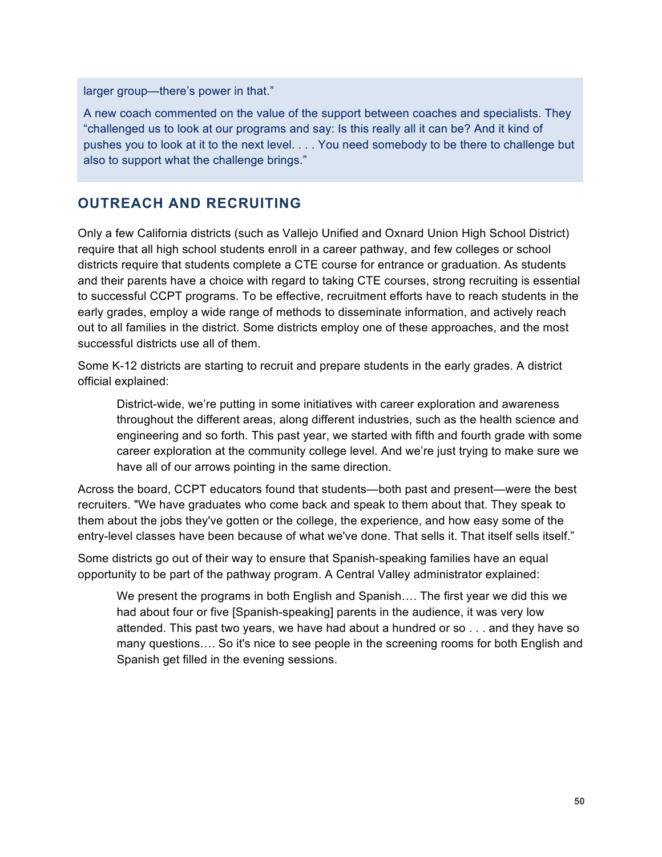larger group—there's power in that."

A new coach commented on the value of the support between coaches and specialists. They "challenged us to look at our programs and say: Is this really all it can be? And it kind of pushes you to look at it to the next level. . . . You need somebody to be there to challenge but also to support what the challenge brings."

## **OUTREACH AND RECRUITING**

Only a few California districts (such as Vallejo Unified and Oxnard Union High School District) require that all high school students enroll in a career pathway, and few colleges or school districts require that students complete a CTE course for entrance or graduation. As students and their parents have a choice with regard to taking CTE courses, strong recruiting is essential to successful CCPT programs. To be effective, recruitment efforts have to reach students in the early grades, employ a wide range of methods to disseminate information, and actively reach out to all families in the district. Some districts employ one of these approaches, and the most successful districts use all of them.

Some K-12 districts are starting to recruit and prepare students in the early grades. A district official explained:

District-wide, we're putting in some initiatives with career exploration and awareness throughout the different areas, along different industries, such as the health science and engineering and so forth. This past year, we started with fifth and fourth grade with some career exploration at the community college level. And we're just trying to make sure we have all of our arrows pointing in the same direction.

Across the board, CCPT educators found that students—both past and present—were the best recruiters. "We have graduates who come back and speak to them about that. They speak to them about the jobs they've gotten or the college, the experience, and how easy some of the entry-level classes have been because of what we've done. That sells it. That itself sells itself."

Some districts go out of their way to ensure that Spanish-speaking families have an equal opportunity to be part of the pathway program. A Central Valley administrator explained:

We present the programs in both English and Spanish…. The first year we did this we had about four or five [Spanish-speaking] parents in the audience, it was very low attended. This past two years, we have had about a hundred or so . . . and they have so many questions…. So it's nice to see people in the screening rooms for both English and Spanish get filled in the evening sessions.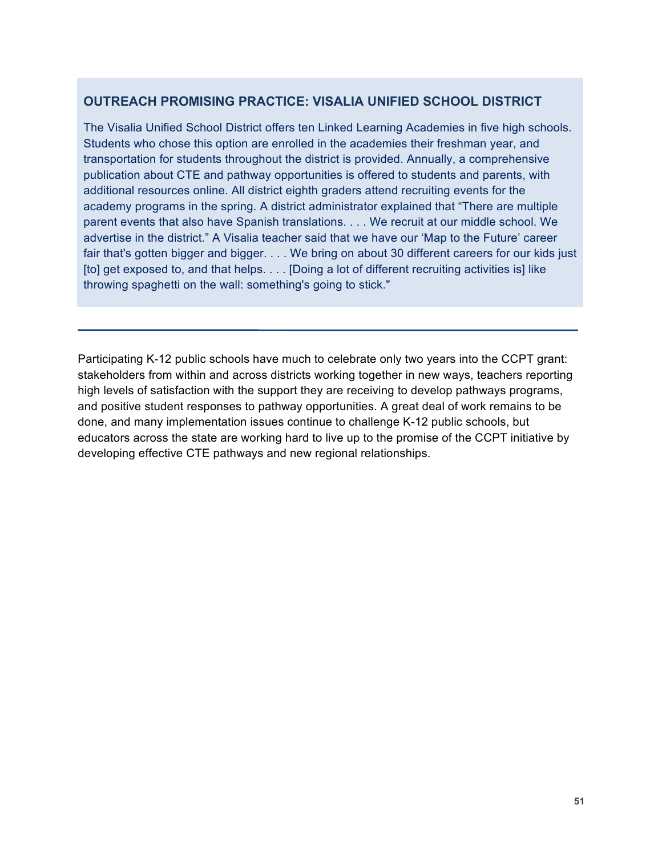### **OUTREACH PROMISING PRACTICE: VISALIA UNIFIED SCHOOL DISTRICT**

The Visalia Unified School District offers ten Linked Learning Academies in five high schools. Students who chose this option are enrolled in the academies their freshman year, and transportation for students throughout the district is provided. Annually, a comprehensive publication about CTE and pathway opportunities is offered to students and parents, with additional resources online. All district eighth graders attend recruiting events for the academy programs in the spring. A district administrator explained that "There are multiple parent events that also have Spanish translations. . . . We recruit at our middle school. We advertise in the district." A Visalia teacher said that we have our 'Map to the Future' career fair that's gotten bigger and bigger. . . . We bring on about 30 different careers for our kids just [to] get exposed to, and that helps. . . . [Doing a lot of different recruiting activities is] like throwing spaghetti on the wall: something's going to stick."

Participating K-12 public schools have much to celebrate only two years into the CCPT grant: stakeholders from within and across districts working together in new ways, teachers reporting high levels of satisfaction with the support they are receiving to develop pathways programs, and positive student responses to pathway opportunities. A great deal of work remains to be done, and many implementation issues continue to challenge K-12 public schools, but educators across the state are working hard to live up to the promise of the CCPT initiative by developing effective CTE pathways and new regional relationships.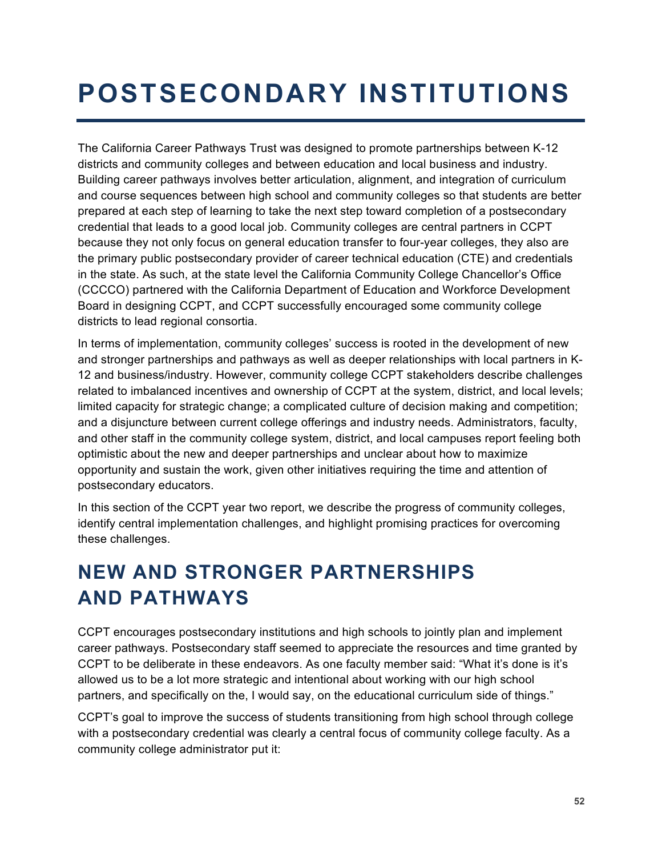# **POSTSECONDARY INSTITUTIONS**

The California Career Pathways Trust was designed to promote partnerships between K-12 districts and community colleges and between education and local business and industry. Building career pathways involves better articulation, alignment, and integration of curriculum and course sequences between high school and community colleges so that students are better prepared at each step of learning to take the next step toward completion of a postsecondary credential that leads to a good local job. Community colleges are central partners in CCPT because they not only focus on general education transfer to four-year colleges, they also are the primary public postsecondary provider of career technical education (CTE) and credentials in the state. As such, at the state level the California Community College Chancellor's Office (CCCCO) partnered with the California Department of Education and Workforce Development Board in designing CCPT, and CCPT successfully encouraged some community college districts to lead regional consortia.

In terms of implementation, community colleges' success is rooted in the development of new and stronger partnerships and pathways as well as deeper relationships with local partners in K-12 and business/industry. However, community college CCPT stakeholders describe challenges related to imbalanced incentives and ownership of CCPT at the system, district, and local levels; limited capacity for strategic change; a complicated culture of decision making and competition; and a disjuncture between current college offerings and industry needs. Administrators, faculty, and other staff in the community college system, district, and local campuses report feeling both optimistic about the new and deeper partnerships and unclear about how to maximize opportunity and sustain the work, given other initiatives requiring the time and attention of postsecondary educators.

In this section of the CCPT year two report, we describe the progress of community colleges, identify central implementation challenges, and highlight promising practices for overcoming these challenges.

# **NEW AND STRONGER PARTNERSHIPS AND PATHWAYS**

CCPT encourages postsecondary institutions and high schools to jointly plan and implement career pathways. Postsecondary staff seemed to appreciate the resources and time granted by CCPT to be deliberate in these endeavors. As one faculty member said: "What it's done is it's allowed us to be a lot more strategic and intentional about working with our high school partners, and specifically on the, I would say, on the educational curriculum side of things."

CCPT's goal to improve the success of students transitioning from high school through college with a postsecondary credential was clearly a central focus of community college faculty. As a community college administrator put it: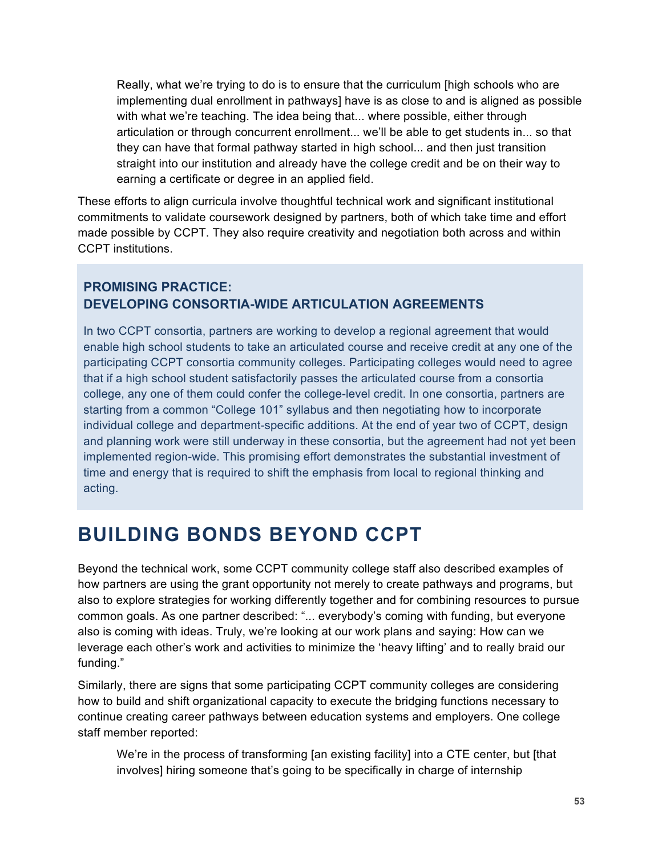Really, what we're trying to do is to ensure that the curriculum [high schools who are implementing dual enrollment in pathways] have is as close to and is aligned as possible with what we're teaching. The idea being that... where possible, either through articulation or through concurrent enrollment... we'll be able to get students in... so that they can have that formal pathway started in high school... and then just transition straight into our institution and already have the college credit and be on their way to earning a certificate or degree in an applied field.

These efforts to align curricula involve thoughtful technical work and significant institutional commitments to validate coursework designed by partners, both of which take time and effort made possible by CCPT. They also require creativity and negotiation both across and within CCPT institutions.

### **PROMISING PRACTICE: DEVELOPING CONSORTIA-WIDE ARTICULATION AGREEMENTS**

In two CCPT consortia, partners are working to develop a regional agreement that would enable high school students to take an articulated course and receive credit at any one of the participating CCPT consortia community colleges. Participating colleges would need to agree that if a high school student satisfactorily passes the articulated course from a consortia college, any one of them could confer the college-level credit. In one consortia, partners are starting from a common "College 101" syllabus and then negotiating how to incorporate individual college and department-specific additions. At the end of year two of CCPT, design and planning work were still underway in these consortia, but the agreement had not yet been implemented region-wide. This promising effort demonstrates the substantial investment of time and energy that is required to shift the emphasis from local to regional thinking and acting.

# **BUILDING BONDS BEYOND CCPT**

Beyond the technical work, some CCPT community college staff also described examples of how partners are using the grant opportunity not merely to create pathways and programs, but also to explore strategies for working differently together and for combining resources to pursue common goals. As one partner described: "... everybody's coming with funding, but everyone also is coming with ideas. Truly, we're looking at our work plans and saying: How can we leverage each other's work and activities to minimize the 'heavy lifting' and to really braid our funding."

Similarly, there are signs that some participating CCPT community colleges are considering how to build and shift organizational capacity to execute the bridging functions necessary to continue creating career pathways between education systems and employers. One college staff member reported:

We're in the process of transforming [an existing facility] into a CTE center, but [that involves] hiring someone that's going to be specifically in charge of internship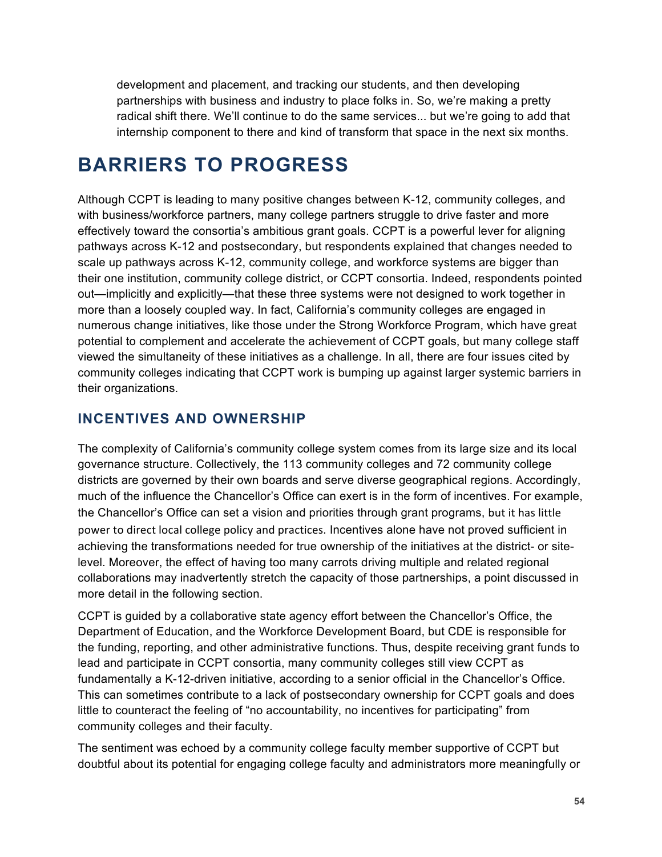development and placement, and tracking our students, and then developing partnerships with business and industry to place folks in. So, we're making a pretty radical shift there. We'll continue to do the same services... but we're going to add that internship component to there and kind of transform that space in the next six months.

# **BARRIERS TO PROGRESS**

Although CCPT is leading to many positive changes between K-12, community colleges, and with business/workforce partners, many college partners struggle to drive faster and more effectively toward the consortia's ambitious grant goals. CCPT is a powerful lever for aligning pathways across K-12 and postsecondary, but respondents explained that changes needed to scale up pathways across K-12, community college, and workforce systems are bigger than their one institution, community college district, or CCPT consortia. Indeed, respondents pointed out—implicitly and explicitly—that these three systems were not designed to work together in more than a loosely coupled way. In fact, California's community colleges are engaged in numerous change initiatives, like those under the Strong Workforce Program, which have great potential to complement and accelerate the achievement of CCPT goals, but many college staff viewed the simultaneity of these initiatives as a challenge. In all, there are four issues cited by community colleges indicating that CCPT work is bumping up against larger systemic barriers in their organizations.

# **INCENTIVES AND OWNERSHIP**

The complexity of California's community college system comes from its large size and its local governance structure. Collectively, the 113 community colleges and 72 community college districts are governed by their own boards and serve diverse geographical regions. Accordingly, much of the influence the Chancellor's Office can exert is in the form of incentives. For example, the Chancellor's Office can set a vision and priorities through grant programs, but it has little power to direct local college policy and practices. Incentives alone have not proved sufficient in achieving the transformations needed for true ownership of the initiatives at the district- or sitelevel. Moreover, the effect of having too many carrots driving multiple and related regional collaborations may inadvertently stretch the capacity of those partnerships, a point discussed in more detail in the following section.

CCPT is guided by a collaborative state agency effort between the Chancellor's Office, the Department of Education, and the Workforce Development Board, but CDE is responsible for the funding, reporting, and other administrative functions. Thus, despite receiving grant funds to lead and participate in CCPT consortia, many community colleges still view CCPT as fundamentally a K-12-driven initiative, according to a senior official in the Chancellor's Office. This can sometimes contribute to a lack of postsecondary ownership for CCPT goals and does little to counteract the feeling of "no accountability, no incentives for participating" from community colleges and their faculty.

The sentiment was echoed by a community college faculty member supportive of CCPT but doubtful about its potential for engaging college faculty and administrators more meaningfully or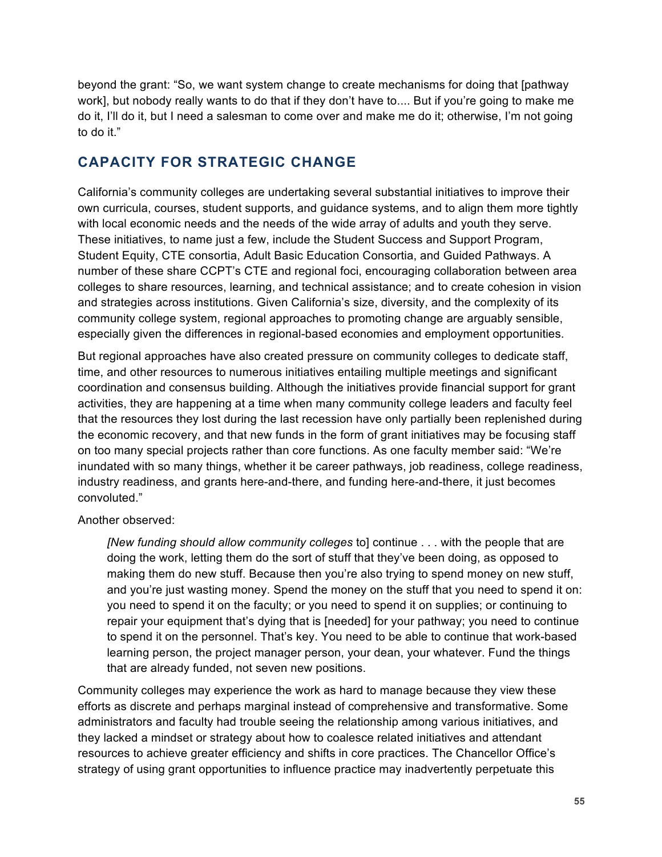beyond the grant: "So, we want system change to create mechanisms for doing that [pathway work], but nobody really wants to do that if they don't have to.... But if you're going to make me do it, I'll do it, but I need a salesman to come over and make me do it; otherwise, I'm not going to do it."

# **CAPACITY FOR STRATEGIC CHANGE**

California's community colleges are undertaking several substantial initiatives to improve their own curricula, courses, student supports, and guidance systems, and to align them more tightly with local economic needs and the needs of the wide array of adults and youth they serve. These initiatives, to name just a few, include the Student Success and Support Program, Student Equity, CTE consortia, Adult Basic Education Consortia, and Guided Pathways. A number of these share CCPT's CTE and regional foci, encouraging collaboration between area colleges to share resources, learning, and technical assistance; and to create cohesion in vision and strategies across institutions. Given California's size, diversity, and the complexity of its community college system, regional approaches to promoting change are arguably sensible, especially given the differences in regional-based economies and employment opportunities.

But regional approaches have also created pressure on community colleges to dedicate staff, time, and other resources to numerous initiatives entailing multiple meetings and significant coordination and consensus building. Although the initiatives provide financial support for grant activities, they are happening at a time when many community college leaders and faculty feel that the resources they lost during the last recession have only partially been replenished during the economic recovery, and that new funds in the form of grant initiatives may be focusing staff on too many special projects rather than core functions. As one faculty member said: "We're inundated with so many things, whether it be career pathways, job readiness, college readiness, industry readiness, and grants here-and-there, and funding here-and-there, it just becomes convoluted."

### Another observed:

*[New funding should allow community colleges* to] continue . . . with the people that are doing the work, letting them do the sort of stuff that they've been doing, as opposed to making them do new stuff. Because then you're also trying to spend money on new stuff, and you're just wasting money. Spend the money on the stuff that you need to spend it on: you need to spend it on the faculty; or you need to spend it on supplies; or continuing to repair your equipment that's dying that is [needed] for your pathway; you need to continue to spend it on the personnel. That's key. You need to be able to continue that work-based learning person, the project manager person, your dean, your whatever. Fund the things that are already funded, not seven new positions.

Community colleges may experience the work as hard to manage because they view these efforts as discrete and perhaps marginal instead of comprehensive and transformative. Some administrators and faculty had trouble seeing the relationship among various initiatives, and they lacked a mindset or strategy about how to coalesce related initiatives and attendant resources to achieve greater efficiency and shifts in core practices. The Chancellor Office's strategy of using grant opportunities to influence practice may inadvertently perpetuate this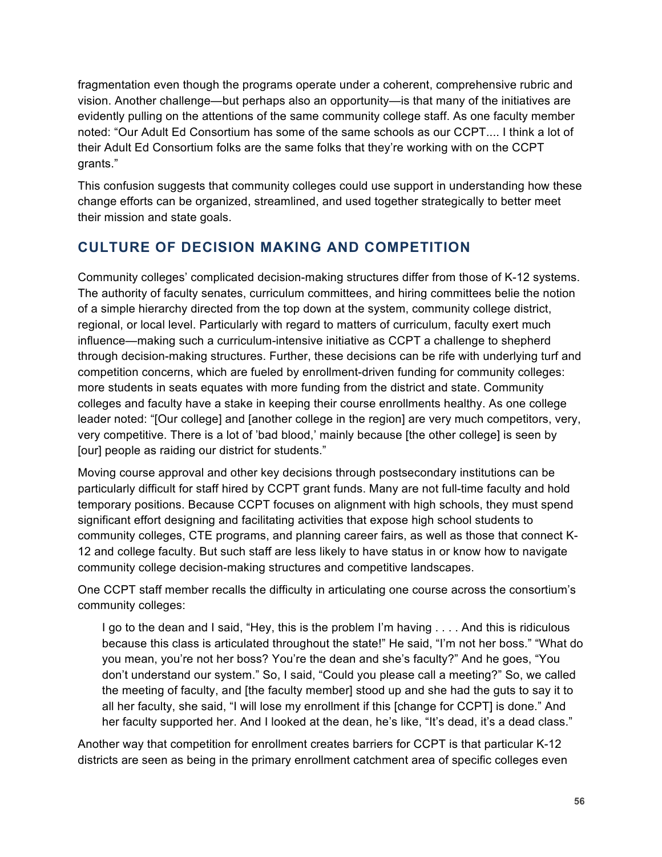fragmentation even though the programs operate under a coherent, comprehensive rubric and vision. Another challenge—but perhaps also an opportunity—is that many of the initiatives are evidently pulling on the attentions of the same community college staff. As one faculty member noted: "Our Adult Ed Consortium has some of the same schools as our CCPT.... I think a lot of their Adult Ed Consortium folks are the same folks that they're working with on the CCPT grants."

This confusion suggests that community colleges could use support in understanding how these change efforts can be organized, streamlined, and used together strategically to better meet their mission and state goals.

# **CULTURE OF DECISION MAKING AND COMPETITION**

Community colleges' complicated decision-making structures differ from those of K-12 systems. The authority of faculty senates, curriculum committees, and hiring committees belie the notion of a simple hierarchy directed from the top down at the system, community college district, regional, or local level. Particularly with regard to matters of curriculum, faculty exert much influence—making such a curriculum-intensive initiative as CCPT a challenge to shepherd through decision-making structures. Further, these decisions can be rife with underlying turf and competition concerns, which are fueled by enrollment-driven funding for community colleges: more students in seats equates with more funding from the district and state. Community colleges and faculty have a stake in keeping their course enrollments healthy. As one college leader noted: "[Our college] and [another college in the region] are very much competitors, very, very competitive. There is a lot of 'bad blood,' mainly because [the other college] is seen by [our] people as raiding our district for students."

Moving course approval and other key decisions through postsecondary institutions can be particularly difficult for staff hired by CCPT grant funds. Many are not full-time faculty and hold temporary positions. Because CCPT focuses on alignment with high schools, they must spend significant effort designing and facilitating activities that expose high school students to community colleges, CTE programs, and planning career fairs, as well as those that connect K-12 and college faculty. But such staff are less likely to have status in or know how to navigate community college decision-making structures and competitive landscapes.

One CCPT staff member recalls the difficulty in articulating one course across the consortium's community colleges:

I go to the dean and I said, "Hey, this is the problem I'm having . . . . And this is ridiculous because this class is articulated throughout the state!" He said, "I'm not her boss." "What do you mean, you're not her boss? You're the dean and she's faculty?" And he goes, "You don't understand our system." So, I said, "Could you please call a meeting?" So, we called the meeting of faculty, and [the faculty member] stood up and she had the guts to say it to all her faculty, she said, "I will lose my enrollment if this [change for CCPT] is done." And her faculty supported her. And I looked at the dean, he's like, "It's dead, it's a dead class."

Another way that competition for enrollment creates barriers for CCPT is that particular K-12 districts are seen as being in the primary enrollment catchment area of specific colleges even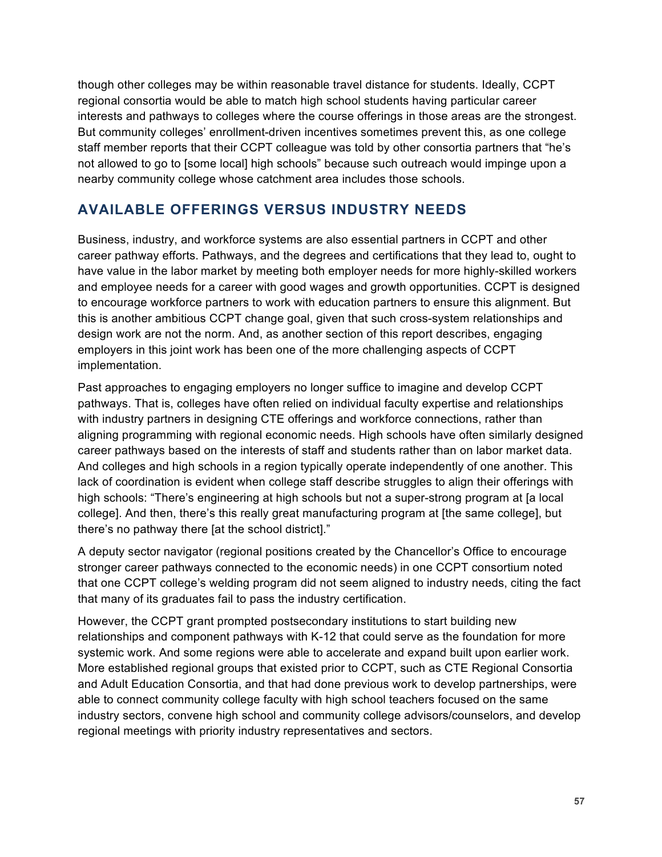though other colleges may be within reasonable travel distance for students. Ideally, CCPT regional consortia would be able to match high school students having particular career interests and pathways to colleges where the course offerings in those areas are the strongest. But community colleges' enrollment-driven incentives sometimes prevent this, as one college staff member reports that their CCPT colleague was told by other consortia partners that "he's not allowed to go to [some local] high schools" because such outreach would impinge upon a nearby community college whose catchment area includes those schools.

# **AVAILABLE OFFERINGS VERSUS INDUSTRY NEEDS**

Business, industry, and workforce systems are also essential partners in CCPT and other career pathway efforts. Pathways, and the degrees and certifications that they lead to, ought to have value in the labor market by meeting both employer needs for more highly-skilled workers and employee needs for a career with good wages and growth opportunities. CCPT is designed to encourage workforce partners to work with education partners to ensure this alignment. But this is another ambitious CCPT change goal, given that such cross-system relationships and design work are not the norm. And, as another section of this report describes, engaging employers in this joint work has been one of the more challenging aspects of CCPT implementation.

Past approaches to engaging employers no longer suffice to imagine and develop CCPT pathways. That is, colleges have often relied on individual faculty expertise and relationships with industry partners in designing CTE offerings and workforce connections, rather than aligning programming with regional economic needs. High schools have often similarly designed career pathways based on the interests of staff and students rather than on labor market data. And colleges and high schools in a region typically operate independently of one another. This lack of coordination is evident when college staff describe struggles to align their offerings with high schools: "There's engineering at high schools but not a super-strong program at [a local college]. And then, there's this really great manufacturing program at [the same college], but there's no pathway there [at the school district]."

A deputy sector navigator (regional positions created by the Chancellor's Office to encourage stronger career pathways connected to the economic needs) in one CCPT consortium noted that one CCPT college's welding program did not seem aligned to industry needs, citing the fact that many of its graduates fail to pass the industry certification.

However, the CCPT grant prompted postsecondary institutions to start building new relationships and component pathways with K-12 that could serve as the foundation for more systemic work. And some regions were able to accelerate and expand built upon earlier work. More established regional groups that existed prior to CCPT, such as CTE Regional Consortia and Adult Education Consortia, and that had done previous work to develop partnerships, were able to connect community college faculty with high school teachers focused on the same industry sectors, convene high school and community college advisors/counselors, and develop regional meetings with priority industry representatives and sectors.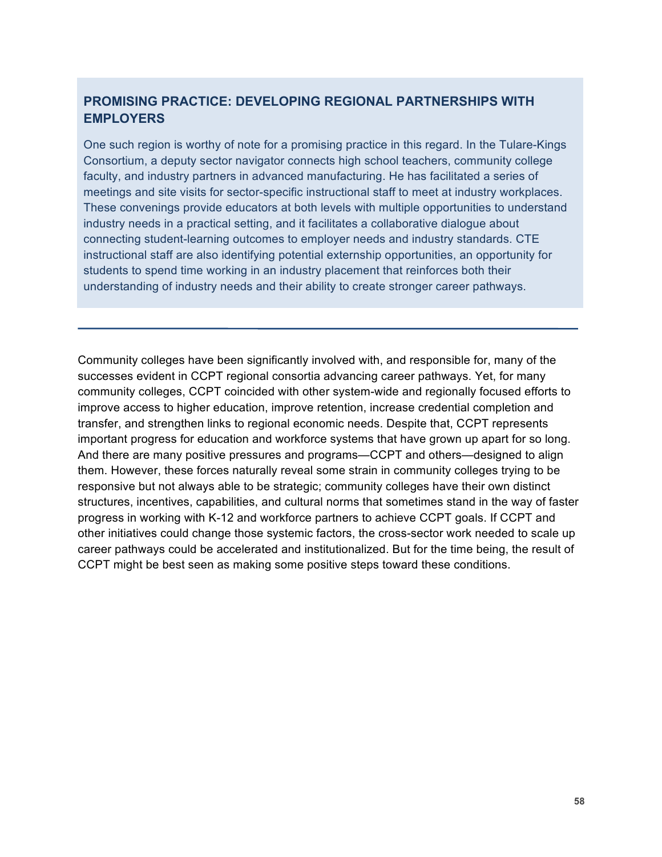### **PROMISING PRACTICE: DEVELOPING REGIONAL PARTNERSHIPS WITH EMPLOYERS**

One such region is worthy of note for a promising practice in this regard. In the Tulare-Kings Consortium, a deputy sector navigator connects high school teachers, community college faculty, and industry partners in advanced manufacturing. He has facilitated a series of meetings and site visits for sector-specific instructional staff to meet at industry workplaces. These convenings provide educators at both levels with multiple opportunities to understand industry needs in a practical setting, and it facilitates a collaborative dialogue about connecting student-learning outcomes to employer needs and industry standards. CTE instructional staff are also identifying potential externship opportunities, an opportunity for students to spend time working in an industry placement that reinforces both their understanding of industry needs and their ability to create stronger career pathways.

Community colleges have been significantly involved with, and responsible for, many of the successes evident in CCPT regional consortia advancing career pathways. Yet, for many community colleges, CCPT coincided with other system-wide and regionally focused efforts to improve access to higher education, improve retention, increase credential completion and transfer, and strengthen links to regional economic needs. Despite that, CCPT represents important progress for education and workforce systems that have grown up apart for so long. And there are many positive pressures and programs—CCPT and others—designed to align them. However, these forces naturally reveal some strain in community colleges trying to be responsive but not always able to be strategic; community colleges have their own distinct structures, incentives, capabilities, and cultural norms that sometimes stand in the way of faster progress in working with K-12 and workforce partners to achieve CCPT goals. If CCPT and other initiatives could change those systemic factors, the cross-sector work needed to scale up career pathways could be accelerated and institutionalized. But for the time being, the result of CCPT might be best seen as making some positive steps toward these conditions.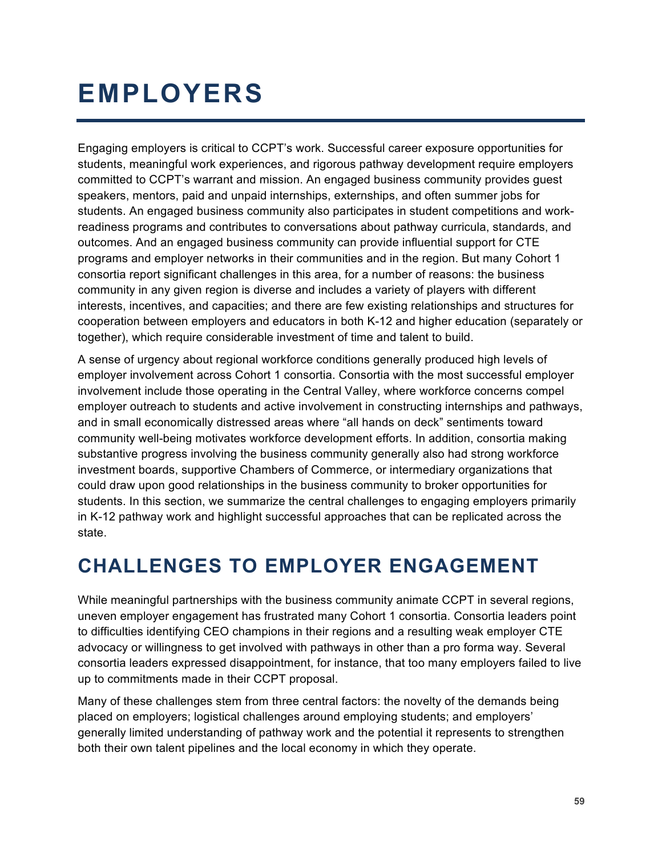# **EMPLOYERS**

Engaging employers is critical to CCPT's work. Successful career exposure opportunities for students, meaningful work experiences, and rigorous pathway development require employers committed to CCPT's warrant and mission. An engaged business community provides guest speakers, mentors, paid and unpaid internships, externships, and often summer jobs for students. An engaged business community also participates in student competitions and workreadiness programs and contributes to conversations about pathway curricula, standards, and outcomes. And an engaged business community can provide influential support for CTE programs and employer networks in their communities and in the region. But many Cohort 1 consortia report significant challenges in this area, for a number of reasons: the business community in any given region is diverse and includes a variety of players with different interests, incentives, and capacities; and there are few existing relationships and structures for cooperation between employers and educators in both K-12 and higher education (separately or together), which require considerable investment of time and talent to build.

A sense of urgency about regional workforce conditions generally produced high levels of employer involvement across Cohort 1 consortia. Consortia with the most successful employer involvement include those operating in the Central Valley, where workforce concerns compel employer outreach to students and active involvement in constructing internships and pathways, and in small economically distressed areas where "all hands on deck" sentiments toward community well-being motivates workforce development efforts. In addition, consortia making substantive progress involving the business community generally also had strong workforce investment boards, supportive Chambers of Commerce, or intermediary organizations that could draw upon good relationships in the business community to broker opportunities for students. In this section, we summarize the central challenges to engaging employers primarily in K-12 pathway work and highlight successful approaches that can be replicated across the state.

# **CHALLENGES TO EMPLOYER ENGAGEMENT**

While meaningful partnerships with the business community animate CCPT in several regions, uneven employer engagement has frustrated many Cohort 1 consortia. Consortia leaders point to difficulties identifying CEO champions in their regions and a resulting weak employer CTE advocacy or willingness to get involved with pathways in other than a pro forma way. Several consortia leaders expressed disappointment, for instance, that too many employers failed to live up to commitments made in their CCPT proposal.

Many of these challenges stem from three central factors: the novelty of the demands being placed on employers; logistical challenges around employing students; and employers' generally limited understanding of pathway work and the potential it represents to strengthen both their own talent pipelines and the local economy in which they operate.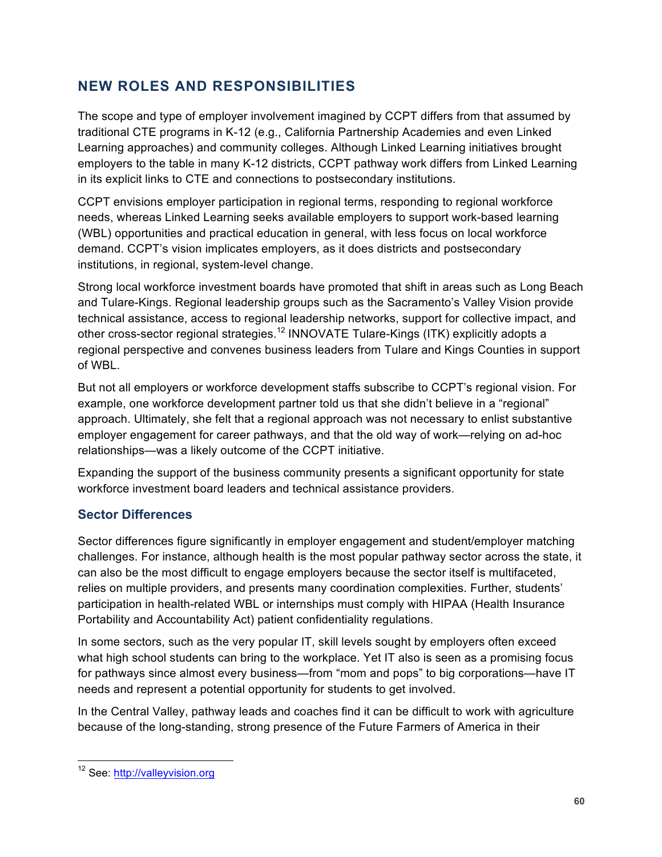# **NEW ROLES AND RESPONSIBILITIES**

The scope and type of employer involvement imagined by CCPT differs from that assumed by traditional CTE programs in K-12 (e.g., California Partnership Academies and even Linked Learning approaches) and community colleges. Although Linked Learning initiatives brought employers to the table in many K-12 districts, CCPT pathway work differs from Linked Learning in its explicit links to CTE and connections to postsecondary institutions.

CCPT envisions employer participation in regional terms, responding to regional workforce needs, whereas Linked Learning seeks available employers to support work-based learning (WBL) opportunities and practical education in general, with less focus on local workforce demand. CCPT's vision implicates employers, as it does districts and postsecondary institutions, in regional, system-level change.

Strong local workforce investment boards have promoted that shift in areas such as Long Beach and Tulare-Kings. Regional leadership groups such as the Sacramento's Valley Vision provide technical assistance, access to regional leadership networks, support for collective impact, and other cross-sector regional strategies.<sup>12</sup> INNOVATE Tulare-Kings (ITK) explicitly adopts a regional perspective and convenes business leaders from Tulare and Kings Counties in support of WBL.

But not all employers or workforce development staffs subscribe to CCPT's regional vision. For example, one workforce development partner told us that she didn't believe in a "regional" approach. Ultimately, she felt that a regional approach was not necessary to enlist substantive employer engagement for career pathways, and that the old way of work—relying on ad-hoc relationships—was a likely outcome of the CCPT initiative.

Expanding the support of the business community presents a significant opportunity for state workforce investment board leaders and technical assistance providers.

### **Sector Differences**

Sector differences figure significantly in employer engagement and student/employer matching challenges. For instance, although health is the most popular pathway sector across the state, it can also be the most difficult to engage employers because the sector itself is multifaceted, relies on multiple providers, and presents many coordination complexities. Further, students' participation in health-related WBL or internships must comply with HIPAA (Health Insurance Portability and Accountability Act) patient confidentiality regulations.

In some sectors, such as the very popular IT, skill levels sought by employers often exceed what high school students can bring to the workplace. Yet IT also is seen as a promising focus for pathways since almost every business—from "mom and pops" to big corporations—have IT needs and represent a potential opportunity for students to get involved.

In the Central Valley, pathway leads and coaches find it can be difficult to work with agriculture because of the long-standing, strong presence of the Future Farmers of America in their

<sup>&</sup>lt;sup>12</sup> See: http://valleyvision.org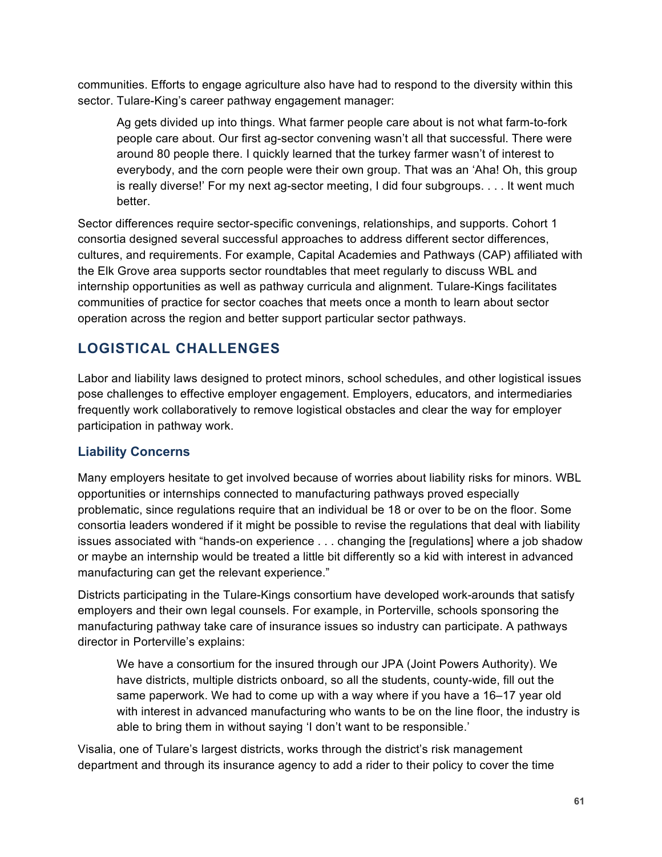communities. Efforts to engage agriculture also have had to respond to the diversity within this sector. Tulare-King's career pathway engagement manager:

Ag gets divided up into things. What farmer people care about is not what farm-to-fork people care about. Our first ag-sector convening wasn't all that successful. There were around 80 people there. I quickly learned that the turkey farmer wasn't of interest to everybody, and the corn people were their own group. That was an 'Aha! Oh, this group is really diverse!' For my next ag-sector meeting, I did four subgroups. . . . It went much better.

Sector differences require sector-specific convenings, relationships, and supports. Cohort 1 consortia designed several successful approaches to address different sector differences, cultures, and requirements. For example, Capital Academies and Pathways (CAP) affiliated with the Elk Grove area supports sector roundtables that meet regularly to discuss WBL and internship opportunities as well as pathway curricula and alignment. Tulare-Kings facilitates communities of practice for sector coaches that meets once a month to learn about sector operation across the region and better support particular sector pathways.

# **LOGISTICAL CHALLENGES**

Labor and liability laws designed to protect minors, school schedules, and other logistical issues pose challenges to effective employer engagement. Employers, educators, and intermediaries frequently work collaboratively to remove logistical obstacles and clear the way for employer participation in pathway work.

### **Liability Concerns**

Many employers hesitate to get involved because of worries about liability risks for minors. WBL opportunities or internships connected to manufacturing pathways proved especially problematic, since regulations require that an individual be 18 or over to be on the floor. Some consortia leaders wondered if it might be possible to revise the regulations that deal with liability issues associated with "hands-on experience . . . changing the [regulations] where a job shadow or maybe an internship would be treated a little bit differently so a kid with interest in advanced manufacturing can get the relevant experience."

Districts participating in the Tulare-Kings consortium have developed work-arounds that satisfy employers and their own legal counsels. For example, in Porterville, schools sponsoring the manufacturing pathway take care of insurance issues so industry can participate. A pathways director in Porterville's explains:

We have a consortium for the insured through our JPA (Joint Powers Authority). We have districts, multiple districts onboard, so all the students, county-wide, fill out the same paperwork. We had to come up with a way where if you have a 16–17 year old with interest in advanced manufacturing who wants to be on the line floor, the industry is able to bring them in without saying 'I don't want to be responsible.'

Visalia, one of Tulare's largest districts, works through the district's risk management department and through its insurance agency to add a rider to their policy to cover the time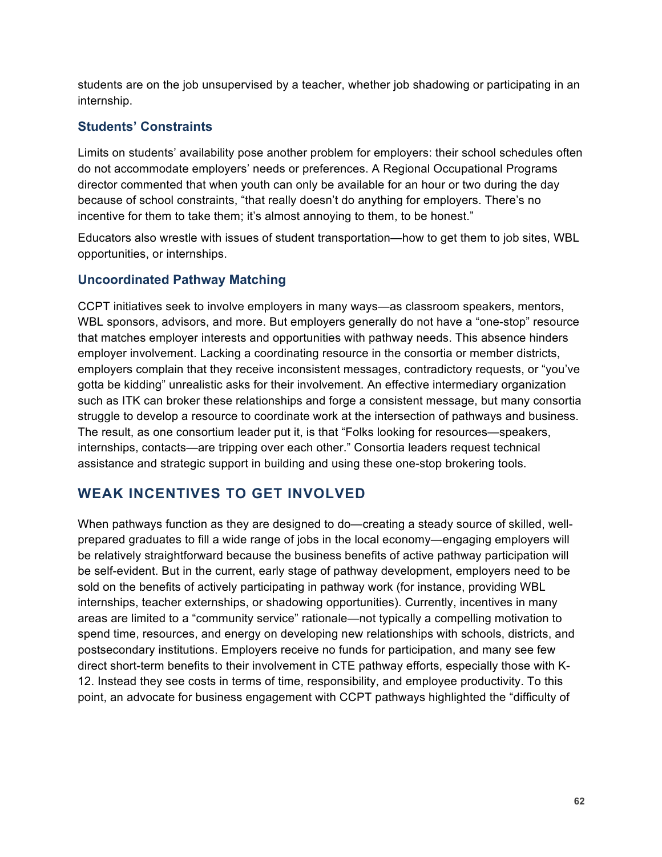students are on the job unsupervised by a teacher, whether job shadowing or participating in an internship.

### **Students' Constraints**

Limits on students' availability pose another problem for employers: their school schedules often do not accommodate employers' needs or preferences. A Regional Occupational Programs director commented that when youth can only be available for an hour or two during the day because of school constraints, "that really doesn't do anything for employers. There's no incentive for them to take them; it's almost annoying to them, to be honest."

Educators also wrestle with issues of student transportation—how to get them to job sites, WBL opportunities, or internships.

### **Uncoordinated Pathway Matching**

CCPT initiatives seek to involve employers in many ways—as classroom speakers, mentors, WBL sponsors, advisors, and more. But employers generally do not have a "one-stop" resource that matches employer interests and opportunities with pathway needs. This absence hinders employer involvement. Lacking a coordinating resource in the consortia or member districts, employers complain that they receive inconsistent messages, contradictory requests, or "you've gotta be kidding" unrealistic asks for their involvement. An effective intermediary organization such as ITK can broker these relationships and forge a consistent message, but many consortia struggle to develop a resource to coordinate work at the intersection of pathways and business. The result, as one consortium leader put it, is that "Folks looking for resources—speakers, internships, contacts—are tripping over each other." Consortia leaders request technical assistance and strategic support in building and using these one-stop brokering tools.

# **WEAK INCENTIVES TO GET INVOLVED**

When pathways function as they are designed to do—creating a steady source of skilled, wellprepared graduates to fill a wide range of jobs in the local economy—engaging employers will be relatively straightforward because the business benefits of active pathway participation will be self-evident. But in the current, early stage of pathway development, employers need to be sold on the benefits of actively participating in pathway work (for instance, providing WBL internships, teacher externships, or shadowing opportunities). Currently, incentives in many areas are limited to a "community service" rationale—not typically a compelling motivation to spend time, resources, and energy on developing new relationships with schools, districts, and postsecondary institutions. Employers receive no funds for participation, and many see few direct short-term benefits to their involvement in CTE pathway efforts, especially those with K-12. Instead they see costs in terms of time, responsibility, and employee productivity. To this point, an advocate for business engagement with CCPT pathways highlighted the "difficulty of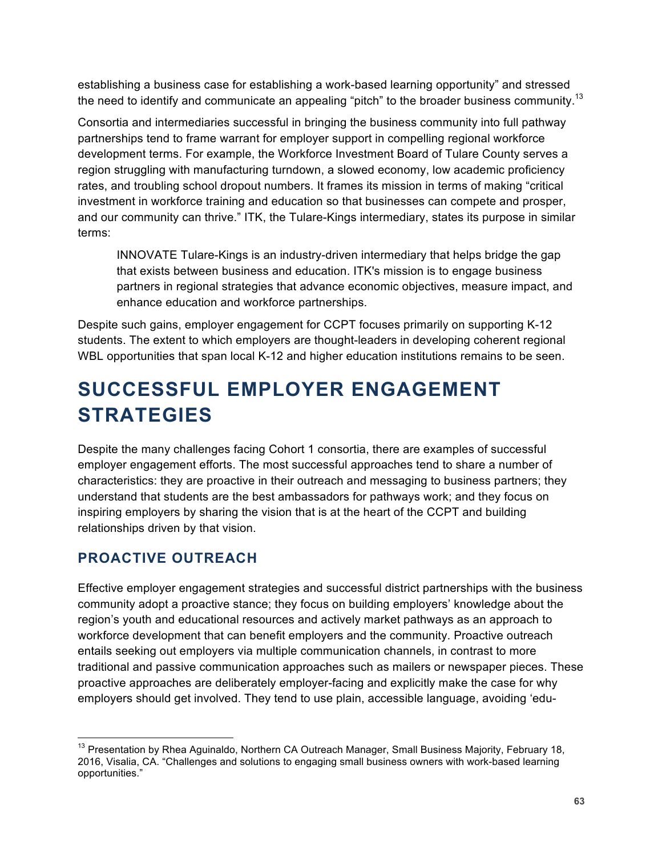establishing a business case for establishing a work-based learning opportunity" and stressed the need to identify and communicate an appealing "pitch" to the broader business community.<sup>13</sup>

Consortia and intermediaries successful in bringing the business community into full pathway partnerships tend to frame warrant for employer support in compelling regional workforce development terms. For example, the Workforce Investment Board of Tulare County serves a region struggling with manufacturing turndown, a slowed economy, low academic proficiency rates, and troubling school dropout numbers. It frames its mission in terms of making "critical investment in workforce training and education so that businesses can compete and prosper, and our community can thrive." ITK, the Tulare-Kings intermediary, states its purpose in similar terms:

INNOVATE Tulare-Kings is an industry-driven intermediary that helps bridge the gap that exists between business and education. ITK's mission is to engage business partners in regional strategies that advance economic objectives, measure impact, and enhance education and workforce partnerships.

Despite such gains, employer engagement for CCPT focuses primarily on supporting K-12 students. The extent to which employers are thought-leaders in developing coherent regional WBL opportunities that span local K-12 and higher education institutions remains to be seen.

# **SUCCESSFUL EMPLOYER ENGAGEMENT STRATEGIES**

Despite the many challenges facing Cohort 1 consortia, there are examples of successful employer engagement efforts. The most successful approaches tend to share a number of characteristics: they are proactive in their outreach and messaging to business partners; they understand that students are the best ambassadors for pathways work; and they focus on inspiring employers by sharing the vision that is at the heart of the CCPT and building relationships driven by that vision.

# **PROACTIVE OUTREACH**

Effective employer engagement strategies and successful district partnerships with the business community adopt a proactive stance; they focus on building employers' knowledge about the region's youth and educational resources and actively market pathways as an approach to workforce development that can benefit employers and the community. Proactive outreach entails seeking out employers via multiple communication channels, in contrast to more traditional and passive communication approaches such as mailers or newspaper pieces. These proactive approaches are deliberately employer-facing and explicitly make the case for why employers should get involved. They tend to use plain, accessible language, avoiding 'edu-

<sup>&</sup>lt;sup>13</sup> Presentation by Rhea Aguinaldo, Northern CA Outreach Manager, Small Business Majority, February 18, 2016, Visalia, CA. "Challenges and solutions to engaging small business owners with work-based learning opportunities."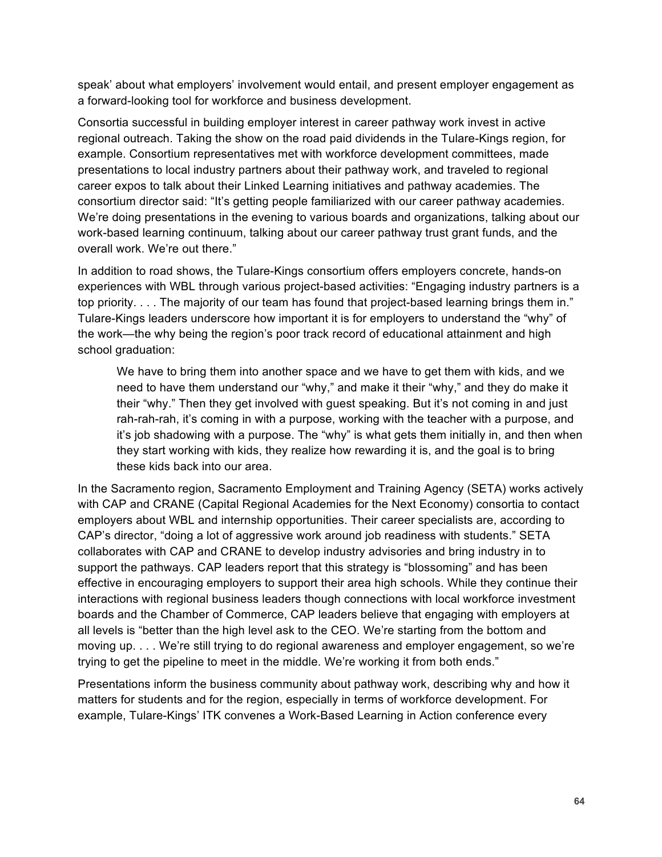speak' about what employers' involvement would entail, and present employer engagement as a forward-looking tool for workforce and business development.

Consortia successful in building employer interest in career pathway work invest in active regional outreach. Taking the show on the road paid dividends in the Tulare-Kings region, for example. Consortium representatives met with workforce development committees, made presentations to local industry partners about their pathway work, and traveled to regional career expos to talk about their Linked Learning initiatives and pathway academies. The consortium director said: "It's getting people familiarized with our career pathway academies. We're doing presentations in the evening to various boards and organizations, talking about our work-based learning continuum, talking about our career pathway trust grant funds, and the overall work. We're out there."

In addition to road shows, the Tulare-Kings consortium offers employers concrete, hands-on experiences with WBL through various project-based activities: "Engaging industry partners is a top priority. . . . The majority of our team has found that project-based learning brings them in." Tulare-Kings leaders underscore how important it is for employers to understand the "why" of the work—the why being the region's poor track record of educational attainment and high school graduation:

We have to bring them into another space and we have to get them with kids, and we need to have them understand our "why," and make it their "why," and they do make it their "why." Then they get involved with guest speaking. But it's not coming in and just rah-rah-rah, it's coming in with a purpose, working with the teacher with a purpose, and it's job shadowing with a purpose. The "why" is what gets them initially in, and then when they start working with kids, they realize how rewarding it is, and the goal is to bring these kids back into our area.

In the Sacramento region, Sacramento Employment and Training Agency (SETA) works actively with CAP and CRANE (Capital Regional Academies for the Next Economy) consortia to contact employers about WBL and internship opportunities. Their career specialists are, according to CAP's director, "doing a lot of aggressive work around job readiness with students." SETA collaborates with CAP and CRANE to develop industry advisories and bring industry in to support the pathways. CAP leaders report that this strategy is "blossoming" and has been effective in encouraging employers to support their area high schools. While they continue their interactions with regional business leaders though connections with local workforce investment boards and the Chamber of Commerce, CAP leaders believe that engaging with employers at all levels is "better than the high level ask to the CEO. We're starting from the bottom and moving up. . . . We're still trying to do regional awareness and employer engagement, so we're trying to get the pipeline to meet in the middle. We're working it from both ends."

Presentations inform the business community about pathway work, describing why and how it matters for students and for the region, especially in terms of workforce development. For example, Tulare-Kings' ITK convenes a Work-Based Learning in Action conference every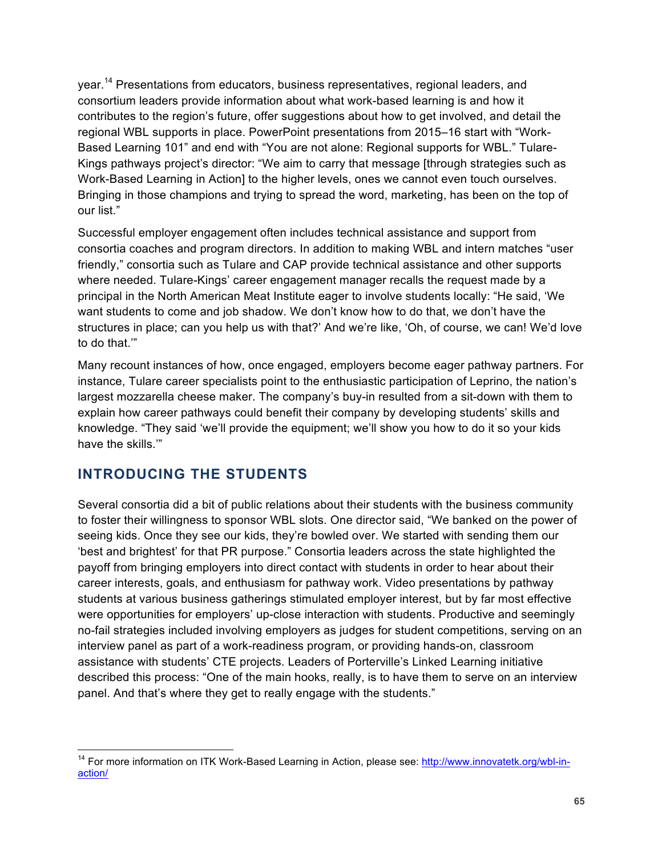year.<sup>14</sup> Presentations from educators, business representatives, regional leaders, and consortium leaders provide information about what work-based learning is and how it contributes to the region's future, offer suggestions about how to get involved, and detail the regional WBL supports in place. PowerPoint presentations from 2015–16 start with "Work-Based Learning 101" and end with "You are not alone: Regional supports for WBL." Tulare-Kings pathways project's director: "We aim to carry that message [through strategies such as Work-Based Learning in Action] to the higher levels, ones we cannot even touch ourselves. Bringing in those champions and trying to spread the word, marketing, has been on the top of our list."

Successful employer engagement often includes technical assistance and support from consortia coaches and program directors. In addition to making WBL and intern matches "user friendly," consortia such as Tulare and CAP provide technical assistance and other supports where needed. Tulare-Kings' career engagement manager recalls the request made by a principal in the North American Meat Institute eager to involve students locally: "He said, 'We want students to come and job shadow. We don't know how to do that, we don't have the structures in place; can you help us with that?' And we're like, 'Oh, of course, we can! We'd love to do that.'"

Many recount instances of how, once engaged, employers become eager pathway partners. For instance, Tulare career specialists point to the enthusiastic participation of Leprino, the nation's largest mozzarella cheese maker. The company's buy-in resulted from a sit-down with them to explain how career pathways could benefit their company by developing students' skills and knowledge. "They said 'we'll provide the equipment; we'll show you how to do it so your kids have the skills.'"

## **INTRODUCING THE STUDENTS**

Several consortia did a bit of public relations about their students with the business community to foster their willingness to sponsor WBL slots. One director said, "We banked on the power of seeing kids. Once they see our kids, they're bowled over. We started with sending them our 'best and brightest' for that PR purpose." Consortia leaders across the state highlighted the payoff from bringing employers into direct contact with students in order to hear about their career interests, goals, and enthusiasm for pathway work. Video presentations by pathway students at various business gatherings stimulated employer interest, but by far most effective were opportunities for employers' up-close interaction with students. Productive and seemingly no-fail strategies included involving employers as judges for student competitions, serving on an interview panel as part of a work-readiness program, or providing hands-on, classroom assistance with students' CTE projects. Leaders of Porterville's Linked Learning initiative described this process: "One of the main hooks, really, is to have them to serve on an interview panel. And that's where they get to really engage with the students."

<sup>&</sup>lt;sup>14</sup> For more information on ITK Work-Based Learning in Action, please see: http://www.innovatetk.org/wbl-inaction/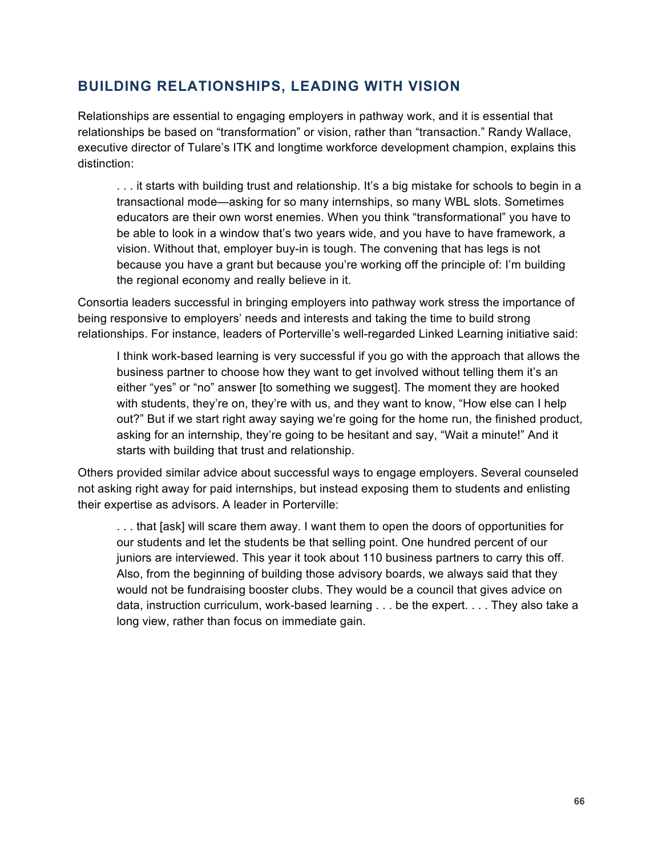## **BUILDING RELATIONSHIPS, LEADING WITH VISION**

Relationships are essential to engaging employers in pathway work, and it is essential that relationships be based on "transformation" or vision, rather than "transaction." Randy Wallace, executive director of Tulare's ITK and longtime workforce development champion, explains this distinction:

. . . it starts with building trust and relationship. It's a big mistake for schools to begin in a transactional mode—asking for so many internships, so many WBL slots. Sometimes educators are their own worst enemies. When you think "transformational" you have to be able to look in a window that's two years wide, and you have to have framework, a vision. Without that, employer buy-in is tough. The convening that has legs is not because you have a grant but because you're working off the principle of: I'm building the regional economy and really believe in it.

Consortia leaders successful in bringing employers into pathway work stress the importance of being responsive to employers' needs and interests and taking the time to build strong relationships. For instance, leaders of Porterville's well-regarded Linked Learning initiative said:

I think work-based learning is very successful if you go with the approach that allows the business partner to choose how they want to get involved without telling them it's an either "yes" or "no" answer [to something we suggest]. The moment they are hooked with students, they're on, they're with us, and they want to know, "How else can I help out?" But if we start right away saying we're going for the home run, the finished product, asking for an internship, they're going to be hesitant and say, "Wait a minute!" And it starts with building that trust and relationship.

Others provided similar advice about successful ways to engage employers. Several counseled not asking right away for paid internships, but instead exposing them to students and enlisting their expertise as advisors. A leader in Porterville:

. . . that [ask] will scare them away. I want them to open the doors of opportunities for our students and let the students be that selling point. One hundred percent of our juniors are interviewed. This year it took about 110 business partners to carry this off. Also, from the beginning of building those advisory boards, we always said that they would not be fundraising booster clubs. They would be a council that gives advice on data, instruction curriculum, work-based learning . . . be the expert. . . . They also take a long view, rather than focus on immediate gain.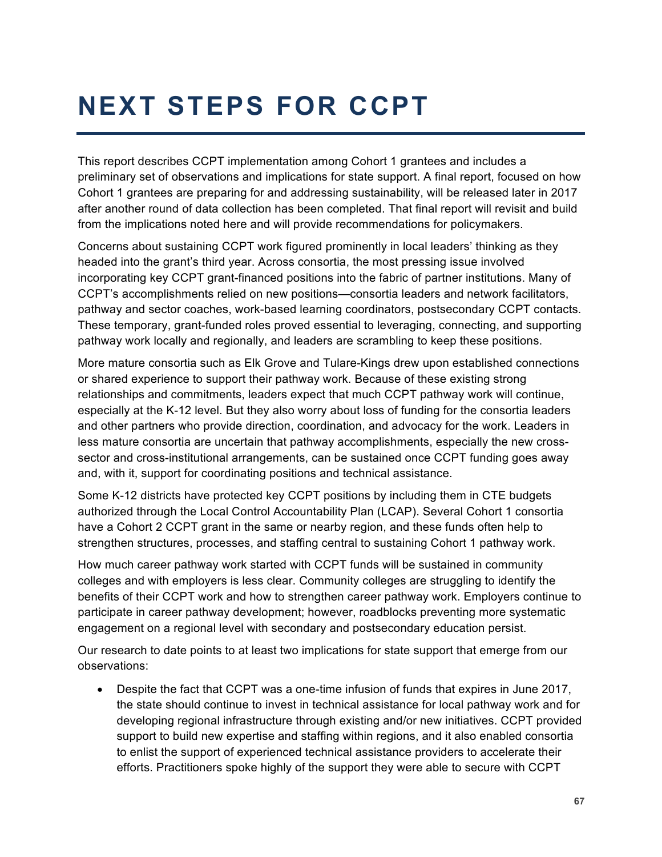# **NEXT STEPS FOR CCPT**

This report describes CCPT implementation among Cohort 1 grantees and includes a preliminary set of observations and implications for state support. A final report, focused on how Cohort 1 grantees are preparing for and addressing sustainability, will be released later in 2017 after another round of data collection has been completed. That final report will revisit and build from the implications noted here and will provide recommendations for policymakers.

Concerns about sustaining CCPT work figured prominently in local leaders' thinking as they headed into the grant's third year. Across consortia, the most pressing issue involved incorporating key CCPT grant-financed positions into the fabric of partner institutions. Many of CCPT's accomplishments relied on new positions—consortia leaders and network facilitators, pathway and sector coaches, work-based learning coordinators, postsecondary CCPT contacts. These temporary, grant-funded roles proved essential to leveraging, connecting, and supporting pathway work locally and regionally, and leaders are scrambling to keep these positions.

More mature consortia such as Elk Grove and Tulare-Kings drew upon established connections or shared experience to support their pathway work. Because of these existing strong relationships and commitments, leaders expect that much CCPT pathway work will continue, especially at the K-12 level. But they also worry about loss of funding for the consortia leaders and other partners who provide direction, coordination, and advocacy for the work. Leaders in less mature consortia are uncertain that pathway accomplishments, especially the new crosssector and cross-institutional arrangements, can be sustained once CCPT funding goes away and, with it, support for coordinating positions and technical assistance.

Some K-12 districts have protected key CCPT positions by including them in CTE budgets authorized through the Local Control Accountability Plan (LCAP). Several Cohort 1 consortia have a Cohort 2 CCPT grant in the same or nearby region, and these funds often help to strengthen structures, processes, and staffing central to sustaining Cohort 1 pathway work.

How much career pathway work started with CCPT funds will be sustained in community colleges and with employers is less clear. Community colleges are struggling to identify the benefits of their CCPT work and how to strengthen career pathway work. Employers continue to participate in career pathway development; however, roadblocks preventing more systematic engagement on a regional level with secondary and postsecondary education persist.

Our research to date points to at least two implications for state support that emerge from our observations:

• Despite the fact that CCPT was a one-time infusion of funds that expires in June 2017, the state should continue to invest in technical assistance for local pathway work and for developing regional infrastructure through existing and/or new initiatives. CCPT provided support to build new expertise and staffing within regions, and it also enabled consortia to enlist the support of experienced technical assistance providers to accelerate their efforts. Practitioners spoke highly of the support they were able to secure with CCPT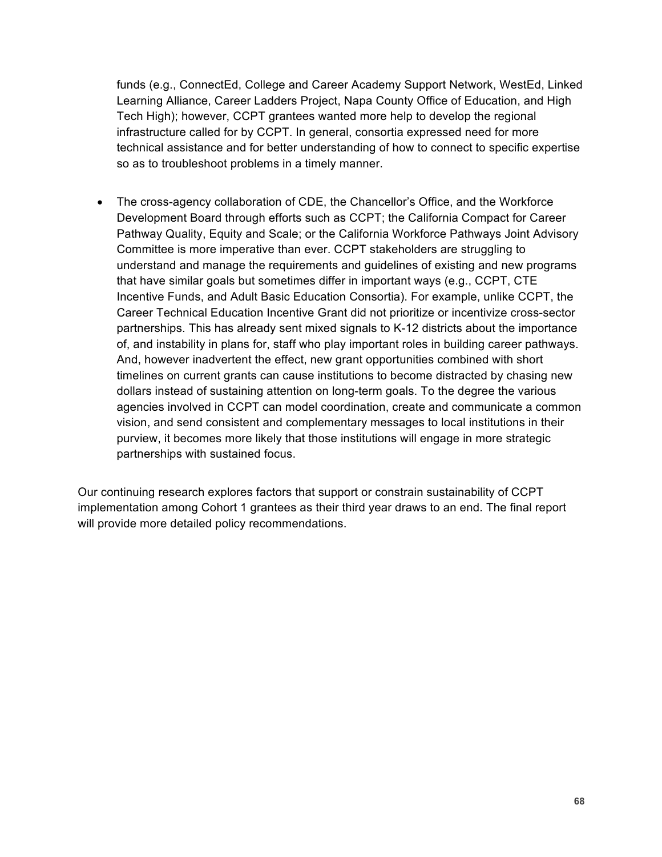funds (e.g., ConnectEd, College and Career Academy Support Network, WestEd, Linked Learning Alliance, Career Ladders Project, Napa County Office of Education, and High Tech High); however, CCPT grantees wanted more help to develop the regional infrastructure called for by CCPT. In general, consortia expressed need for more technical assistance and for better understanding of how to connect to specific expertise so as to troubleshoot problems in a timely manner.

• The cross-agency collaboration of CDE, the Chancellor's Office, and the Workforce Development Board through efforts such as CCPT; the California Compact for Career Pathway Quality, Equity and Scale; or the California Workforce Pathways Joint Advisory Committee is more imperative than ever. CCPT stakeholders are struggling to understand and manage the requirements and guidelines of existing and new programs that have similar goals but sometimes differ in important ways (e.g., CCPT, CTE Incentive Funds, and Adult Basic Education Consortia). For example, unlike CCPT, the Career Technical Education Incentive Grant did not prioritize or incentivize cross-sector partnerships. This has already sent mixed signals to K-12 districts about the importance of, and instability in plans for, staff who play important roles in building career pathways. And, however inadvertent the effect, new grant opportunities combined with short timelines on current grants can cause institutions to become distracted by chasing new dollars instead of sustaining attention on long-term goals. To the degree the various agencies involved in CCPT can model coordination, create and communicate a common vision, and send consistent and complementary messages to local institutions in their purview, it becomes more likely that those institutions will engage in more strategic partnerships with sustained focus.

Our continuing research explores factors that support or constrain sustainability of CCPT implementation among Cohort 1 grantees as their third year draws to an end. The final report will provide more detailed policy recommendations.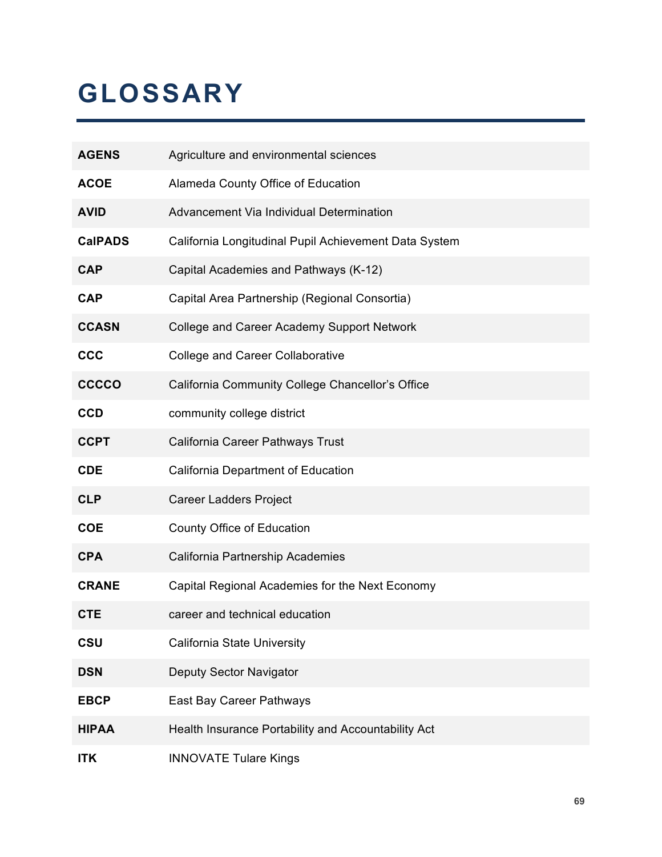# **GLOSSARY**

| <b>AGENS</b>   | Agriculture and environmental sciences                |
|----------------|-------------------------------------------------------|
| <b>ACOE</b>    | Alameda County Office of Education                    |
| <b>AVID</b>    | Advancement Via Individual Determination              |
| <b>CalPADS</b> | California Longitudinal Pupil Achievement Data System |
| <b>CAP</b>     | Capital Academies and Pathways (K-12)                 |
| <b>CAP</b>     | Capital Area Partnership (Regional Consortia)         |
| <b>CCASN</b>   | <b>College and Career Academy Support Network</b>     |
| <b>CCC</b>     | <b>College and Career Collaborative</b>               |
| <b>CCCCO</b>   | California Community College Chancellor's Office      |
| <b>CCD</b>     | community college district                            |
| <b>CCPT</b>    | California Career Pathways Trust                      |
| <b>CDE</b>     | <b>California Department of Education</b>             |
| <b>CLP</b>     | <b>Career Ladders Project</b>                         |
| <b>COE</b>     | County Office of Education                            |
| <b>CPA</b>     | California Partnership Academies                      |
| <b>CRANE</b>   | Capital Regional Academies for the Next Economy       |
| <b>CTE</b>     | career and technical education                        |
| CSU            | California State University                           |
| <b>DSN</b>     | Deputy Sector Navigator                               |
| <b>EBCP</b>    | East Bay Career Pathways                              |
| <b>HIPAA</b>   | Health Insurance Portability and Accountability Act   |
| <b>ITK</b>     | <b>INNOVATE Tulare Kings</b>                          |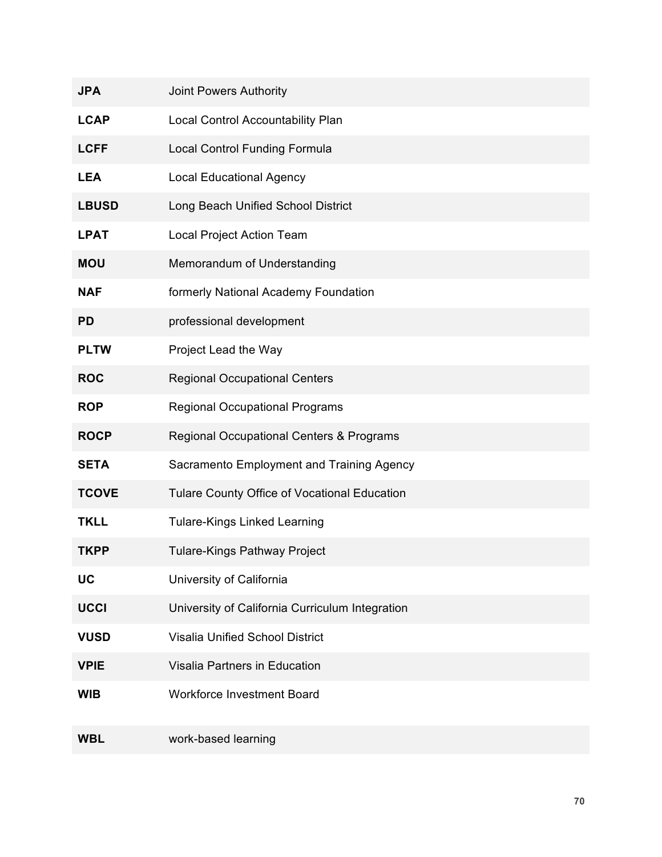| <b>JPA</b>   | Joint Powers Authority                          |
|--------------|-------------------------------------------------|
| <b>LCAP</b>  | Local Control Accountability Plan               |
| <b>LCFF</b>  | <b>Local Control Funding Formula</b>            |
| <b>LEA</b>   | <b>Local Educational Agency</b>                 |
| <b>LBUSD</b> | Long Beach Unified School District              |
| <b>LPAT</b>  | Local Project Action Team                       |
| <b>MOU</b>   | Memorandum of Understanding                     |
| <b>NAF</b>   | formerly National Academy Foundation            |
| <b>PD</b>    | professional development                        |
| <b>PLTW</b>  | Project Lead the Way                            |
| <b>ROC</b>   | <b>Regional Occupational Centers</b>            |
| <b>ROP</b>   | <b>Regional Occupational Programs</b>           |
| <b>ROCP</b>  | Regional Occupational Centers & Programs        |
| <b>SETA</b>  | Sacramento Employment and Training Agency       |
| <b>TCOVE</b> | Tulare County Office of Vocational Education    |
| <b>TKLL</b>  | <b>Tulare-Kings Linked Learning</b>             |
| <b>TKPP</b>  | <b>Tulare-Kings Pathway Project</b>             |
| UC           | University of California                        |
| <b>UCCI</b>  | University of California Curriculum Integration |
| <b>VUSD</b>  | <b>Visalia Unified School District</b>          |
| <b>VPIE</b>  | Visalia Partners in Education                   |
| <b>WIB</b>   | <b>Workforce Investment Board</b>               |
| <b>WBL</b>   | work-based learning                             |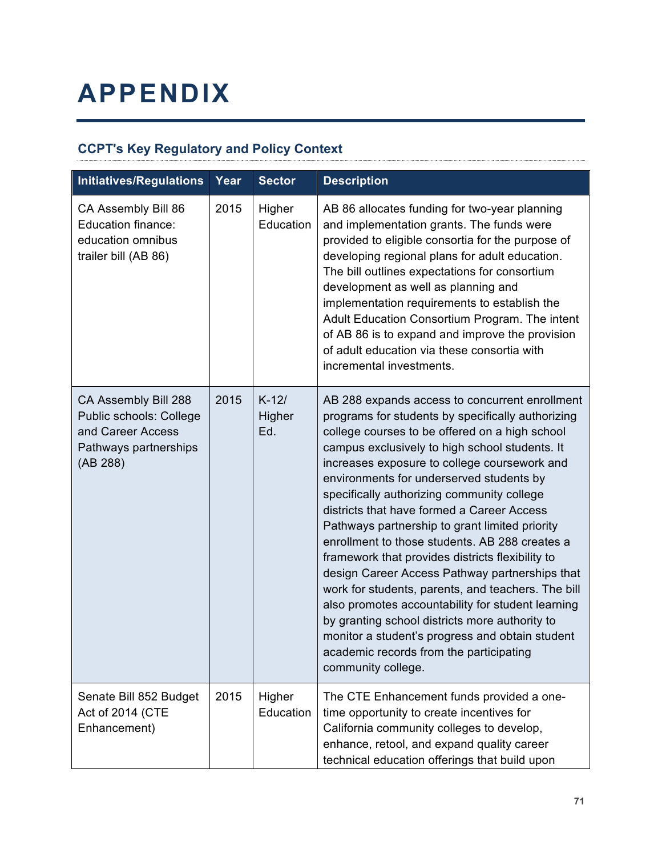# **APPENDIX**

# **CCPT's Key Regulatory and Policy Context**

| <b>Initiatives/Regulations</b>                                                                            | Year | <b>Sector</b>            | <b>Description</b>                                                                                                                                                                                                                                                                                                                                                                                                                                                                                                                                                                                                                                                                                                                                                                                                                                                                         |
|-----------------------------------------------------------------------------------------------------------|------|--------------------------|--------------------------------------------------------------------------------------------------------------------------------------------------------------------------------------------------------------------------------------------------------------------------------------------------------------------------------------------------------------------------------------------------------------------------------------------------------------------------------------------------------------------------------------------------------------------------------------------------------------------------------------------------------------------------------------------------------------------------------------------------------------------------------------------------------------------------------------------------------------------------------------------|
| CA Assembly Bill 86<br><b>Education finance:</b><br>education omnibus<br>trailer bill (AB 86)             | 2015 | Higher<br>Education      | AB 86 allocates funding for two-year planning<br>and implementation grants. The funds were<br>provided to eligible consortia for the purpose of<br>developing regional plans for adult education.<br>The bill outlines expectations for consortium<br>development as well as planning and<br>implementation requirements to establish the<br>Adult Education Consortium Program. The intent<br>of AB 86 is to expand and improve the provision<br>of adult education via these consortia with<br>incremental investments.                                                                                                                                                                                                                                                                                                                                                                  |
| CA Assembly Bill 288<br>Public schools: College<br>and Career Access<br>Pathways partnerships<br>(AB 288) | 2015 | $K-12/$<br>Higher<br>Ed. | AB 288 expands access to concurrent enrollment<br>programs for students by specifically authorizing<br>college courses to be offered on a high school<br>campus exclusively to high school students. It<br>increases exposure to college coursework and<br>environments for underserved students by<br>specifically authorizing community college<br>districts that have formed a Career Access<br>Pathways partnership to grant limited priority<br>enrollment to those students. AB 288 creates a<br>framework that provides districts flexibility to<br>design Career Access Pathway partnerships that<br>work for students, parents, and teachers. The bill<br>also promotes accountability for student learning<br>by granting school districts more authority to<br>monitor a student's progress and obtain student<br>academic records from the participating<br>community college. |
| Senate Bill 852 Budget<br>Act of 2014 (CTE<br>Enhancement)                                                | 2015 | Higher<br>Education      | The CTE Enhancement funds provided a one-<br>time opportunity to create incentives for<br>California community colleges to develop,<br>enhance, retool, and expand quality career<br>technical education offerings that build upon                                                                                                                                                                                                                                                                                                                                                                                                                                                                                                                                                                                                                                                         |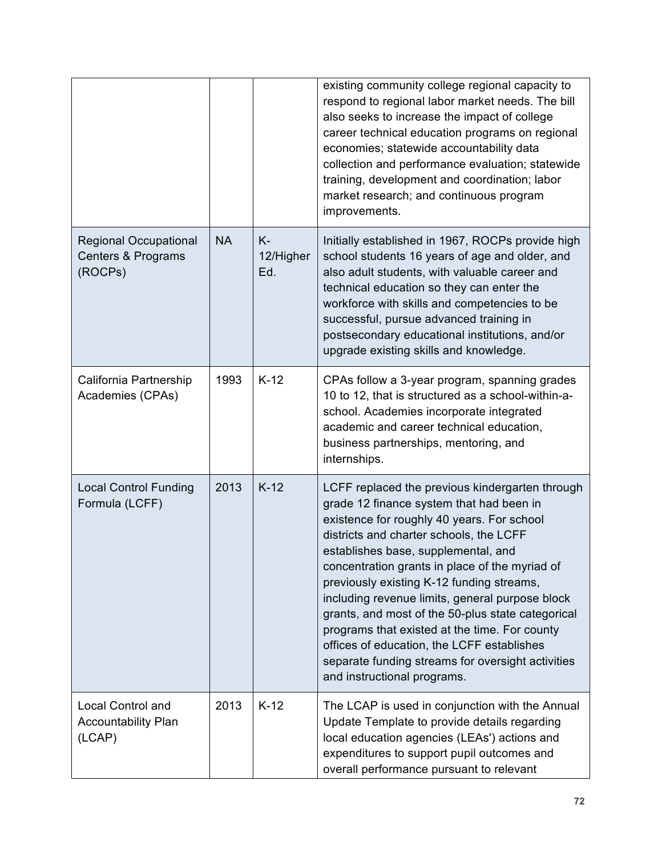|                                                                  |           |                           | existing community college regional capacity to<br>respond to regional labor market needs. The bill<br>also seeks to increase the impact of college<br>career technical education programs on regional<br>economies; statewide accountability data<br>collection and performance evaluation; statewide<br>training, development and coordination; labor<br>market research; and continuous program<br>improvements.                                                                                                                                                                                                   |
|------------------------------------------------------------------|-----------|---------------------------|-----------------------------------------------------------------------------------------------------------------------------------------------------------------------------------------------------------------------------------------------------------------------------------------------------------------------------------------------------------------------------------------------------------------------------------------------------------------------------------------------------------------------------------------------------------------------------------------------------------------------|
| <b>Regional Occupational</b><br>Centers & Programs<br>(ROCPs)    | <b>NA</b> | $K -$<br>12/Higher<br>Ed. | Initially established in 1967, ROCPs provide high<br>school students 16 years of age and older, and<br>also adult students, with valuable career and<br>technical education so they can enter the<br>workforce with skills and competencies to be<br>successful, pursue advanced training in<br>postsecondary educational institutions, and/or<br>upgrade existing skills and knowledge.                                                                                                                                                                                                                              |
| California Partnership<br>Academies (CPAs)                       | 1993      | $K-12$                    | CPAs follow a 3-year program, spanning grades<br>10 to 12, that is structured as a school-within-a-<br>school. Academies incorporate integrated<br>academic and career technical education,<br>business partnerships, mentoring, and<br>internships.                                                                                                                                                                                                                                                                                                                                                                  |
| <b>Local Control Funding</b><br>Formula (LCFF)                   | 2013      | $K-12$                    | LCFF replaced the previous kindergarten through<br>grade 12 finance system that had been in<br>existence for roughly 40 years. For school<br>districts and charter schools, the LCFF<br>establishes base, supplemental, and<br>concentration grants in place of the myriad of<br>previously existing K-12 funding streams,<br>including revenue limits, general purpose block<br>grants, and most of the 50-plus state categorical<br>programs that existed at the time. For county<br>offices of education, the LCFF establishes<br>separate funding streams for oversight activities<br>and instructional programs. |
| <b>Local Control and</b><br><b>Accountability Plan</b><br>(LCAP) | 2013      | $K-12$                    | The LCAP is used in conjunction with the Annual<br>Update Template to provide details regarding<br>local education agencies (LEAs') actions and<br>expenditures to support pupil outcomes and<br>overall performance pursuant to relevant                                                                                                                                                                                                                                                                                                                                                                             |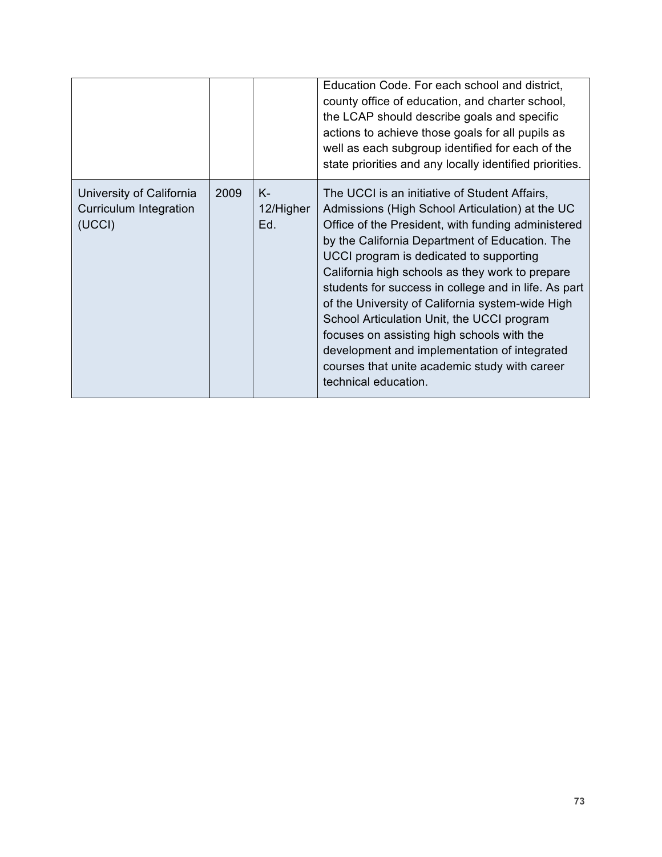|                                                                     |      |                        | Education Code. For each school and district,<br>county office of education, and charter school,<br>the LCAP should describe goals and specific<br>actions to achieve those goals for all pupils as<br>well as each subgroup identified for each of the<br>state priorities and any locally identified priorities.                                                                                                                                                                                                                                                                                                                      |
|---------------------------------------------------------------------|------|------------------------|-----------------------------------------------------------------------------------------------------------------------------------------------------------------------------------------------------------------------------------------------------------------------------------------------------------------------------------------------------------------------------------------------------------------------------------------------------------------------------------------------------------------------------------------------------------------------------------------------------------------------------------------|
| University of California<br><b>Curriculum Integration</b><br>(UCCI) | 2009 | K-<br>12/Higher<br>Ed. | The UCCI is an initiative of Student Affairs,<br>Admissions (High School Articulation) at the UC<br>Office of the President, with funding administered<br>by the California Department of Education. The<br>UCCI program is dedicated to supporting<br>California high schools as they work to prepare<br>students for success in college and in life. As part<br>of the University of California system-wide High<br>School Articulation Unit, the UCCI program<br>focuses on assisting high schools with the<br>development and implementation of integrated<br>courses that unite academic study with career<br>technical education. |